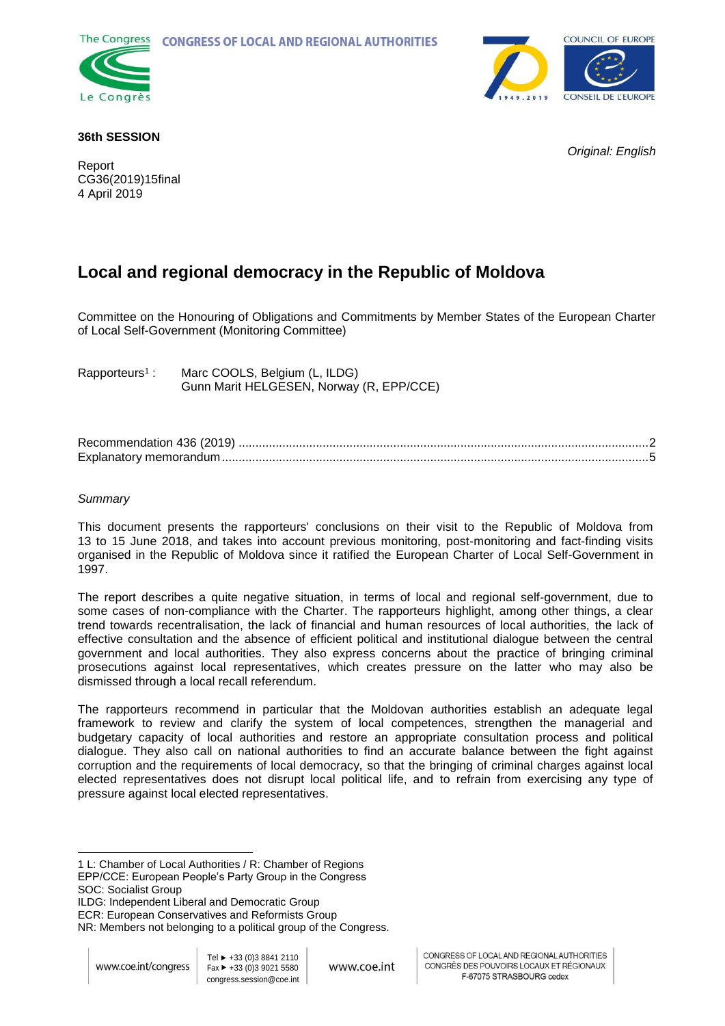



### **36th SESSION**

Report CG36(2019)15final 4 April 2019

*Original: English*

# **Local and regional democracy in the Republic of Moldova**

Committee on the Honouring of Obligations and Commitments by Member States of the European Charter of Local Self-Government (Monitoring Committee)

Rapporteurs<sup>1</sup>: Marc COOLS, Belgium (L, ILDG) Gunn Marit HELGESEN, Norway (R, EPP/CCE)

| Explanatory memorandum |  |
|------------------------|--|

### *Summary*

This document presents the rapporteurs' conclusions on their visit to the Republic of Moldova from 13 to 15 June 2018, and takes into account previous monitoring, post-monitoring and fact-finding visits organised in the Republic of Moldova since it ratified the European Charter of Local Self-Government in 1997.

The report describes a quite negative situation, in terms of local and regional self-government, due to some cases of non-compliance with the Charter. The rapporteurs highlight, among other things, a clear trend towards recentralisation, the lack of financial and human resources of local authorities, the lack of effective consultation and the absence of efficient political and institutional dialogue between the central government and local authorities. They also express concerns about the practice of bringing criminal prosecutions against local representatives, which creates pressure on the latter who may also be dismissed through a local recall referendum.

The rapporteurs recommend in particular that the Moldovan authorities establish an adequate legal framework to review and clarify the system of local competences, strengthen the managerial and budgetary capacity of local authorities and restore an appropriate consultation process and political dialogue. They also call on national authorities to find an accurate balance between the fight against corruption and the requirements of local democracy, so that the bringing of criminal charges against local elected representatives does not disrupt local political life, and to refrain from exercising any type of pressure against local elected representatives.

EPP/CCE: European People's Party Group in the Congress SOC: Socialist Group

ILDG: Independent Liberal and Democratic Group

ECR: European Conservatives and Reformists Group

NR: Members not belonging to a political group of the Congress.

l

<sup>1</sup> L: Chamber of Local Authorities / R: Chamber of Regions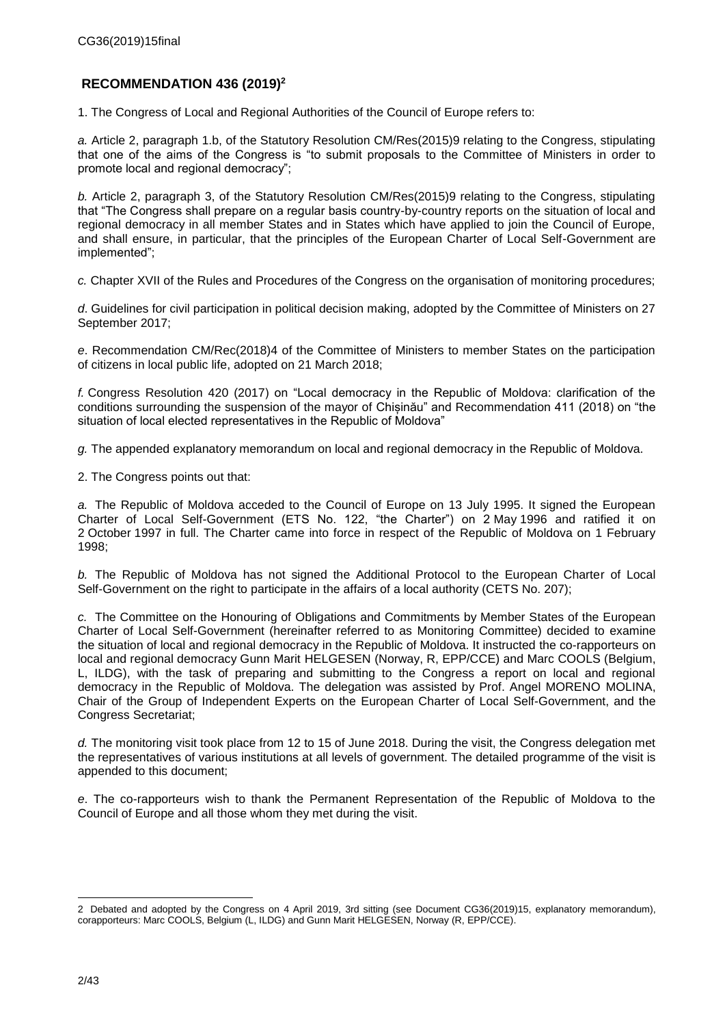# <span id="page-1-0"></span>**RECOMMENDATION 436 (2019)<sup>2</sup>**

1. The Congress of Local and Regional Authorities of the Council of Europe refers to:

*a.* Article 2, paragraph 1.b, of the Statutory Resolution CM/Res(2015)9 relating to the Congress, stipulating that one of the aims of the Congress is "to submit proposals to the Committee of Ministers in order to promote local and regional democracy";

*b.* Article 2, paragraph 3, of the Statutory Resolution CM/Res(2015)9 relating to the Congress, stipulating that "The Congress shall prepare on a regular basis country-by-country reports on the situation of local and regional democracy in all member States and in States which have applied to join the Council of Europe, and shall ensure, in particular, that the principles of the European Charter of Local Self-Government are implemented";

*c.* Chapter XVII of the Rules and Procedures of the Congress on the organisation of monitoring procedures;

*d*. Guidelines for civil participation in political decision making, adopted by the Committee of Ministers on 27 September 2017;

*e*. Recommendation CM/Rec(2018)4 of the Committee of Ministers to member States on the participation of citizens in local public life, adopted on 21 March 2018;

*f.* Congress Resolution 420 (2017) on "Local democracy in the Republic of Moldova: clarification of the conditions surrounding the suspension of the mayor of Chișinău" and Recommendation 411 (2018) on "the situation of local elected representatives in the Republic of Moldova"

*g.* The appended explanatory memorandum on local and regional democracy in the Republic of Moldova.

2. The Congress points out that:

*a.* The Republic of Moldova acceded to the Council of Europe on 13 July 1995. It signed the European Charter of Local Self-Government (ETS No. 122, "the Charter") on 2 May 1996 and ratified it on 2 October 1997 in full. The Charter came into force in respect of the Republic of Moldova on 1 February 1998;

*b.* The Republic of Moldova has not signed the Additional Protocol to the European Charter of Local Self-Government on the right to participate in the affairs of a local authority (CETS No. 207);

*c.* The Committee on the Honouring of Obligations and Commitments by Member States of the European Charter of Local Self-Government (hereinafter referred to as Monitoring Committee) decided to examine the situation of local and regional democracy in the Republic of Moldova. It instructed the co-rapporteurs on local and regional democracy Gunn Marit HELGESEN (Norway, R, EPP/CCE) and Marc COOLS (Belgium, L, ILDG), with the task of preparing and submitting to the Congress a report on local and regional democracy in the Republic of Moldova. The delegation was assisted by Prof. Angel MORENO MOLINA, Chair of the Group of Independent Experts on the European Charter of Local Self-Government, and the Congress Secretariat;

*d.* The monitoring visit took place from 12 to 15 of June 2018. During the visit, the Congress delegation met the representatives of various institutions at all levels of government. The detailed programme of the visit is appended to this document;

*e*. The co-rapporteurs wish to thank the Permanent Representation of the Republic of Moldova to the Council of Europe and all those whom they met during the visit.

l

<sup>2</sup> Debated and adopted by the Congress on 4 April 2019, 3rd sitting (see Document CG36(2019)15, explanatory memorandum), corapporteurs: Marc COOLS, Belgium (L, ILDG) and Gunn Marit HELGESEN, Norway (R, EPP/CCE).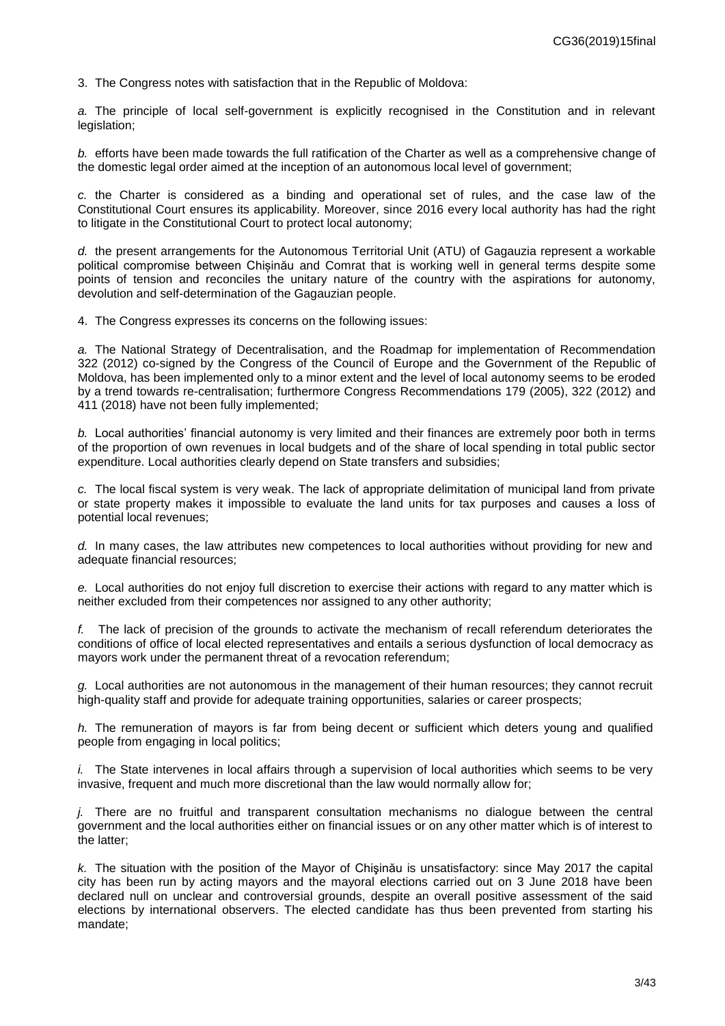3. The Congress notes with satisfaction that in the Republic of Moldova:

*a.* The principle of local self-government is explicitly recognised in the Constitution and in relevant legislation;

*b.* efforts have been made towards the full ratification of the Charter as well as a comprehensive change of the domestic legal order aimed at the inception of an autonomous local level of government;

*c.* the Charter is considered as a binding and operational set of rules, and the case law of the Constitutional Court ensures its applicability. Moreover, since 2016 every local authority has had the right to litigate in the Constitutional Court to protect local autonomy;

*d.* the present arrangements for the Autonomous Territorial Unit (ATU) of Gagauzia represent a workable political compromise between Chișinău and Comrat that is working well in general terms despite some points of tension and reconciles the unitary nature of the country with the aspirations for autonomy, devolution and self-determination of the Gagauzian people.

4. The Congress expresses its concerns on the following issues:

*a.* The National Strategy of Decentralisation, and the Roadmap for implementation of Recommendation 322 (2012) co-signed by the Congress of the Council of Europe and the Government of the Republic of Moldova, has been implemented only to a minor extent and the level of local autonomy seems to be eroded by a trend towards re-centralisation; furthermore Congress Recommendations 179 (2005), 322 (2012) and 411 (2018) have not been fully implemented;

*b.* Local authorities' financial autonomy is very limited and their finances are extremely poor both in terms of the proportion of own revenues in local budgets and of the share of local spending in total public sector expenditure. Local authorities clearly depend on State transfers and subsidies;

*c.* The local fiscal system is very weak. The lack of appropriate delimitation of municipal land from private or state property makes it impossible to evaluate the land units for tax purposes and causes a loss of potential local revenues;

*d.* In many cases, the law attributes new competences to local authorities without providing for new and adequate financial resources;

*e.* Local authorities do not enjoy full discretion to exercise their actions with regard to any matter which is neither excluded from their competences nor assigned to any other authority;

*f.* The lack of precision of the grounds to activate the mechanism of recall referendum deteriorates the conditions of office of local elected representatives and entails a serious dysfunction of local democracy as mayors work under the permanent threat of a revocation referendum;

*g.* Local authorities are not autonomous in the management of their human resources; they cannot recruit high-quality staff and provide for adequate training opportunities, salaries or career prospects;

*h.* The remuneration of mayors is far from being decent or sufficient which deters young and qualified people from engaging in local politics;

*i.* The State intervenes in local affairs through a supervision of local authorities which seems to be very invasive, frequent and much more discretional than the law would normally allow for;

*j.* There are no fruitful and transparent consultation mechanisms no dialogue between the central government and the local authorities either on financial issues or on any other matter which is of interest to the latter;

*k.* The situation with the position of the Mayor of Chişinău is unsatisfactory: since May 2017 the capital city has been run by acting mayors and the mayoral elections carried out on 3 June 2018 have been declared null on unclear and controversial grounds, despite an overall positive assessment of the said elections by international observers. The elected candidate has thus been prevented from starting his mandate;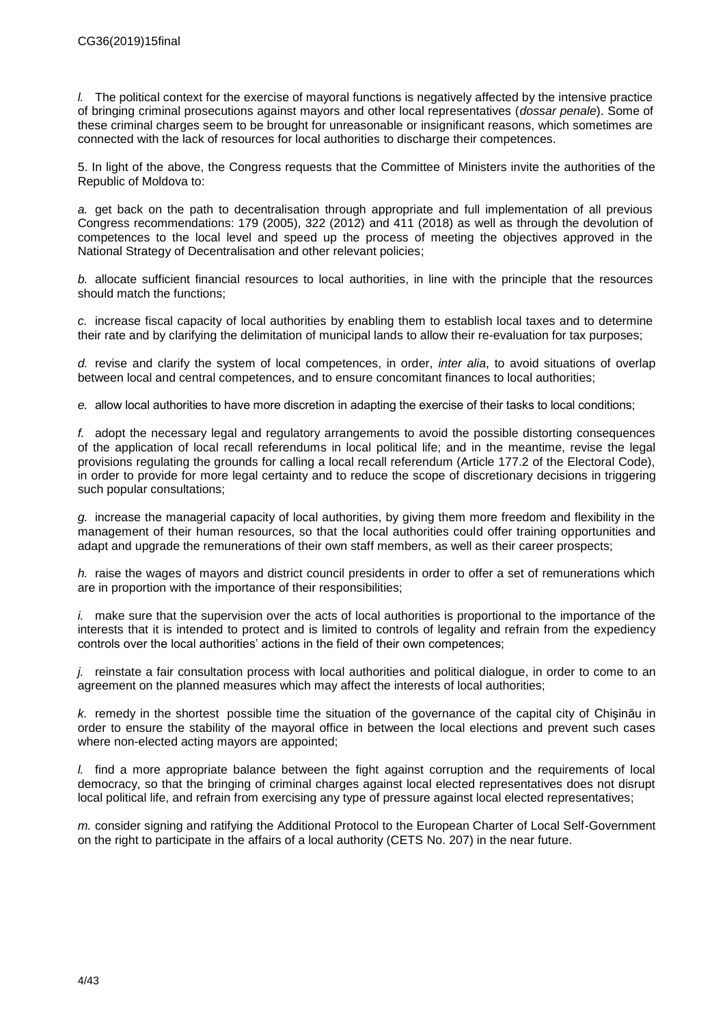*l.* The political context for the exercise of mayoral functions is negatively affected by the intensive practice of bringing criminal prosecutions against mayors and other local representatives (*dossar penale*). Some of these criminal charges seem to be brought for unreasonable or insignificant reasons, which sometimes are connected with the lack of resources for local authorities to discharge their competences.

5. In light of the above, the Congress requests that the Committee of Ministers invite the authorities of the Republic of Moldova to:

*a.* get back on the path to decentralisation through appropriate and full implementation of all previous Congress recommendations: 179 (2005), 322 (2012) and 411 (2018) as well as through the devolution of competences to the local level and speed up the process of meeting the objectives approved in the National Strategy of Decentralisation and other relevant policies;

*b.* allocate sufficient financial resources to local authorities, in line with the principle that the resources should match the functions;

*c.* increase fiscal capacity of local authorities by enabling them to establish local taxes and to determine their rate and by clarifying the delimitation of municipal lands to allow their re-evaluation for tax purposes;

*d.* revise and clarify the system of local competences, in order, *inter alia*, to avoid situations of overlap between local and central competences, and to ensure concomitant finances to local authorities;

*e.* allow local authorities to have more discretion in adapting the exercise of their tasks to local conditions;

*f.* adopt the necessary legal and regulatory arrangements to avoid the possible distorting consequences of the application of local recall referendums in local political life; and in the meantime, revise the legal provisions regulating the grounds for calling a local recall referendum (Article 177.2 of the Electoral Code), in order to provide for more legal certainty and to reduce the scope of discretionary decisions in triggering such popular consultations;

*g.* increase the managerial capacity of local authorities, by giving them more freedom and flexibility in the management of their human resources, so that the local authorities could offer training opportunities and adapt and upgrade the remunerations of their own staff members, as well as their career prospects;

*h.* raise the wages of mayors and district council presidents in order to offer a set of remunerations which are in proportion with the importance of their responsibilities;

*i.* make sure that the supervision over the acts of local authorities is proportional to the importance of the interests that it is intended to protect and is limited to controls of legality and refrain from the expediency controls over the local authorities' actions in the field of their own competences;

*j.* reinstate a fair consultation process with local authorities and political dialogue, in order to come to an agreement on the planned measures which may affect the interests of local authorities;

*k.* remedy in the shortest possible time the situation of the governance of the capital city of Chişinău in order to ensure the stability of the mayoral office in between the local elections and prevent such cases where non-elected acting mayors are appointed;

*l.* find a more appropriate balance between the fight against corruption and the requirements of local democracy, so that the bringing of criminal charges against local elected representatives does not disrupt local political life, and refrain from exercising any type of pressure against local elected representatives;

*m.* consider signing and ratifying the Additional Protocol to the European Charter of Local Self-Government on the right to participate in the affairs of a local authority (CETS No. 207) in the near future.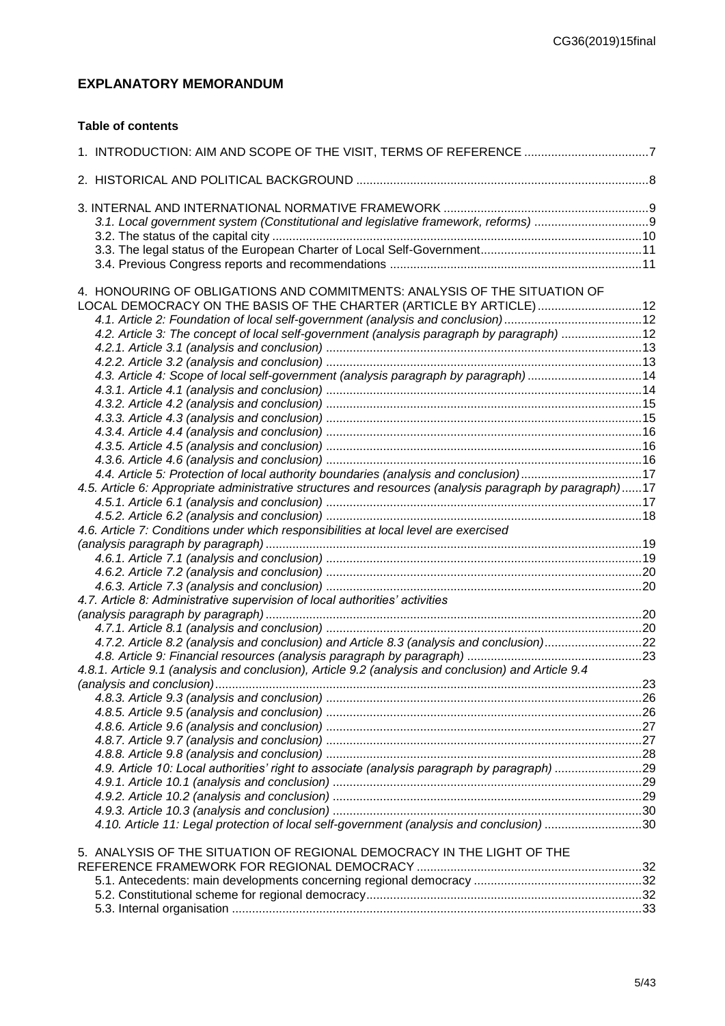# <span id="page-4-0"></span>**EXPLANATORY MEMORANDUM**

### **Table of contents**

| 1. INTRODUCTION: AIM AND SCOPE OF THE VISIT, TERMS OF REFERENCE 7                                       |     |
|---------------------------------------------------------------------------------------------------------|-----|
|                                                                                                         |     |
|                                                                                                         |     |
|                                                                                                         |     |
|                                                                                                         |     |
|                                                                                                         |     |
|                                                                                                         |     |
|                                                                                                         |     |
| 4. HONOURING OF OBLIGATIONS AND COMMITMENTS: ANALYSIS OF THE SITUATION OF                               |     |
| LOCAL DEMOCRACY ON THE BASIS OF THE CHARTER (ARTICLE BY ARTICLE) 12                                     |     |
| 4.1. Article 2: Foundation of local self-government (analysis and conclusion)12                         |     |
| 4.2. Article 3: The concept of local self-government (analysis paragraph by paragraph) 12               |     |
|                                                                                                         |     |
|                                                                                                         |     |
| 4.3. Article 4: Scope of local self-government (analysis paragraph by paragraph)14                      |     |
|                                                                                                         |     |
|                                                                                                         |     |
|                                                                                                         |     |
|                                                                                                         |     |
|                                                                                                         |     |
|                                                                                                         |     |
| 4.4. Article 5: Protection of local authority boundaries (analysis and conclusion)17                    |     |
| 4.5. Article 6: Appropriate administrative structures and resources (analysis paragraph by paragraph)17 |     |
|                                                                                                         |     |
|                                                                                                         |     |
| 4.6. Article 7: Conditions under which responsibilities at local level are exercised                    |     |
|                                                                                                         |     |
|                                                                                                         |     |
|                                                                                                         |     |
|                                                                                                         |     |
| 4.7. Article 8: Administrative supervision of local authorities' activities                             |     |
|                                                                                                         |     |
|                                                                                                         |     |
| 4.7.2. Article 8.2 (analysis and conclusion) and Article 8.3 (analysis and conclusion)22                |     |
|                                                                                                         |     |
| 4.8.1. Article 9.1 (analysis and conclusion), Article 9.2 (analysis and conclusion) and Article 9.4     |     |
| (analysis and conclusion)                                                                               | .23 |
|                                                                                                         |     |
|                                                                                                         |     |
|                                                                                                         |     |
|                                                                                                         |     |
|                                                                                                         |     |
| 4.9. Article 10: Local authorities' right to associate (analysis paragraph by paragraph) 29             |     |
|                                                                                                         |     |
|                                                                                                         |     |
|                                                                                                         |     |
| 4.10. Article 11: Legal protection of local self-government (analysis and conclusion)30                 |     |
|                                                                                                         |     |
| 5. ANALYSIS OF THE SITUATION OF REGIONAL DEMOCRACY IN THE LIGHT OF THE                                  |     |
|                                                                                                         |     |
|                                                                                                         |     |
|                                                                                                         |     |
|                                                                                                         |     |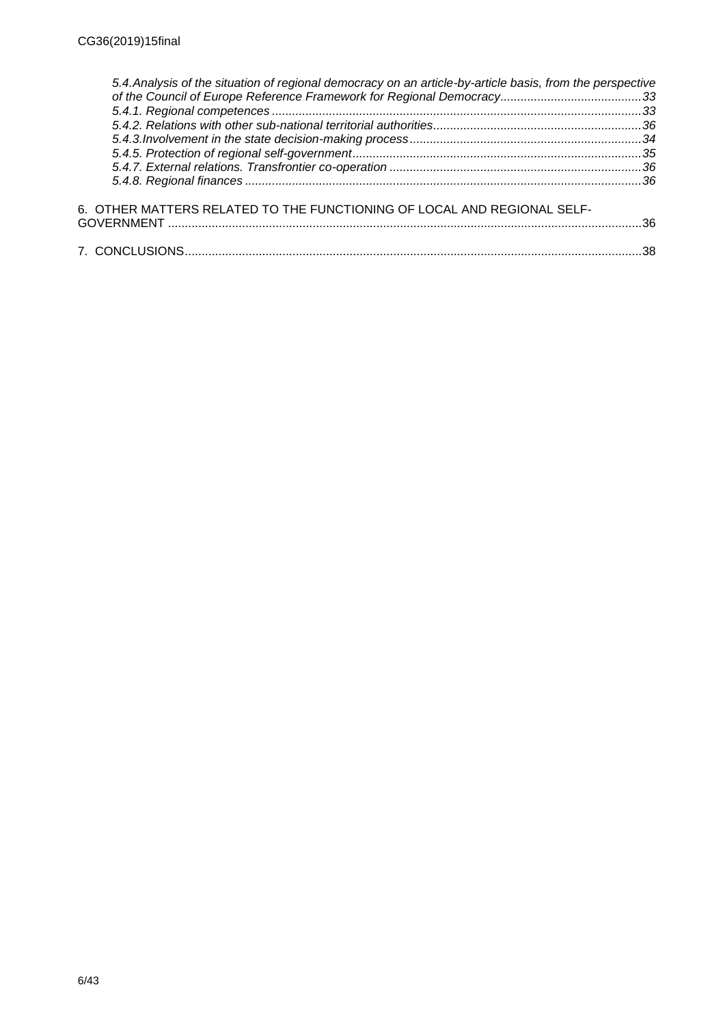| 5.4. Analysis of the situation of regional democracy on an article-by-article basis, from the perspective |     |
|-----------------------------------------------------------------------------------------------------------|-----|
|                                                                                                           |     |
|                                                                                                           |     |
|                                                                                                           |     |
|                                                                                                           |     |
|                                                                                                           |     |
|                                                                                                           |     |
|                                                                                                           |     |
| 6. OTHER MATTERS RELATED TO THE FUNCTIONING OF LOCAL AND REGIONAL SELF-                                   |     |
|                                                                                                           |     |
|                                                                                                           | -38 |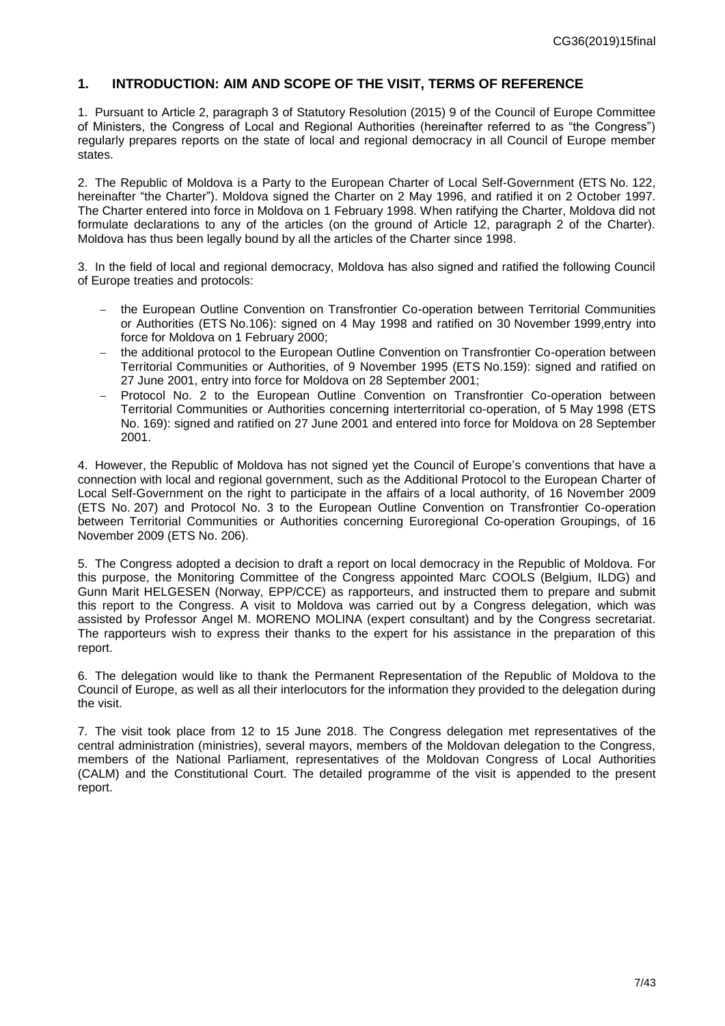### <span id="page-6-0"></span>**1. INTRODUCTION: AIM AND SCOPE OF THE VISIT, TERMS OF REFERENCE**

1. Pursuant to Article 2, paragraph 3 of Statutory Resolution (2015) 9 of the Council of Europe Committee of Ministers, the Congress of Local and Regional Authorities (hereinafter referred to as "the Congress") regularly prepares reports on the state of local and regional democracy in all Council of Europe member states.

2. The Republic of Moldova is a Party to the European Charter of Local Self-Government (ETS No. 122, hereinafter "the Charter"). Moldova signed the Charter on 2 May 1996, and ratified it on 2 October 1997. The Charter entered into force in Moldova on 1 February 1998. When ratifying the Charter, Moldova did not formulate declarations to any of the articles (on the ground of Article 12, paragraph 2 of the Charter). Moldova has thus been legally bound by all the articles of the Charter since 1998.

3. In the field of local and regional democracy, Moldova has also signed and ratified the following Council of Europe treaties and protocols:

- the European Outline Convention on Transfrontier Co-operation between Territorial Communities or Authorities (ETS No.106): signed on 4 May 1998 and ratified on 30 November 1999,entry into force for Moldova on 1 February 2000;
- the additional protocol to the European Outline Convention on Transfrontier Co-operation between Territorial Communities or Authorities, of 9 November 1995 (ETS No.159): signed and ratified on 27 June 2001, entry into force for Moldova on 28 September 2001;
- Protocol No. 2 to the European Outline Convention on Transfrontier Co-operation between Territorial Communities or Authorities concerning interterritorial co-operation, of 5 May 1998 (ETS No. 169): signed and ratified on 27 June 2001 and entered into force for Moldova on 28 September 2001.

4. However, the Republic of Moldova has not signed yet the Council of Europe's conventions that have a connection with local and regional government, such as the Additional Protocol to the European Charter of Local Self-Government on the right to participate in the affairs of a local authority, of 16 November 2009 (ETS No. 207) and Protocol No. 3 to the European Outline Convention on Transfrontier Co-operation between Territorial Communities or Authorities concerning Euroregional Co-operation Groupings, of 16 November 2009 (ETS No. 206).

5. The Congress adopted a decision to draft a report on local democracy in the Republic of Moldova. For this purpose, the Monitoring Committee of the Congress appointed Marc COOLS (Belgium, ILDG) and Gunn Marit HELGESEN (Norway, EPP/CCE) as rapporteurs, and instructed them to prepare and submit this report to the Congress. A visit to Moldova was carried out by a Congress delegation, which was assisted by Professor Angel M. MORENO MOLINA (expert consultant) and by the Congress secretariat. The rapporteurs wish to express their thanks to the expert for his assistance in the preparation of this report.

6. The delegation would like to thank the Permanent Representation of the Republic of Moldova to the Council of Europe, as well as all their interlocutors for the information they provided to the delegation during the visit.

7. The visit took place from 12 to 15 June 2018. The Congress delegation met representatives of the central administration (ministries), several mayors, members of the Moldovan delegation to the Congress, members of the National Parliament, representatives of the Moldovan Congress of Local Authorities (CALM) and the Constitutional Court. The detailed programme of the visit is appended to the present report.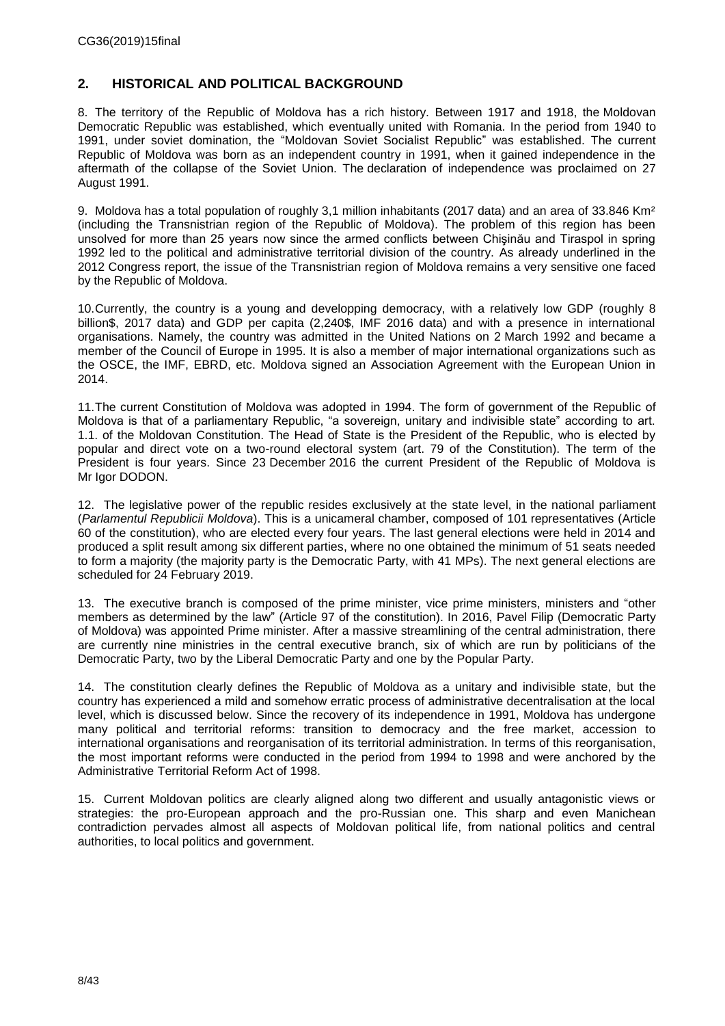# <span id="page-7-0"></span>**2. HISTORICAL AND POLITICAL BACKGROUND**

8. The territory of the Republic of Moldova has a rich history. Between 1917 and 1918, the Moldovan Democratic Republic was established, which eventually united with Romania. In the period from 1940 to 1991, under soviet domination, the "Moldovan Soviet Socialist Republic" was established. The current Republic of Moldova was born as an independent country in 1991, when it gained independence in the aftermath of the collapse of the Soviet Union. The declaration of independence was proclaimed on 27 August 1991.

9. Moldova has a total population of roughly 3,1 million inhabitants (2017 data) and an area of 33.846 Km<sup>2</sup> (including the Transnistrian region of the Republic of Moldova). The problem of this region has been unsolved for more than 25 years now since the armed conflicts between Chişinău and Tiraspol in spring 1992 led to the political and administrative territorial division of the country. As already underlined in the 2012 Congress report, the issue of the Transnistrian region of Moldova remains a very sensitive one faced by the Republic of Moldova.

10.Currently, the country is a young and developping democracy, with a relatively low GDP (roughly 8 billion\$, 2017 data) and GDP per capita (2,240\$, IMF 2016 data) and with a presence in international organisations. Namely, the country was admitted in the United Nations on 2 March 1992 and became a member of the Council of Europe in 1995. It is also a member of major international organizations such as the OSCE, the IMF, EBRD, etc. Moldova signed an Association Agreement with the European Union in 2014.

11.The current Constitution of Moldova was adopted in 1994. The form of government of the Republic of Moldova is that of a parliamentary Republic, "a sovereign, unitary and indivisible state" according to art. 1.1. of the Moldovan Constitution. The Head of State is the President of the Republic, who is elected by popular and direct vote on a two-round electoral system (art. 79 of the Constitution). The term of the President is four years. Since 23 December 2016 the current President of the Republic of Moldova is Mr Igor DODON.

12. The legislative power of the republic resides exclusively at the state level, in the national parliament (*Parlamentul Republicii Moldova*). This is a unicameral chamber, composed of 101 representatives (Article 60 of the constitution), who are elected every four years. The last general elections were held in 2014 and produced a split result among six different parties, where no one obtained the minimum of 51 seats needed to form a majority (the majority party is the Democratic Party, with 41 MPs). The next general elections are scheduled for 24 February 2019.

13. The executive branch is composed of the prime minister, vice prime ministers, ministers and "other members as determined by the law" (Article 97 of the constitution). In 2016, Pavel Filip (Democratic Party of Moldova) was appointed Prime minister. After a massive streamlining of the central administration, there are currently nine ministries in the central executive branch, six of which are run by politicians of the Democratic Party, two by the Liberal Democratic Party and one by the Popular Party.

14. The constitution clearly defines the Republic of Moldova as a unitary and indivisible state, but the country has experienced a mild and somehow erratic process of administrative decentralisation at the local level, which is discussed below. Since the recovery of its independence in 1991, Moldova has undergone many political and territorial reforms: transition to democracy and the free market, accession to international organisations and reorganisation of its territorial administration. In terms of this reorganisation, the most important reforms were conducted in the period from 1994 to 1998 and were anchored by the Administrative Territorial Reform Act of 1998.

15. Current Moldovan politics are clearly aligned along two different and usually antagonistic views or strategies: the pro-European approach and the pro-Russian one. This sharp and even Manichean contradiction pervades almost all aspects of Moldovan political life, from national politics and central authorities, to local politics and government.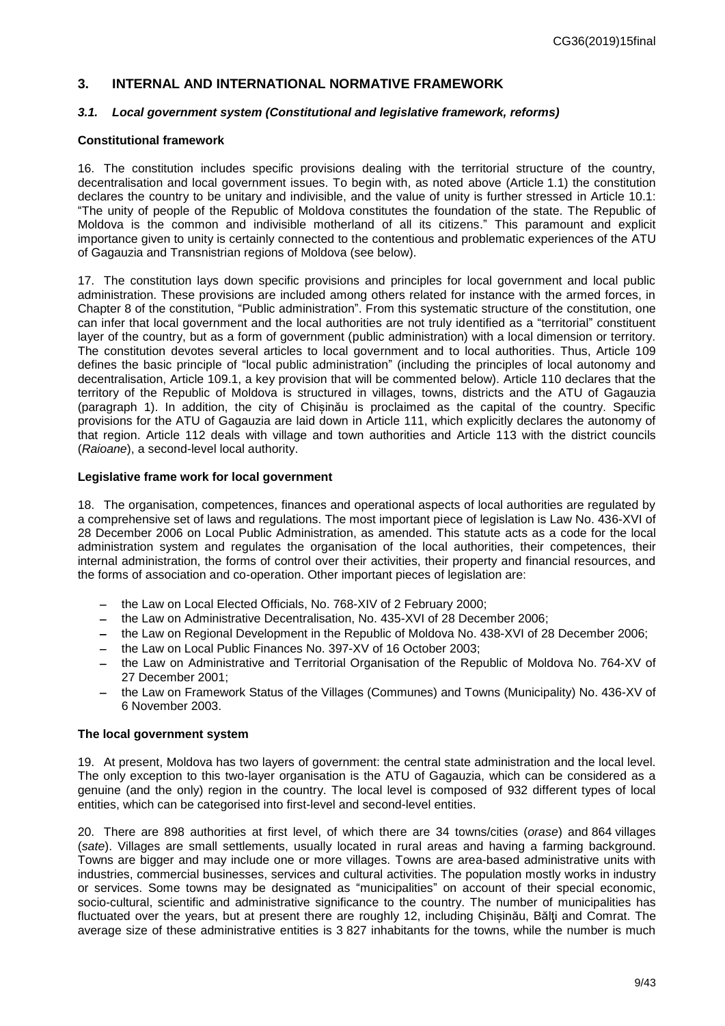### <span id="page-8-0"></span>**3. INTERNAL AND INTERNATIONAL NORMATIVE FRAMEWORK**

#### <span id="page-8-1"></span>*3.1. Local government system (Constitutional and legislative framework, reforms)*

#### **Constitutional framework**

16. The constitution includes specific provisions dealing with the territorial structure of the country, decentralisation and local government issues. To begin with, as noted above (Article 1.1) the constitution declares the country to be unitary and indivisible, and the value of unity is further stressed in Article 10.1: "The unity of people of the Republic of Moldova constitutes the foundation of the state. The Republic of Moldova is the common and indivisible motherland of all its citizens." This paramount and explicit importance given to unity is certainly connected to the contentious and problematic experiences of the ATU of Gagauzia and Transnistrian regions of Moldova (see below).

17. The constitution lays down specific provisions and principles for local government and local public administration. These provisions are included among others related for instance with the armed forces, in Chapter 8 of the constitution, "Public administration". From this systematic structure of the constitution, one can infer that local government and the local authorities are not truly identified as a "territorial" constituent layer of the country, but as a form of government (public administration) with a local dimension or territory. The constitution devotes several articles to local government and to local authorities. Thus, Article 109 defines the basic principle of "local public administration" (including the principles of local autonomy and decentralisation, Article 109.1, a key provision that will be commented below). Article 110 declares that the territory of the Republic of Moldova is structured in villages, towns, districts and the ATU of Gagauzia (paragraph 1). In addition, the city of Chișinău is proclaimed as the capital of the country. Specific provisions for the ATU of Gagauzia are laid down in Article 111, which explicitly declares the autonomy of that region. Article 112 deals with village and town authorities and Article 113 with the district councils (*Raioane*), a second-level local authority.

#### **Legislative frame work for local government**

18. The organisation, competences, finances and operational aspects of local authorities are regulated by a comprehensive set of laws and regulations. The most important piece of legislation is Law No. 436-XVI of 28 December 2006 on Local Public Administration, as amended. This statute acts as a code for the local administration system and regulates the organisation of the local authorities, their competences, their internal administration, the forms of control over their activities, their property and financial resources, and the forms of association and co-operation. Other important pieces of legislation are:

- the Law on Local Elected Officials, No. 768-XIV of 2 February 2000;
- the Law on Administrative Decentralisation, No. 435-XVI of 28 December 2006;
- the Law on Regional Development in the Republic of Moldova No. 438-XVI of 28 December 2006;
- the Law on Local Public Finances No. 397-XV of 16 October 2003;
- the Law on Administrative and Territorial Organisation of the Republic of Moldova No. 764-XV of 27 December 2001;
- the Law on Framework Status of the Villages (Communes) and Towns (Municipality) No. 436-XV of 6 November 2003.

#### **The local government system**

19. At present, Moldova has two layers of government: the central state administration and the local level. The only exception to this two-layer organisation is the ATU of Gagauzia, which can be considered as a genuine (and the only) region in the country. The local level is composed of 932 different types of local entities, which can be categorised into first-level and second-level entities.

20. There are 898 authorities at first level, of which there are 34 towns/cities (*orase*) and 864 villages (*sate*). Villages are small settlements, usually located in rural areas and having a farming background. Towns are bigger and may include one or more villages. Towns are area-based administrative units with industries, commercial businesses, services and cultural activities. The population mostly works in industry or services. Some towns may be designated as "municipalities" on account of their special economic, socio-cultural, scientific and administrative significance to the country. The number of municipalities has fluctuated over the years, but at present there are roughly 12, including Chisinău, Bălți and Comrat. The average size of these administrative entities is 3 827 inhabitants for the towns, while the number is much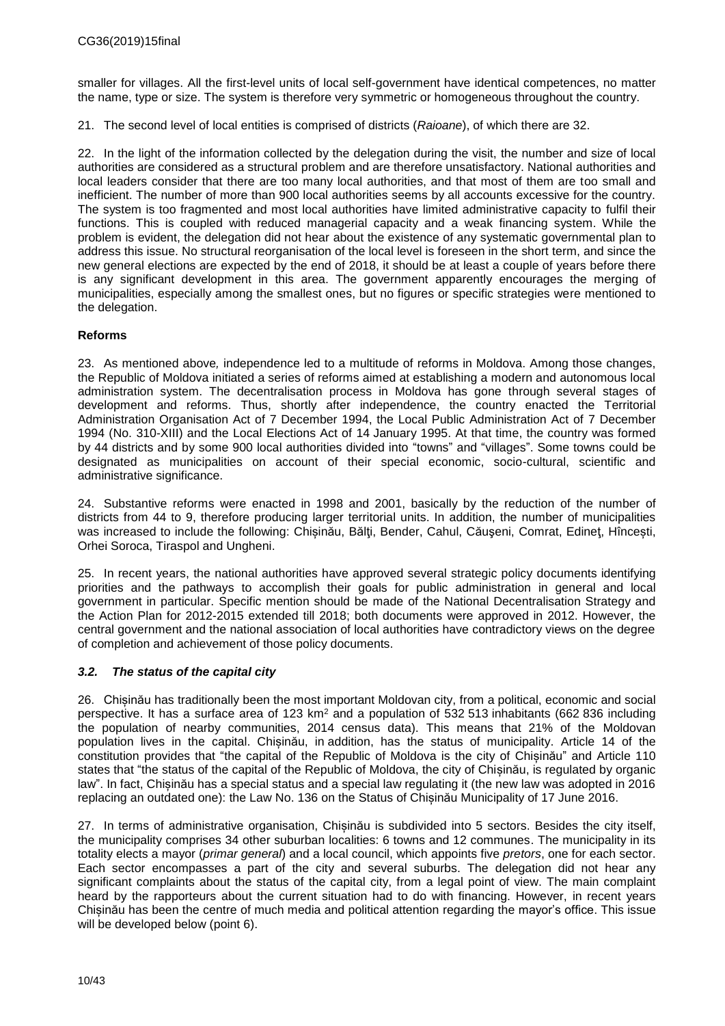smaller for villages. All the first-level units of local self-government have identical competences, no matter the name, type or size. The system is therefore very symmetric or homogeneous throughout the country.

21. The second level of local entities is comprised of districts (*Raioane*), of which there are 32.

22. In the light of the information collected by the delegation during the visit, the number and size of local authorities are considered as a structural problem and are therefore unsatisfactory. National authorities and local leaders consider that there are too many local authorities, and that most of them are too small and inefficient. The number of more than 900 local authorities seems by all accounts excessive for the country. The system is too fragmented and most local authorities have limited administrative capacity to fulfil their functions. This is coupled with reduced managerial capacity and a weak financing system. While the problem is evident, the delegation did not hear about the existence of any systematic governmental plan to address this issue. No structural reorganisation of the local level is foreseen in the short term, and since the new general elections are expected by the end of 2018, it should be at least a couple of years before there is any significant development in this area. The government apparently encourages the merging of municipalities, especially among the smallest ones, but no figures or specific strategies were mentioned to the delegation.

### **Reforms**

23. As mentioned above*,* independence led to a multitude of reforms in Moldova. Among those changes, the Republic of Moldova initiated a series of reforms aimed at establishing a modern and autonomous local administration system. The decentralisation process in Moldova has gone through several stages of development and reforms. Thus, shortly after independence, the country enacted the Territorial Administration Organisation Act of 7 December 1994, the Local Public Administration Act of 7 December 1994 (No. 310-XIII) and the Local Elections Act of 14 January 1995. At that time, the country was formed by 44 districts and by some 900 local authorities divided into "towns" and "villages". Some towns could be designated as municipalities on account of their special economic, socio-cultural, scientific and administrative significance.

24. Substantive reforms were enacted in 1998 and 2001, basically by the reduction of the number of districts from 44 to 9, therefore producing larger territorial units. In addition, the number of municipalities was increased to include the following: Chisinău, Bălți, Bender, Cahul, Căușeni, Comrat, Edineț, Hîncesti, Orhei Soroca, Tiraspol and Ungheni.

25. In recent years, the national authorities have approved several strategic policy documents identifying priorities and the pathways to accomplish their goals for public administration in general and local government in particular. Specific mention should be made of the National Decentralisation Strategy and the Action Plan for 2012-2015 extended till 2018; both documents were approved in 2012. However, the central government and the national association of local authorities have contradictory views on the degree of completion and achievement of those policy documents.

### <span id="page-9-0"></span>*3.2. The status of the capital city*

26. Chișinău has traditionally been the most important Moldovan city, from a political, economic and social perspective. It has a surface area of 123  $km^2$  and a population of 532 513 inhabitants (662 836 including the population of nearby communities, 2014 census data). This means that 21% of the Moldovan population lives in the capital. Chișinău, in addition, has the status of municipality. Article 14 of the constitution provides that "the capital of the Republic of Moldova is the city of Chișinău" and Article 110 states that "the status of the capital of the Republic of Moldova, the city of Chișinău, is regulated by organic law". In fact, Chișinău has a special status and a special law regulating it (the new law was adopted in 2016 replacing an outdated one): the Law No. 136 on the Status of Chișinău Municipality of 17 June 2016.

27. In terms of administrative organisation, Chișinău is subdivided into 5 sectors. Besides the city itself, the municipality comprises 34 other suburban localities: 6 towns and 12 communes. The municipality in its totality elects a mayor (*primar general*) and a local council, which appoints five *pretors*, one for each sector. Each sector encompasses a part of the city and several suburbs. The delegation did not hear any significant complaints about the status of the capital city, from a legal point of view. The main complaint heard by the rapporteurs about the current situation had to do with financing. However, in recent years Chișinău has been the centre of much media and political attention regarding the mayor's office. This issue will be developed below (point 6).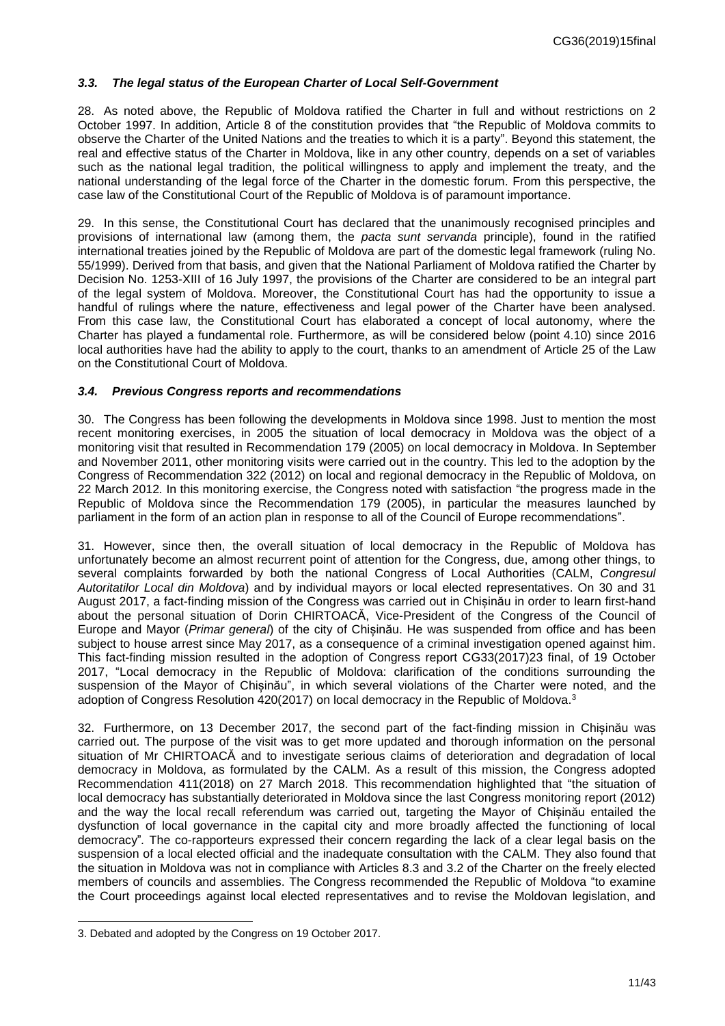### <span id="page-10-0"></span>*3.3. The legal status of the European Charter of Local Self-Government*

28. As noted above, the Republic of Moldova ratified the Charter in full and without restrictions on 2 October 1997. In addition, Article 8 of the constitution provides that "the Republic of Moldova commits to observe the Charter of the United Nations and the treaties to which it is a party". Beyond this statement, the real and effective status of the Charter in Moldova, like in any other country, depends on a set of variables such as the national legal tradition, the political willingness to apply and implement the treaty, and the national understanding of the legal force of the Charter in the domestic forum. From this perspective, the case law of the Constitutional Court of the Republic of Moldova is of paramount importance.

29. In this sense, the Constitutional Court has declared that the unanimously recognised principles and provisions of international law (among them, the *pacta sunt servanda* principle), found in the ratified international treaties joined by the Republic of Moldova are part of the domestic legal framework (ruling No. 55/1999). Derived from that basis, and given that the National Parliament of Moldova ratified the Charter by Decision No. 1253-XIII of 16 July 1997, the provisions of the Charter are considered to be an integral part of the legal system of Moldova. Moreover, the Constitutional Court has had the opportunity to issue a handful of rulings where the nature, effectiveness and legal power of the Charter have been analysed. From this case law, the Constitutional Court has elaborated a concept of local autonomy, where the Charter has played a fundamental role. Furthermore, as will be considered below (point 4.10) since 2016 local authorities have had the ability to apply to the court, thanks to an amendment of Article 25 of the Law on the Constitutional Court of Moldova.

#### <span id="page-10-1"></span>*3.4. Previous Congress reports and recommendations*

30. The Congress has been following the developments in Moldova since 1998. Just to mention the most recent monitoring exercises, in 2005 the situation of local democracy in Moldova was the object of a monitoring visit that resulted in Recommendation 179 (2005) on local democracy in Moldova. In September and November 2011, other monitoring visits were carried out in the country. This led to the adoption by the Congress of Recommendation 322 (2012) on local and regional democracy in the Republic of Moldova*,* on 22 March 2012*.* In this monitoring exercise, the Congress noted with satisfaction "the progress made in the Republic of Moldova since the Recommendation 179 (2005), in particular the measures launched by parliament in the form of an action plan in response to all of the Council of Europe recommendations".

31. However, since then, the overall situation of local democracy in the Republic of Moldova has unfortunately become an almost recurrent point of attention for the Congress, due, among other things, to several complaints forwarded by both the national Congress of Local Authorities (CALM, *Congresul Autoritatilor Local din Moldova*) and by individual mayors or local elected representatives. On 30 and 31 August 2017, a fact-finding mission of the Congress was carried out in Chișinău in order to learn first-hand about the personal situation of Dorin CHIRTOACĂ, Vice-President of the Congress of the Council of Europe and Mayor (*Primar general*) of the city of Chișinău. He was suspended from office and has been subject to house arrest since May 2017, as a consequence of a criminal investigation opened against him. This fact-finding mission resulted in the adoption of Congress report CG33(2017)23 final, of 19 October 2017, "Local democracy in the Republic of Moldova: clarification of the conditions surrounding the suspension of the Mayor of Chisinău", in which several violations of the Charter were noted, and the adoption of Congress Resolution 420(2017) on local democracy in the Republic of Moldova. 3

32. Furthermore, on 13 December 2017, the second part of the fact-finding mission in Chișinău was carried out. The purpose of the visit was to get more updated and thorough information on the personal situation of Mr CHIRTOACĂ and to investigate serious claims of deterioration and degradation of local democracy in Moldova, as formulated by the CALM. As a result of this mission, the Congress adopted Recommendation 411(2018) on 27 March 2018. This recommendation highlighted that "the situation of local democracy has substantially deteriorated in Moldova since the last Congress monitoring report (2012) and the way the local recall referendum was carried out, targeting the Mayor of Chișinău entailed the dysfunction of local governance in the capital city and more broadly affected the functioning of local democracy"*.* The co-rapporteurs expressed their concern regarding the lack of a clear legal basis on the suspension of a local elected official and the inadequate consultation with the CALM. They also found that the situation in Moldova was not in compliance with Articles 8.3 and 3.2 of the Charter on the freely elected members of councils and assemblies. The Congress recommended the Republic of Moldova "to examine the Court proceedings against local elected representatives and to revise the Moldovan legislation, and

l

<sup>3.</sup> Debated and adopted by the Congress on 19 October 2017.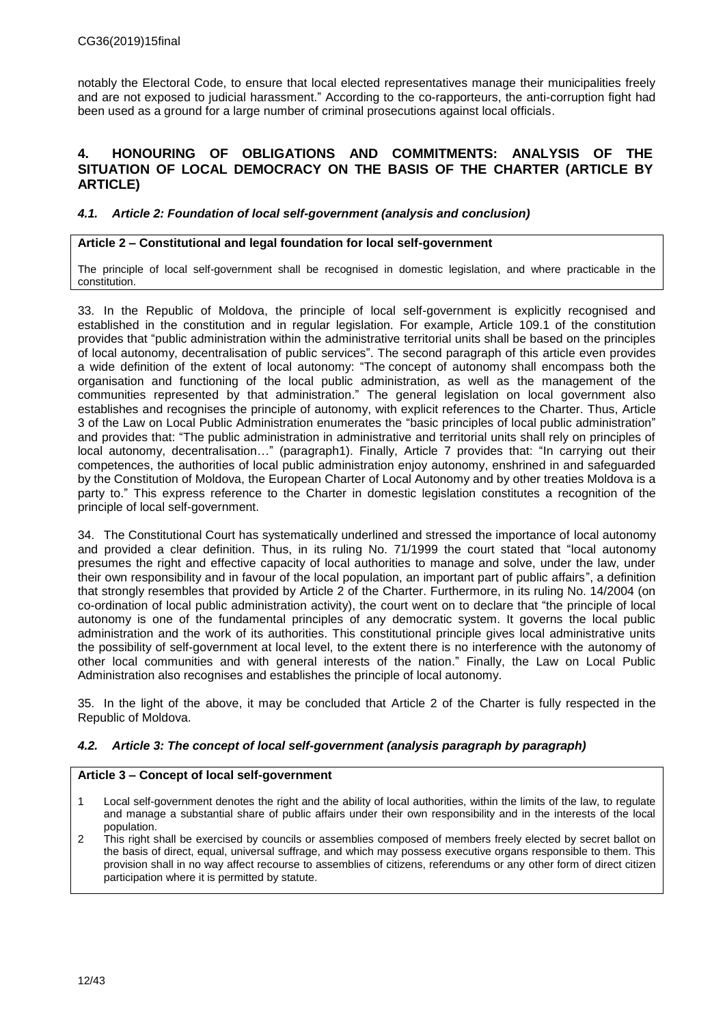notably the Electoral Code, to ensure that local elected representatives manage their municipalities freely and are not exposed to judicial harassment." According to the co-rapporteurs, the anti-corruption fight had been used as a ground for a large number of criminal prosecutions against local officials.

### <span id="page-11-0"></span>**4. HONOURING OF OBLIGATIONS AND COMMITMENTS: ANALYSIS OF THE SITUATION OF LOCAL DEMOCRACY ON THE BASIS OF THE CHARTER (ARTICLE BY ARTICLE)**

### <span id="page-11-1"></span>*4.1. Article 2: Foundation of local self-government (analysis and conclusion)*

### **Article 2 – Constitutional and legal foundation for local self-government**

The principle of local self-government shall be recognised in domestic legislation, and where practicable in the constitution.

33. In the Republic of Moldova, the principle of local self-government is explicitly recognised and established in the constitution and in regular legislation. For example, Article 109.1 of the constitution provides that "public administration within the administrative territorial units shall be based on the principles of local autonomy, decentralisation of public services". The second paragraph of this article even provides a wide definition of the extent of local autonomy: "The concept of autonomy shall encompass both the organisation and functioning of the local public administration, as well as the management of the communities represented by that administration." The general legislation on local government also establishes and recognises the principle of autonomy, with explicit references to the Charter. Thus, Article 3 of the Law on Local Public Administration enumerates the "basic principles of local public administration" and provides that: "The public administration in administrative and territorial units shall rely on principles of local autonomy, decentralisation..." (paragraph1). Finally, Article 7 provides that: "In carrying out their competences, the authorities of local public administration enjoy autonomy, enshrined in and safeguarded by the Constitution of Moldova, the European Charter of Local Autonomy and by other treaties Moldova is a party to." This express reference to the Charter in domestic legislation constitutes a recognition of the principle of local self-government.

34. The Constitutional Court has systematically underlined and stressed the importance of local autonomy and provided a clear definition. Thus, in its ruling No. 71/1999 the court stated that "local autonomy presumes the right and effective capacity of local authorities to manage and solve, under the law, under their own responsibility and in favour of the local population, an important part of public affairs", a definition that strongly resembles that provided by Article 2 of the Charter. Furthermore, in its ruling No. 14/2004 (on co-ordination of local public administration activity), the court went on to declare that "the principle of local autonomy is one of the fundamental principles of any democratic system. It governs the local public administration and the work of its authorities. This constitutional principle gives local administrative units the possibility of self-government at local level, to the extent there is no interference with the autonomy of other local communities and with general interests of the nation." Finally, the Law on Local Public Administration also recognises and establishes the principle of local autonomy.

35. In the light of the above, it may be concluded that Article 2 of the Charter is fully respected in the Republic of Moldova.

### <span id="page-11-2"></span>*4.2. Article 3: The concept of local self-government (analysis paragraph by paragraph)*

#### **Article 3 – Concept of local self-government**

- 1 Local self-government denotes the right and the ability of local authorities, within the limits of the law, to regulate and manage a substantial share of public affairs under their own responsibility and in the interests of the local population.
- 2 This right shall be exercised by councils or assemblies composed of members freely elected by secret ballot on the basis of direct, equal, universal suffrage, and which may possess executive organs responsible to them. This provision shall in no way affect recourse to assemblies of citizens, referendums or any other form of direct citizen participation where it is permitted by statute.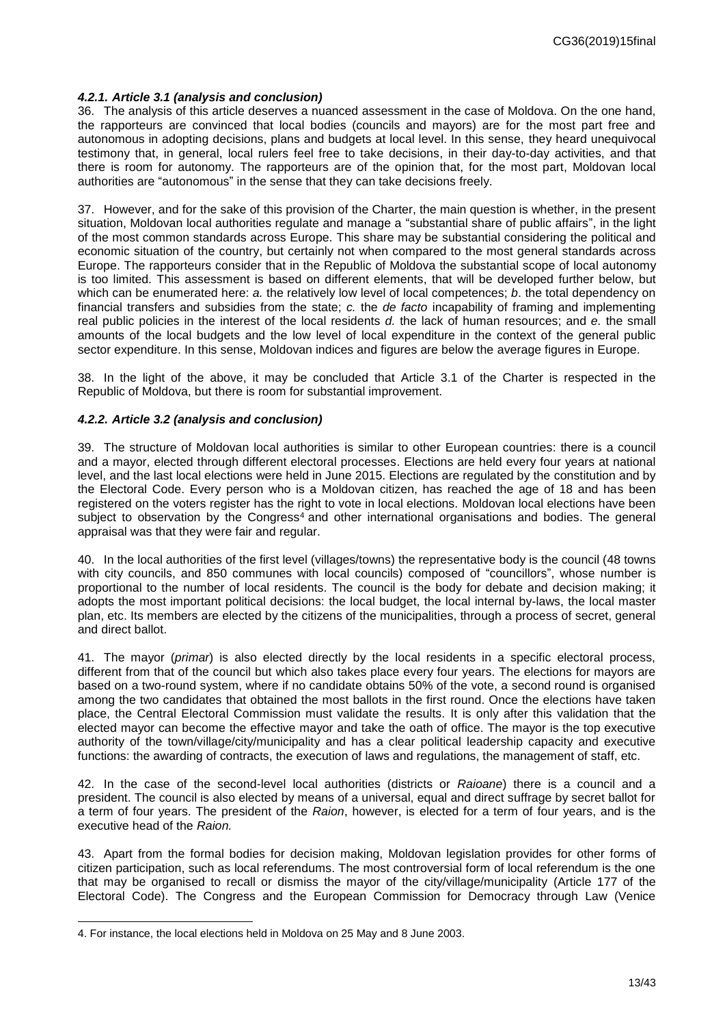### <span id="page-12-0"></span>*4.2.1. Article 3.1 (analysis and conclusion)*

36. The analysis of this article deserves a nuanced assessment in the case of Moldova. On the one hand, the rapporteurs are convinced that local bodies (councils and mayors) are for the most part free and autonomous in adopting decisions, plans and budgets at local level. In this sense, they heard unequivocal testimony that, in general, local rulers feel free to take decisions, in their day-to-day activities, and that there is room for autonomy. The rapporteurs are of the opinion that, for the most part, Moldovan local authorities are "autonomous" in the sense that they can take decisions freely.

37. However, and for the sake of this provision of the Charter, the main question is whether, in the present situation, Moldovan local authorities regulate and manage a "substantial share of public affairs", in the light of the most common standards across Europe. This share may be substantial considering the political and economic situation of the country, but certainly not when compared to the most general standards across Europe. The rapporteurs consider that in the Republic of Moldova the substantial scope of local autonomy is too limited. This assessment is based on different elements, that will be developed further below, but which can be enumerated here: *a.* the relatively low level of local competences; *b*. the total dependency on financial transfers and subsidies from the state; *c.* the *de facto* incapability of framing and implementing real public policies in the interest of the local residents *d.* the lack of human resources; and *e.* the small amounts of the local budgets and the low level of local expenditure in the context of the general public sector expenditure. In this sense, Moldovan indices and figures are below the average figures in Europe.

38. In the light of the above, it may be concluded that Article 3.1 of the Charter is respected in the Republic of Moldova, but there is room for substantial improvement.

### <span id="page-12-1"></span>*4.2.2. Article 3.2 (analysis and conclusion)*

39. The structure of Moldovan local authorities is similar to other European countries: there is a council and a mayor, elected through different electoral processes. Elections are held every four years at national level, and the last local elections were held in June 2015. Elections are regulated by the constitution and by the Electoral Code. Every person who is a Moldovan citizen, has reached the age of 18 and has been registered on the voters register has the right to vote in local elections. Moldovan local elections have been subject to observation by the Congress<sup>4</sup> and other international organisations and bodies. The general appraisal was that they were fair and regular.

40. In the local authorities of the first level (villages/towns) the representative body is the council (48 towns with city councils, and 850 communes with local councils) composed of "councillors", whose number is proportional to the number of local residents. The council is the body for debate and decision making; it adopts the most important political decisions: the local budget, the local internal by-laws, the local master plan, etc. Its members are elected by the citizens of the municipalities, through a process of secret, general and direct ballot.

41. The mayor (*primar*) is also elected directly by the local residents in a specific electoral process, different from that of the council but which also takes place every four years. The elections for mayors are based on a two-round system, where if no candidate obtains 50% of the vote, a second round is organised among the two candidates that obtained the most ballots in the first round. Once the elections have taken place, the Central Electoral Commission must validate the results. It is only after this validation that the elected mayor can become the effective mayor and take the oath of office. The mayor is the top executive authority of the town/village/city/municipality and has a clear political leadership capacity and executive functions: the awarding of contracts, the execution of laws and regulations, the management of staff, etc.

42. In the case of the second-level local authorities (districts or *Raioane*) there is a council and a president. The council is also elected by means of a universal, equal and direct suffrage by secret ballot for a term of four years. The president of the *Raion*, however, is elected for a term of four years, and is the executive head of the *Raion.*

43. Apart from the formal bodies for decision making, Moldovan legislation provides for other forms of citizen participation, such as local referendums. The most controversial form of local referendum is the one that may be organised to recall or dismiss the mayor of the city/village/municipality (Article 177 of the Electoral Code). The Congress and the European Commission for Democracy through Law (Venice

l

<sup>4.</sup> For instance, the local elections held in Moldova on 25 May and 8 June 2003.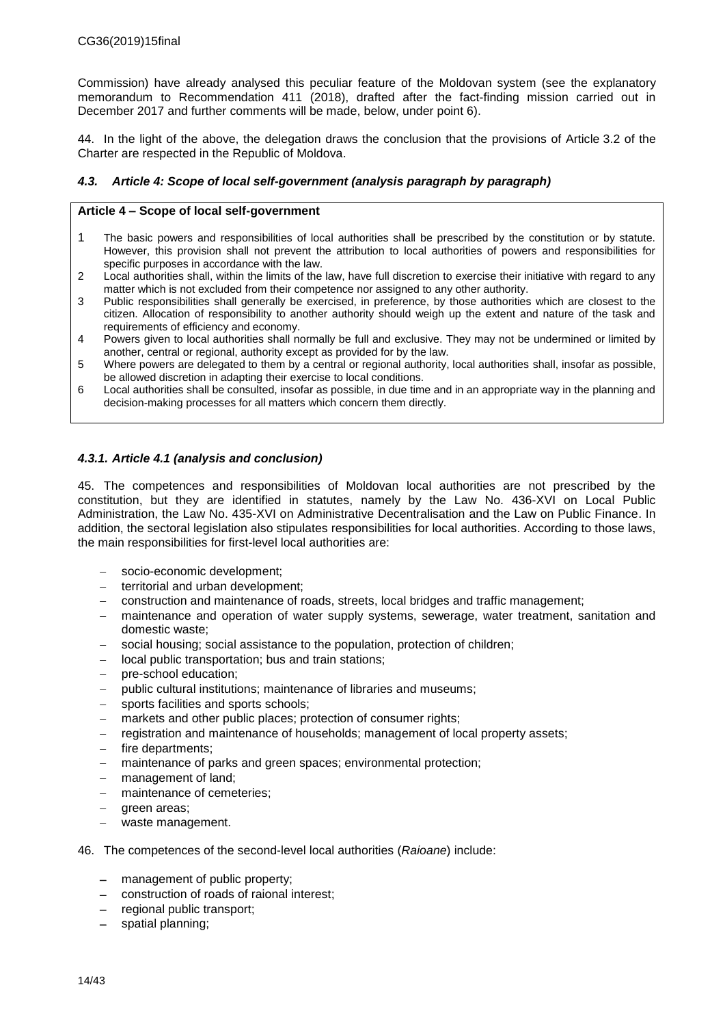Commission) have already analysed this peculiar feature of the Moldovan system (see the explanatory memorandum to Recommendation 411 (2018), drafted after the fact-finding mission carried out in December 2017 and further comments will be made, below, under point 6).

44. In the light of the above, the delegation draws the conclusion that the provisions of Article 3.2 of the Charter are respected in the Republic of Moldova.

### <span id="page-13-0"></span>*4.3. Article 4: Scope of local self-government (analysis paragraph by paragraph)*

#### **Article 4 – Scope of local self-government**

- 1 The basic powers and responsibilities of local authorities shall be prescribed by the constitution or by statute. However, this provision shall not prevent the attribution to local authorities of powers and responsibilities for specific purposes in accordance with the law.
- 2 Local authorities shall, within the limits of the law, have full discretion to exercise their initiative with regard to any matter which is not excluded from their competence nor assigned to any other authority.
- 3 Public responsibilities shall generally be exercised, in preference, by those authorities which are closest to the citizen. Allocation of responsibility to another authority should weigh up the extent and nature of the task and requirements of efficiency and economy.
- 4 Powers given to local authorities shall normally be full and exclusive. They may not be undermined or limited by another, central or regional, authority except as provided for by the law.
- 5 Where powers are delegated to them by a central or regional authority, local authorities shall, insofar as possible, be allowed discretion in adapting their exercise to local conditions.
- 6 Local authorities shall be consulted, insofar as possible, in due time and in an appropriate way in the planning and decision-making processes for all matters which concern them directly.

### <span id="page-13-1"></span>*4.3.1. Article 4.1 (analysis and conclusion)*

45. The competences and responsibilities of Moldovan local authorities are not prescribed by the constitution, but they are identified in statutes, namely by the Law No. 436-XVI on Local Public Administration, the Law No. 435-XVI on Administrative Decentralisation and the Law on Public Finance. In addition, the sectoral legislation also stipulates responsibilities for local authorities. According to those laws, the main responsibilities for first-level local authorities are:

- socio-economic development;
- $-$  territorial and urban development;
- construction and maintenance of roads, streets, local bridges and traffic management;
- maintenance and operation of water supply systems, sewerage, water treatment, sanitation and domestic waste;
- social housing; social assistance to the population, protection of children;
- local public transportation; bus and train stations;
- pre-school education;
- public cultural institutions; maintenance of libraries and museums;
- sports facilities and sports schools;
- markets and other public places; protection of consumer rights;
- registration and maintenance of households; management of local property assets;
- fire departments;
- maintenance of parks and green spaces; environmental protection;
- management of land;
- maintenance of cemeteries;
- green areas;
- waste management.
- 46. The competences of the second-level local authorities (*Raioane*) include:
	- management of public property;
	- construction of roads of raional interest;
	- regional public transport;
	- spatial planning;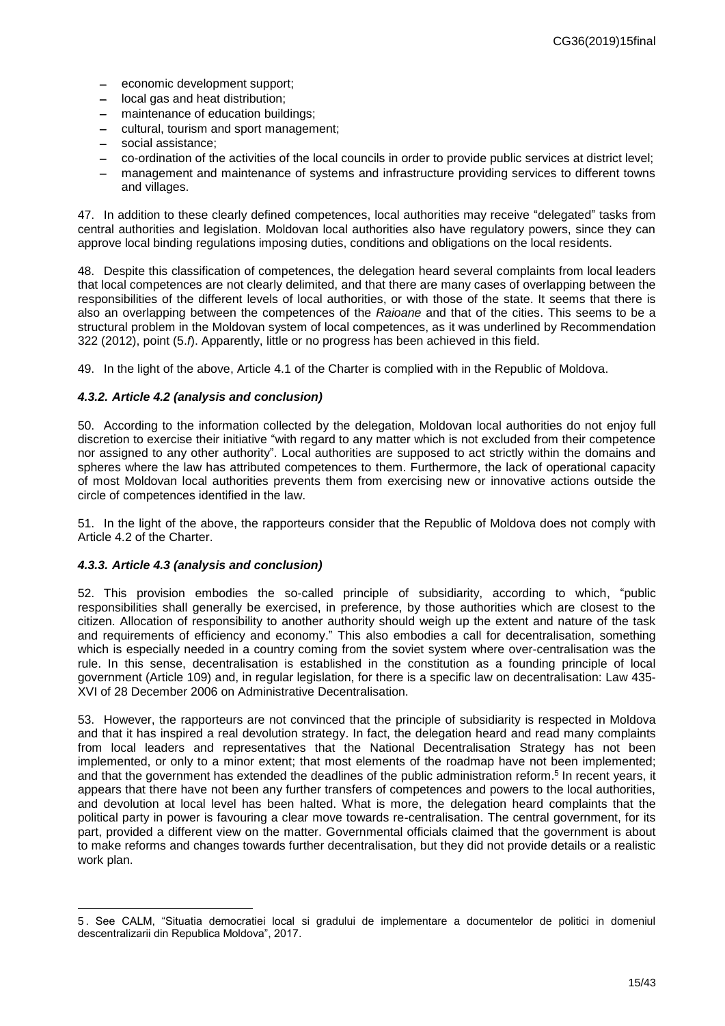- economic development support;
- local gas and heat distribution;
- maintenance of education buildings;
- cultural, tourism and sport management:
- social assistance;
- co-ordination of the activities of the local councils in order to provide public services at district level;
- management and maintenance of systems and infrastructure providing services to different towns and villages.

47. In addition to these clearly defined competences, local authorities may receive "delegated" tasks from central authorities and legislation. Moldovan local authorities also have regulatory powers, since they can approve local binding regulations imposing duties, conditions and obligations on the local residents.

48. Despite this classification of competences, the delegation heard several complaints from local leaders that local competences are not clearly delimited, and that there are many cases of overlapping between the responsibilities of the different levels of local authorities, or with those of the state. It seems that there is also an overlapping between the competences of the *Raioane* and that of the cities. This seems to be a structural problem in the Moldovan system of local competences, as it was underlined by Recommendation 322 (2012), point (5.*f*). Apparently, little or no progress has been achieved in this field.

49. In the light of the above, Article 4.1 of the Charter is complied with in the Republic of Moldova.

#### <span id="page-14-0"></span>*4.3.2. Article 4.2 (analysis and conclusion)*

50. According to the information collected by the delegation, Moldovan local authorities do not enjoy full discretion to exercise their initiative "with regard to any matter which is not excluded from their competence nor assigned to any other authority". Local authorities are supposed to act strictly within the domains and spheres where the law has attributed competences to them. Furthermore, the lack of operational capacity of most Moldovan local authorities prevents them from exercising new or innovative actions outside the circle of competences identified in the law.

51. In the light of the above, the rapporteurs consider that the Republic of Moldova does not comply with Article 4.2 of the Charter.

#### <span id="page-14-1"></span>*4.3.3. Article 4.3 (analysis and conclusion)*

l

52. This provision embodies the so-called principle of subsidiarity, according to which, "public responsibilities shall generally be exercised, in preference, by those authorities which are closest to the citizen. Allocation of responsibility to another authority should weigh up the extent and nature of the task and requirements of efficiency and economy." This also embodies a call for decentralisation, something which is especially needed in a country coming from the soviet system where over-centralisation was the rule. In this sense, decentralisation is established in the constitution as a founding principle of local government (Article 109) and, in regular legislation, for there is a specific law on decentralisation: Law 435- XVI of 28 December 2006 on Administrative Decentralisation.

53. However, the rapporteurs are not convinced that the principle of subsidiarity is respected in Moldova and that it has inspired a real devolution strategy. In fact, the delegation heard and read many complaints from local leaders and representatives that the National Decentralisation Strategy has not been implemented, or only to a minor extent; that most elements of the roadmap have not been implemented; and that the government has extended the deadlines of the public administration reform. 5 In recent years, it appears that there have not been any further transfers of competences and powers to the local authorities, and devolution at local level has been halted. What is more, the delegation heard complaints that the political party in power is favouring a clear move towards re-centralisation. The central government, for its part, provided a different view on the matter. Governmental officials claimed that the government is about to make reforms and changes towards further decentralisation, but they did not provide details or a realistic work plan.

<sup>5</sup> . See CALM, "Situatia democratiei local si gradului de implementare a documentelor de politici in domeniul descentralizarii din Republica Moldova", 2017.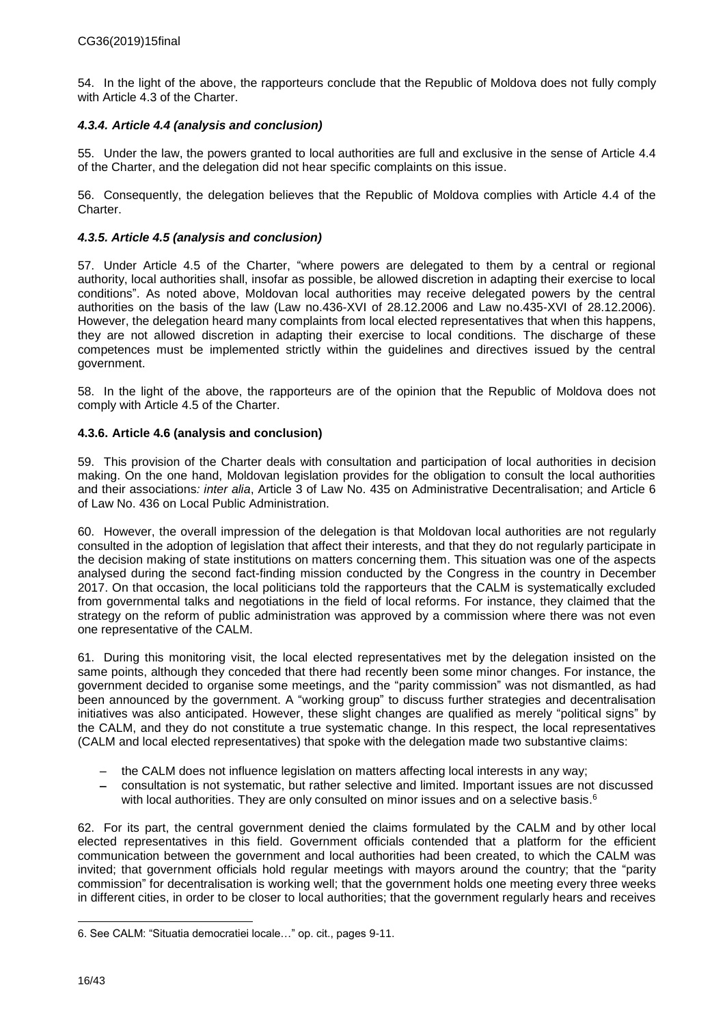54. In the light of the above, the rapporteurs conclude that the Republic of Moldova does not fully comply with Article 4.3 of the Charter.

### <span id="page-15-0"></span>*4.3.4. Article 4.4 (analysis and conclusion)*

55. Under the law, the powers granted to local authorities are full and exclusive in the sense of Article 4.4 of the Charter, and the delegation did not hear specific complaints on this issue.

56. Consequently, the delegation believes that the Republic of Moldova complies with Article 4.4 of the Charter.

### <span id="page-15-1"></span>*4.3.5. Article 4.5 (analysis and conclusion)*

57. Under Article 4.5 of the Charter, "where powers are delegated to them by a central or regional authority, local authorities shall, insofar as possible, be allowed discretion in adapting their exercise to local conditions". As noted above, Moldovan local authorities may receive delegated powers by the central authorities on the basis of the law (Law no.436-XVI of 28.12.2006 and Law no.435-XVI of 28.12.2006). However, the delegation heard many complaints from local elected representatives that when this happens, they are not allowed discretion in adapting their exercise to local conditions*.* The discharge of these competences must be implemented strictly within the guidelines and directives issued by the central government.

58. In the light of the above, the rapporteurs are of the opinion that the Republic of Moldova does not comply with Article 4.5 of the Charter.

### <span id="page-15-2"></span>**4.3.6. Article 4.6 (analysis and conclusion)**

59. This provision of the Charter deals with consultation and participation of local authorities in decision making. On the one hand, Moldovan legislation provides for the obligation to consult the local authorities and their associations*: inter alia*, Article 3 of Law No. 435 on Administrative Decentralisation; and Article 6 of Law No. 436 on Local Public Administration.

60. However, the overall impression of the delegation is that Moldovan local authorities are not regularly consulted in the adoption of legislation that affect their interests, and that they do not regularly participate in the decision making of state institutions on matters concerning them. This situation was one of the aspects analysed during the second fact-finding mission conducted by the Congress in the country in December 2017. On that occasion, the local politicians told the rapporteurs that the CALM is systematically excluded from governmental talks and negotiations in the field of local reforms. For instance, they claimed that the strategy on the reform of public administration was approved by a commission where there was not even one representative of the CALM.

61. During this monitoring visit, the local elected representatives met by the delegation insisted on the same points, although they conceded that there had recently been some minor changes. For instance, the government decided to organise some meetings, and the "parity commission" was not dismantled, as had been announced by the government. A "working group" to discuss further strategies and decentralisation initiatives was also anticipated. However, these slight changes are qualified as merely "political signs" by the CALM, and they do not constitute a true systematic change. In this respect, the local representatives (CALM and local elected representatives) that spoke with the delegation made two substantive claims:

- the CALM does not influence legislation on matters affecting local interests in any way;
- consultation is not systematic, but rather selective and limited. Important issues are not discussed with local authorities. They are only consulted on minor issues and on a selective basis.<sup>6</sup>

62. For its part, the central government denied the claims formulated by the CALM and by other local elected representatives in this field. Government officials contended that a platform for the efficient communication between the government and local authorities had been created, to which the CALM was invited; that government officials hold regular meetings with mayors around the country; that the "parity commission" for decentralisation is working well; that the government holds one meeting every three weeks in different cities, in order to be closer to local authorities; that the government regularly hears and receives

l

<sup>6.</sup> See CALM: "Situatia democratiei locale…" op. cit., pages 9-11.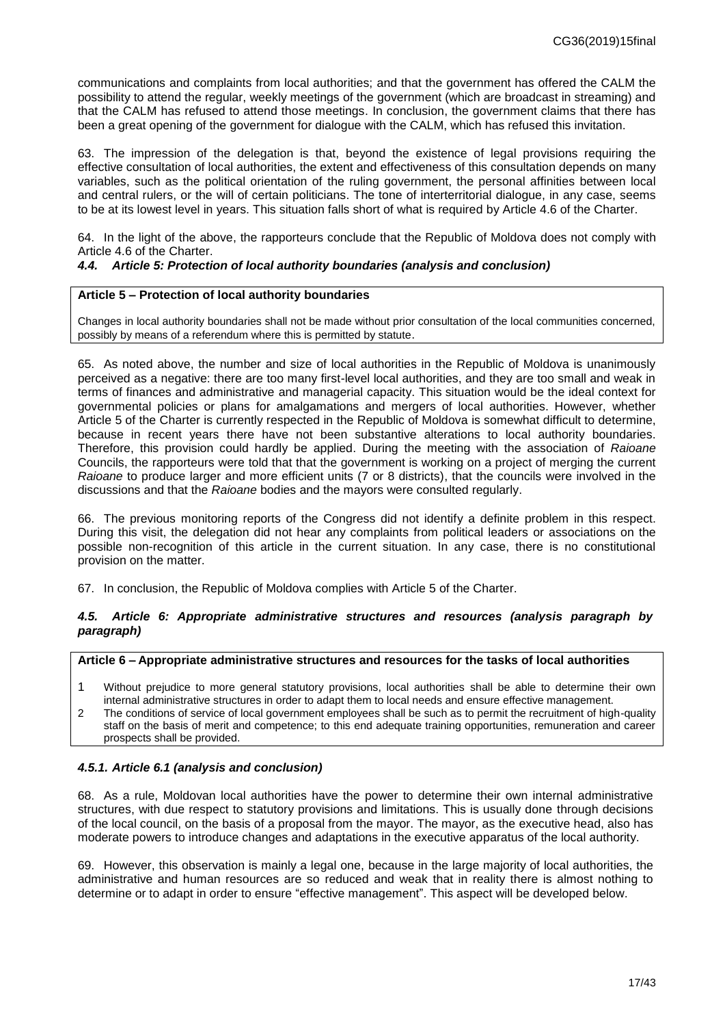communications and complaints from local authorities; and that the government has offered the CALM the possibility to attend the regular, weekly meetings of the government (which are broadcast in streaming) and that the CALM has refused to attend those meetings. In conclusion, the government claims that there has been a great opening of the government for dialogue with the CALM, which has refused this invitation.

63. The impression of the delegation is that, beyond the existence of legal provisions requiring the effective consultation of local authorities, the extent and effectiveness of this consultation depends on many variables, such as the political orientation of the ruling government, the personal affinities between local and central rulers, or the will of certain politicians. The tone of interterritorial dialogue, in any case, seems to be at its lowest level in years. This situation falls short of what is required by Article 4.6 of the Charter.

64. In the light of the above, the rapporteurs conclude that the Republic of Moldova does not comply with Article 4.6 of the Charter.

### <span id="page-16-0"></span>*4.4. Article 5: Protection of local authority boundaries (analysis and conclusion)*

#### **Article 5 – Protection of local authority boundaries**

Changes in local authority boundaries shall not be made without prior consultation of the local communities concerned, possibly by means of a referendum where this is permitted by statute.

65. As noted above, the number and size of local authorities in the Republic of Moldova is unanimously perceived as a negative: there are too many first-level local authorities, and they are too small and weak in terms of finances and administrative and managerial capacity. This situation would be the ideal context for governmental policies or plans for amalgamations and mergers of local authorities. However, whether Article 5 of the Charter is currently respected in the Republic of Moldova is somewhat difficult to determine, because in recent years there have not been substantive alterations to local authority boundaries. Therefore, this provision could hardly be applied. During the meeting with the association of *Raioane* Councils, the rapporteurs were told that that the government is working on a project of merging the current *Raioane* to produce larger and more efficient units (7 or 8 districts), that the councils were involved in the discussions and that the *Raioane* bodies and the mayors were consulted regularly.

66. The previous monitoring reports of the Congress did not identify a definite problem in this respect. During this visit, the delegation did not hear any complaints from political leaders or associations on the possible non-recognition of this article in the current situation. In any case, there is no constitutional provision on the matter.

67. In conclusion, the Republic of Moldova complies with Article 5 of the Charter.

#### <span id="page-16-1"></span>*4.5. Article 6: Appropriate administrative structures and resources (analysis paragraph by paragraph)*

#### **Article 6 – Appropriate administrative structures and resources for the tasks of local authorities**

- 1 Without prejudice to more general statutory provisions, local authorities shall be able to determine their own internal administrative structures in order to adapt them to local needs and ensure effective management.
- 2 The conditions of service of local government employees shall be such as to permit the recruitment of high-quality staff on the basis of merit and competence; to this end adequate training opportunities, remuneration and career prospects shall be provided.

#### <span id="page-16-2"></span>*4.5.1. Article 6.1 (analysis and conclusion)*

68. As a rule, Moldovan local authorities have the power to determine their own internal administrative structures, with due respect to statutory provisions and limitations. This is usually done through decisions of the local council, on the basis of a proposal from the mayor. The mayor, as the executive head, also has moderate powers to introduce changes and adaptations in the executive apparatus of the local authority.

69. However, this observation is mainly a legal one, because in the large majority of local authorities, the administrative and human resources are so reduced and weak that in reality there is almost nothing to determine or to adapt in order to ensure "effective management". This aspect will be developed below.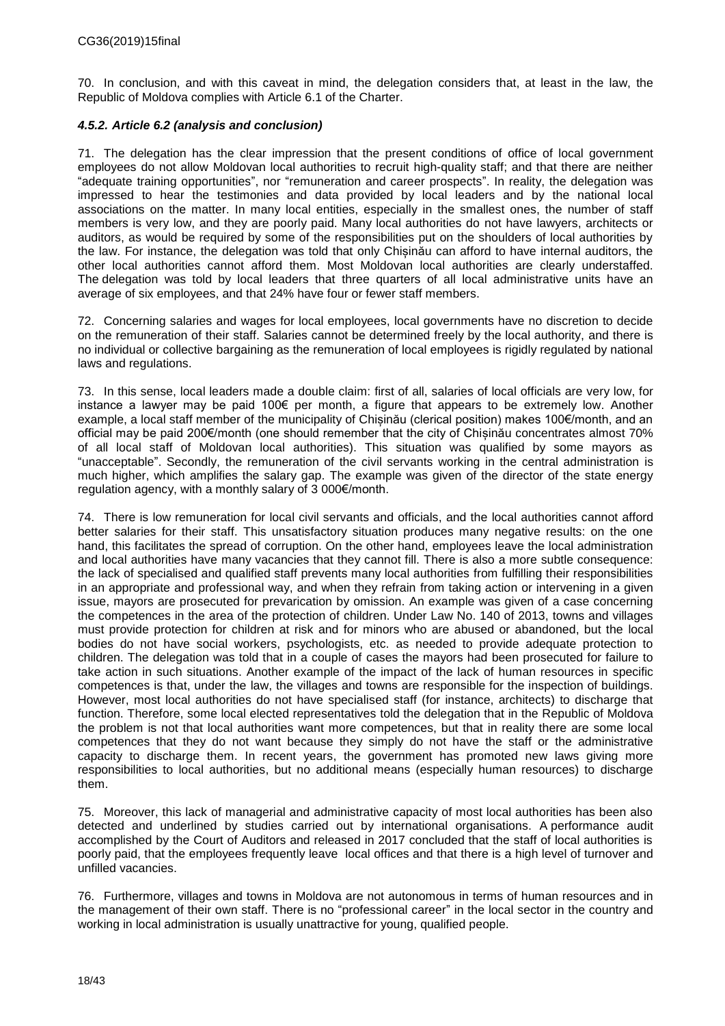70. In conclusion, and with this caveat in mind, the delegation considers that, at least in the law, the Republic of Moldova complies with Article 6.1 of the Charter.

### <span id="page-17-0"></span>*4.5.2. Article 6.2 (analysis and conclusion)*

71. The delegation has the clear impression that the present conditions of office of local government employees do not allow Moldovan local authorities to recruit high-quality staff; and that there are neither "adequate training opportunities", nor "remuneration and career prospects". In reality, the delegation was impressed to hear the testimonies and data provided by local leaders and by the national local associations on the matter. In many local entities, especially in the smallest ones, the number of staff members is very low, and they are poorly paid. Many local authorities do not have lawyers, architects or auditors, as would be required by some of the responsibilities put on the shoulders of local authorities by the law. For instance, the delegation was told that only Chișinău can afford to have internal auditors, the other local authorities cannot afford them. Most Moldovan local authorities are clearly understaffed. The delegation was told by local leaders that three quarters of all local administrative units have an average of six employees, and that 24% have four or fewer staff members.

72. Concerning salaries and wages for local employees, local governments have no discretion to decide on the remuneration of their staff. Salaries cannot be determined freely by the local authority, and there is no individual or collective bargaining as the remuneration of local employees is rigidly regulated by national laws and regulations.

73. In this sense, local leaders made a double claim: first of all, salaries of local officials are very low, for instance a lawyer may be paid 100€ per month, a figure that appears to be extremely low. Another example, a local staff member of the municipality of Chișinău (clerical position) makes 100€/month, and an official may be paid 200€/month (one should remember that the city of Chișinău concentrates almost 70% of all local staff of Moldovan local authorities). This situation was qualified by some mayors as "unacceptable". Secondly, the remuneration of the civil servants working in the central administration is much higher, which amplifies the salary gap. The example was given of the director of the state energy regulation agency, with a monthly salary of 3 000€/month.

74. There is low remuneration for local civil servants and officials, and the local authorities cannot afford better salaries for their staff. This unsatisfactory situation produces many negative results: on the one hand, this facilitates the spread of corruption. On the other hand, employees leave the local administration and local authorities have many vacancies that they cannot fill. There is also a more subtle consequence: the lack of specialised and qualified staff prevents many local authorities from fulfilling their responsibilities in an appropriate and professional way, and when they refrain from taking action or intervening in a given issue, mayors are prosecuted for prevarication by omission. An example was given of a case concerning the competences in the area of the protection of children. Under Law No. 140 of 2013, towns and villages must provide protection for children at risk and for minors who are abused or abandoned, but the local bodies do not have social workers, psychologists, etc. as needed to provide adequate protection to children. The delegation was told that in a couple of cases the mayors had been prosecuted for failure to take action in such situations. Another example of the impact of the lack of human resources in specific competences is that, under the law, the villages and towns are responsible for the inspection of buildings. However, most local authorities do not have specialised staff (for instance, architects) to discharge that function. Therefore, some local elected representatives told the delegation that in the Republic of Moldova the problem is not that local authorities want more competences, but that in reality there are some local competences that they do not want because they simply do not have the staff or the administrative capacity to discharge them. In recent years, the government has promoted new laws giving more responsibilities to local authorities, but no additional means (especially human resources) to discharge them.

75. Moreover, this lack of managerial and administrative capacity of most local authorities has been also detected and underlined by studies carried out by international organisations. A performance audit accomplished by the Court of Auditors and released in 2017 concluded that the staff of local authorities is poorly paid, that the employees frequently leave local offices and that there is a high level of turnover and unfilled vacancies.

76. Furthermore, villages and towns in Moldova are not autonomous in terms of human resources and in the management of their own staff. There is no "professional career" in the local sector in the country and working in local administration is usually unattractive for young, qualified people.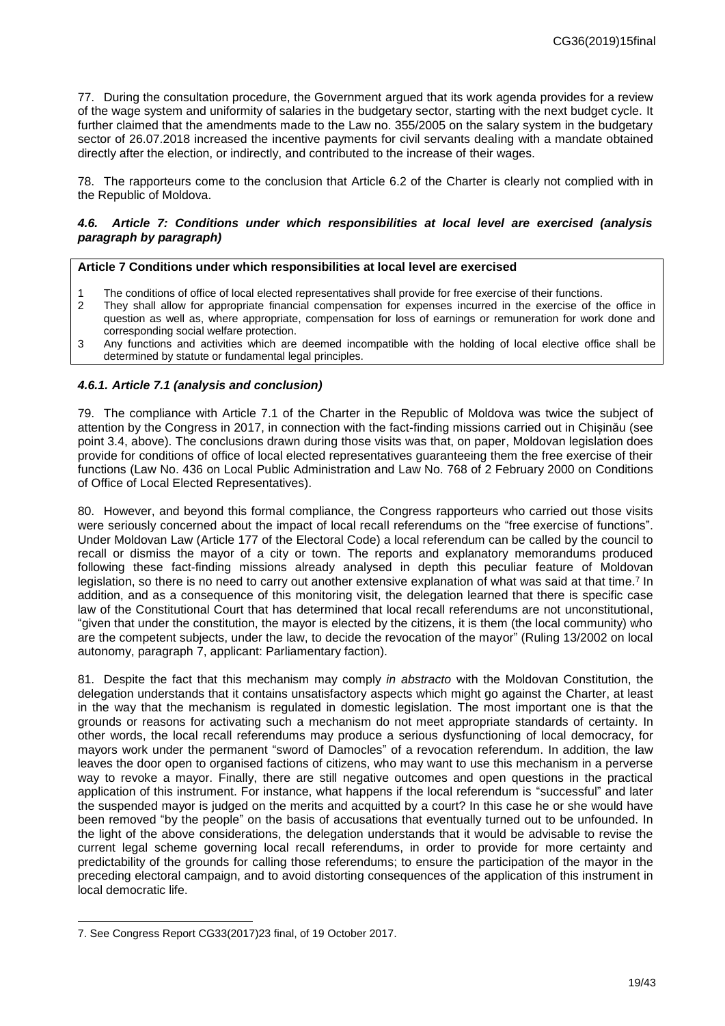77. During the consultation procedure, the Government argued that its work agenda provides for a review of the wage system and uniformity of salaries in the budgetary sector, starting with the next budget cycle. It further claimed that the amendments made to the Law no. 355/2005 on the salary system in the budgetary sector of 26.07.2018 increased the incentive payments for civil servants dealing with a mandate obtained directly after the election, or indirectly, and contributed to the increase of their wages.

78. The rapporteurs come to the conclusion that Article 6.2 of the Charter is clearly not complied with in the Republic of Moldova.

#### <span id="page-18-0"></span>*4.6. Article 7: Conditions under which responsibilities at local level are exercised (analysis paragraph by paragraph)*

#### **Article 7 Conditions under which responsibilities at local level are exercised**

- The conditions of office of local elected representatives shall provide for free exercise of their functions.
- 2 They shall allow for appropriate financial compensation for expenses incurred in the exercise of the office in question as well as, where appropriate, compensation for loss of earnings or remuneration for work done and corresponding social welfare protection.
- 3 Any functions and activities which are deemed incompatible with the holding of local elective office shall be determined by statute or fundamental legal principles.

#### <span id="page-18-1"></span>*4.6.1. Article 7.1 (analysis and conclusion)*

79. The compliance with Article 7.1 of the Charter in the Republic of Moldova was twice the subject of attention by the Congress in 2017, in connection with the fact-finding missions carried out in Chișinău (see point 3.4, above). The conclusions drawn during those visits was that, on paper, Moldovan legislation does provide for conditions of office of local elected representatives guaranteeing them the free exercise of their functions (Law No. 436 on Local Public Administration and Law No. 768 of 2 February 2000 on Conditions of Office of Local Elected Representatives).

80. However, and beyond this formal compliance, the Congress rapporteurs who carried out those visits were seriously concerned about the impact of local recall referendums on the "free exercise of functions". Under Moldovan Law (Article 177 of the Electoral Code) a local referendum can be called by the council to recall or dismiss the mayor of a city or town. The reports and explanatory memorandums produced following these fact-finding missions already analysed in depth this peculiar feature of Moldovan legislation, so there is no need to carry out another extensive explanation of what was said at that time.<sup>7</sup> In addition, and as a consequence of this monitoring visit, the delegation learned that there is specific case law of the Constitutional Court that has determined that local recall referendums are not unconstitutional, "given that under the constitution, the mayor is elected by the citizens, it is them (the local community) who are the competent subjects, under the law, to decide the revocation of the mayor" (Ruling 13/2002 on local autonomy, paragraph 7, applicant: Parliamentary faction).

81. Despite the fact that this mechanism may comply *in abstracto* with the Moldovan Constitution, the delegation understands that it contains unsatisfactory aspects which might go against the Charter, at least in the way that the mechanism is regulated in domestic legislation. The most important one is that the grounds or reasons for activating such a mechanism do not meet appropriate standards of certainty. In other words, the local recall referendums may produce a serious dysfunctioning of local democracy, for mayors work under the permanent "sword of Damocles" of a revocation referendum. In addition, the law leaves the door open to organised factions of citizens, who may want to use this mechanism in a perverse way to revoke a mayor. Finally, there are still negative outcomes and open questions in the practical application of this instrument. For instance, what happens if the local referendum is "successful" and later the suspended mayor is judged on the merits and acquitted by a court? In this case he or she would have been removed "by the people" on the basis of accusations that eventually turned out to be unfounded. In the light of the above considerations, the delegation understands that it would be advisable to revise the current legal scheme governing local recall referendums, in order to provide for more certainty and predictability of the grounds for calling those referendums; to ensure the participation of the mayor in the preceding electoral campaign, and to avoid distorting consequences of the application of this instrument in local democratic life.

l

<sup>7.</sup> See Congress Report CG33(2017)23 final, of 19 October 2017.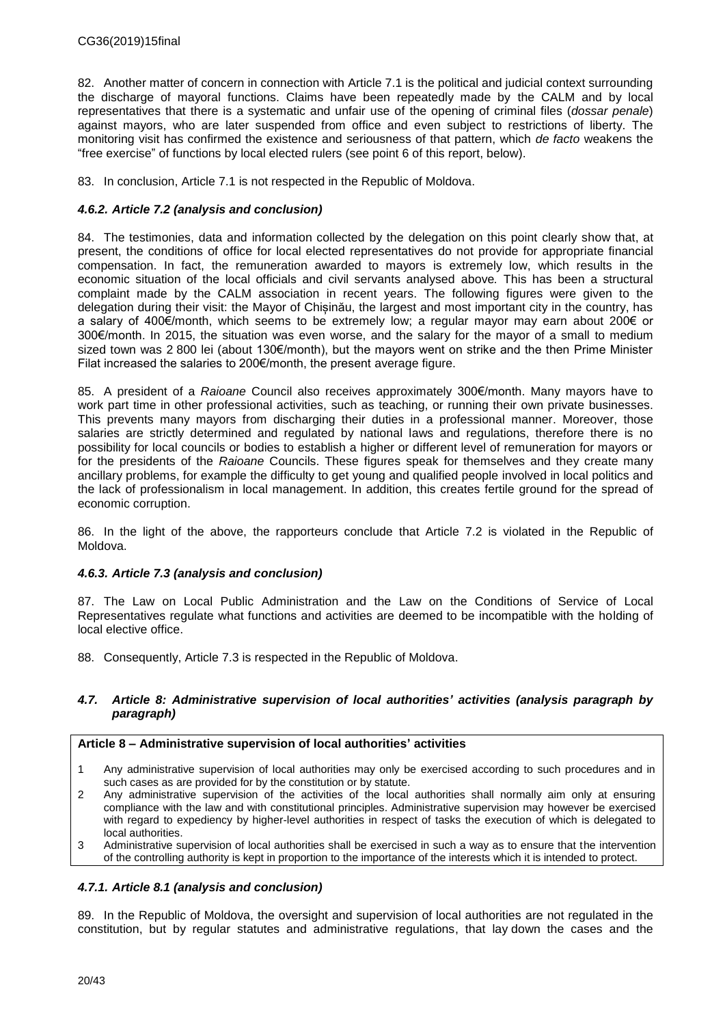82. Another matter of concern in connection with Article 7.1 is the political and judicial context surrounding the discharge of mayoral functions. Claims have been repeatedly made by the CALM and by local representatives that there is a systematic and unfair use of the opening of criminal files (*dossar penale*) against mayors, who are later suspended from office and even subject to restrictions of liberty. The monitoring visit has confirmed the existence and seriousness of that pattern, which *de facto* weakens the "free exercise" of functions by local elected rulers (see point 6 of this report, below).

83. In conclusion, Article 7.1 is not respected in the Republic of Moldova.

### <span id="page-19-0"></span>*4.6.2. Article 7.2 (analysis and conclusion)*

84. The testimonies, data and information collected by the delegation on this point clearly show that, at present, the conditions of office for local elected representatives do not provide for appropriate financial compensation. In fact, the remuneration awarded to mayors is extremely low, which results in the economic situation of the local officials and civil servants analysed above*.* This has been a structural complaint made by the CALM association in recent years. The following figures were given to the delegation during their visit: the Mayor of Chișinău, the largest and most important city in the country, has a salary of 400€/month, which seems to be extremely low; a regular mayor may earn about 200€ or 300€/month. In 2015, the situation was even worse, and the salary for the mayor of a small to medium sized town was 2 800 lei (about 130€/month), but the mayors went on strike and the then Prime Minister Filat increased the salaries to 200€/month, the present average figure.

85. A president of a *Raioane* Council also receives approximately 300€/month. Many mayors have to work part time in other professional activities, such as teaching, or running their own private businesses. This prevents many mayors from discharging their duties in a professional manner. Moreover, those salaries are strictly determined and regulated by national laws and regulations, therefore there is no possibility for local councils or bodies to establish a higher or different level of remuneration for mayors or for the presidents of the *Raioane* Councils. These figures speak for themselves and they create many ancillary problems, for example the difficulty to get young and qualified people involved in local politics and the lack of professionalism in local management. In addition, this creates fertile ground for the spread of economic corruption.

86. In the light of the above, the rapporteurs conclude that Article 7.2 is violated in the Republic of Moldova.

### <span id="page-19-1"></span>*4.6.3. Article 7.3 (analysis and conclusion)*

87. The Law on Local Public Administration and the Law on the Conditions of Service of Local Representatives regulate what functions and activities are deemed to be incompatible with the holding of local elective office.

88. Consequently, Article 7.3 is respected in the Republic of Moldova.

### <span id="page-19-2"></span>*4.7. Article 8: Administrative supervision of local authorities' activities (analysis paragraph by paragraph)*

#### **Article 8 – Administrative supervision of local authorities' activities**

- 1 Any administrative supervision of local authorities may only be exercised according to such procedures and in such cases as are provided for by the constitution or by statute.
- 2 Any administrative supervision of the activities of the local authorities shall normally aim only at ensuring compliance with the law and with constitutional principles. Administrative supervision may however be exercised with regard to expediency by higher-level authorities in respect of tasks the execution of which is delegated to local authorities.
- 3 Administrative supervision of local authorities shall be exercised in such a way as to ensure that the intervention of the controlling authority is kept in proportion to the importance of the interests which it is intended to protect.

### <span id="page-19-3"></span>*4.7.1. Article 8.1 (analysis and conclusion)*

89. In the Republic of Moldova, the oversight and supervision of local authorities are not regulated in the constitution, but by regular statutes and administrative regulations, that lay down the cases and the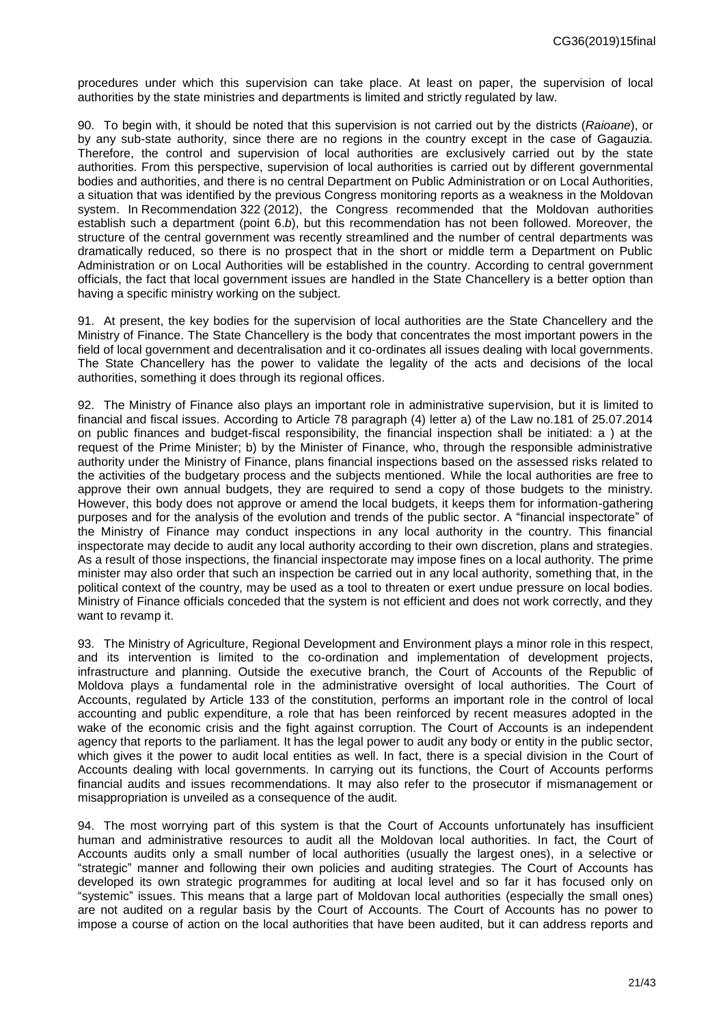procedures under which this supervision can take place. At least on paper, the supervision of local authorities by the state ministries and departments is limited and strictly regulated by law.

90. To begin with, it should be noted that this supervision is not carried out by the districts (*Raioane*), or by any sub-state authority, since there are no regions in the country except in the case of Gagauzia. Therefore, the control and supervision of local authorities are exclusively carried out by the state authorities. From this perspective, supervision of local authorities is carried out by different governmental bodies and authorities, and there is no central Department on Public Administration or on Local Authorities, a situation that was identified by the previous Congress monitoring reports as a weakness in the Moldovan system. In Recommendation 322 (2012), the Congress recommended that the Moldovan authorities establish such a department (point 6.*b*), but this recommendation has not been followed. Moreover, the structure of the central government was recently streamlined and the number of central departments was dramatically reduced, so there is no prospect that in the short or middle term a Department on Public Administration or on Local Authorities will be established in the country. According to central government officials, the fact that local government issues are handled in the State Chancellery is a better option than having a specific ministry working on the subject.

91. At present, the key bodies for the supervision of local authorities are the State Chancellery and the Ministry of Finance. The State Chancellery is the body that concentrates the most important powers in the field of local government and decentralisation and it co-ordinates all issues dealing with local governments. The State Chancellery has the power to validate the legality of the acts and decisions of the local authorities, something it does through its regional offices.

92. The Ministry of Finance also plays an important role in administrative supervision, but it is limited to financial and fiscal issues. According to Article 78 paragraph (4) letter a) of the Law no.181 of 25.07.2014 on public finances and budget-fiscal responsibility, the financial inspection shall be initiated: a ) at the request of the Prime Minister; b) by the Minister of Finance, who, through the responsible administrative authority under the Ministry of Finance, plans financial inspections based on the assessed risks related to the activities of the budgetary process and the subjects mentioned. While the local authorities are free to approve their own annual budgets, they are required to send a copy of those budgets to the ministry. However, this body does not approve or amend the local budgets, it keeps them for information-gathering purposes and for the analysis of the evolution and trends of the public sector. A "financial inspectorate" of the Ministry of Finance may conduct inspections in any local authority in the country. This financial inspectorate may decide to audit any local authority according to their own discretion, plans and strategies. As a result of those inspections, the financial inspectorate may impose fines on a local authority. The prime minister may also order that such an inspection be carried out in any local authority, something that, in the political context of the country, may be used as a tool to threaten or exert undue pressure on local bodies. Ministry of Finance officials conceded that the system is not efficient and does not work correctly, and they want to revamp it.

93. The Ministry of Agriculture, Regional Development and Environment plays a minor role in this respect, and its intervention is limited to the co-ordination and implementation of development projects, infrastructure and planning. Outside the executive branch, the Court of Accounts of the Republic of Moldova plays a fundamental role in the administrative oversight of local authorities. The Court of Accounts, regulated by Article 133 of the constitution, performs an important role in the control of local accounting and public expenditure, a role that has been reinforced by recent measures adopted in the wake of the economic crisis and the fight against corruption. The Court of Accounts is an independent agency that reports to the parliament. It has the legal power to audit any body or entity in the public sector, which gives it the power to audit local entities as well. In fact, there is a special division in the Court of Accounts dealing with local governments. In carrying out its functions, the Court of Accounts performs financial audits and issues recommendations. It may also refer to the prosecutor if mismanagement or misappropriation is unveiled as a consequence of the audit.

94. The most worrying part of this system is that the Court of Accounts unfortunately has insufficient human and administrative resources to audit all the Moldovan local authorities. In fact, the Court of Accounts audits only a small number of local authorities (usually the largest ones), in a selective or "strategic" manner and following their own policies and auditing strategies. The Court of Accounts has developed its own strategic programmes for auditing at local level and so far it has focused only on "systemic" issues. This means that a large part of Moldovan local authorities (especially the small ones) are not audited on a regular basis by the Court of Accounts. The Court of Accounts has no power to impose a course of action on the local authorities that have been audited, but it can address reports and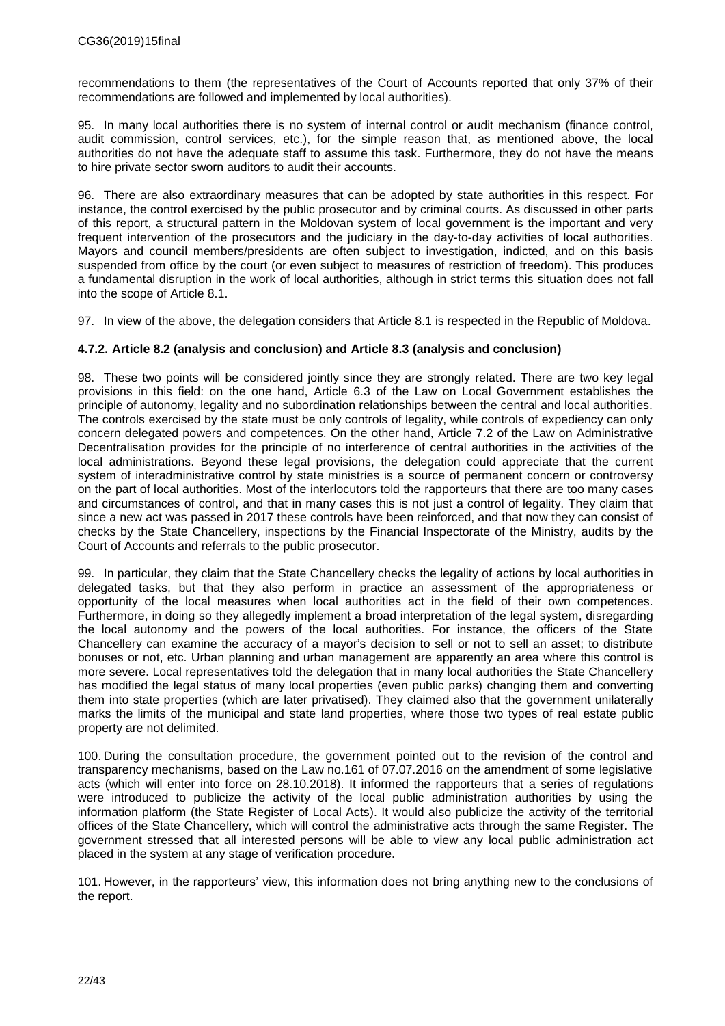recommendations to them (the representatives of the Court of Accounts reported that only 37% of their recommendations are followed and implemented by local authorities).

95. In many local authorities there is no system of internal control or audit mechanism (finance control, audit commission, control services, etc.), for the simple reason that, as mentioned above, the local authorities do not have the adequate staff to assume this task. Furthermore, they do not have the means to hire private sector sworn auditors to audit their accounts.

96. There are also extraordinary measures that can be adopted by state authorities in this respect. For instance, the control exercised by the public prosecutor and by criminal courts. As discussed in other parts of this report, a structural pattern in the Moldovan system of local government is the important and very frequent intervention of the prosecutors and the judiciary in the day-to-day activities of local authorities. Mayors and council members/presidents are often subject to investigation, indicted, and on this basis suspended from office by the court (or even subject to measures of restriction of freedom). This produces a fundamental disruption in the work of local authorities, although in strict terms this situation does not fall into the scope of Article 8.1.

97. In view of the above, the delegation considers that Article 8.1 is respected in the Republic of Moldova.

### <span id="page-21-0"></span>**4.7.2. Article 8.2 (analysis and conclusion) and Article 8.3 (analysis and conclusion)**

98. These two points will be considered jointly since they are strongly related. There are two key legal provisions in this field: on the one hand, Article 6.3 of the Law on Local Government establishes the principle of autonomy, legality and no subordination relationships between the central and local authorities. The controls exercised by the state must be only controls of legality, while controls of expediency can only concern delegated powers and competences. On the other hand, Article 7.2 of the Law on Administrative Decentralisation provides for the principle of no interference of central authorities in the activities of the local administrations. Beyond these legal provisions, the delegation could appreciate that the current system of interadministrative control by state ministries is a source of permanent concern or controversy on the part of local authorities. Most of the interlocutors told the rapporteurs that there are too many cases and circumstances of control, and that in many cases this is not just a control of legality. They claim that since a new act was passed in 2017 these controls have been reinforced, and that now they can consist of checks by the State Chancellery, inspections by the Financial Inspectorate of the Ministry, audits by the Court of Accounts and referrals to the public prosecutor.

99. In particular, they claim that the State Chancellery checks the legality of actions by local authorities in delegated tasks, but that they also perform in practice an assessment of the appropriateness or opportunity of the local measures when local authorities act in the field of their own competences. Furthermore, in doing so they allegedly implement a broad interpretation of the legal system, disregarding the local autonomy and the powers of the local authorities. For instance, the officers of the State Chancellery can examine the accuracy of a mayor's decision to sell or not to sell an asset; to distribute bonuses or not, etc. Urban planning and urban management are apparently an area where this control is more severe. Local representatives told the delegation that in many local authorities the State Chancellery has modified the legal status of many local properties (even public parks) changing them and converting them into state properties (which are later privatised). They claimed also that the government unilaterally marks the limits of the municipal and state land properties, where those two types of real estate public property are not delimited.

100. During the consultation procedure, the government pointed out to the revision of the control and transparency mechanisms, based on the Law no.161 of 07.07.2016 on the amendment of some legislative acts (which will enter into force on 28.10.2018). It informed the rapporteurs that a series of regulations were introduced to publicize the activity of the local public administration authorities by using the information platform (the State Register of Local Acts). It would also publicize the activity of the territorial offices of the State Chancellery, which will control the administrative acts through the same Register. The government stressed that all interested persons will be able to view any local public administration act placed in the system at any stage of verification procedure.

101. However, in the rapporteurs' view, this information does not bring anything new to the conclusions of the report.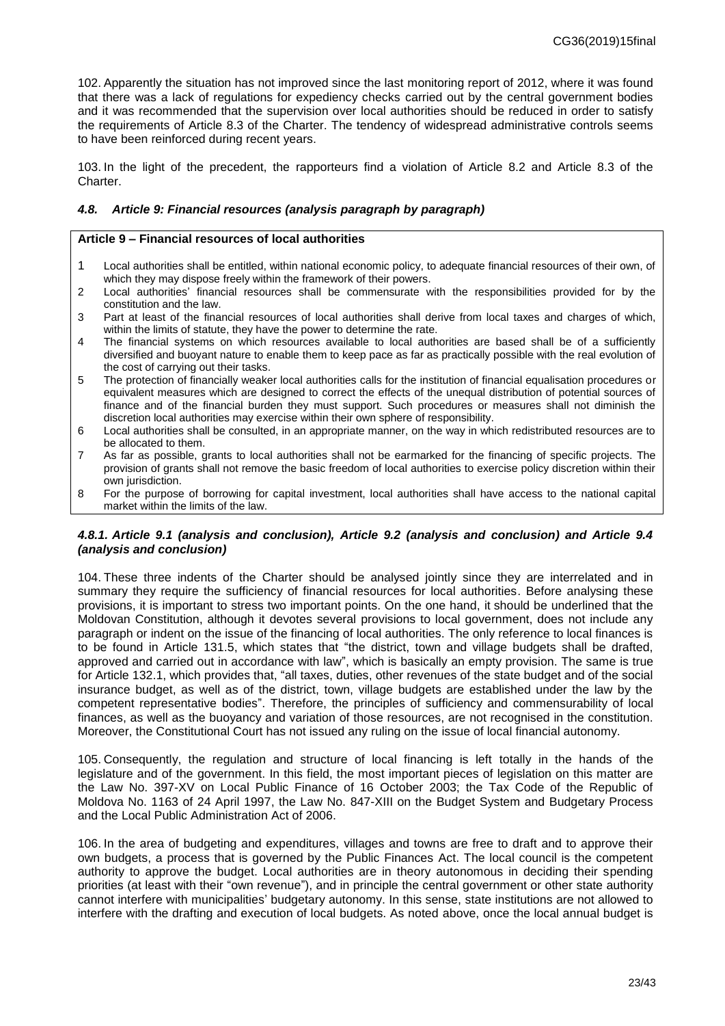102. Apparently the situation has not improved since the last monitoring report of 2012, where it was found that there was a lack of regulations for expediency checks carried out by the central government bodies and it was recommended that the supervision over local authorities should be reduced in order to satisfy the requirements of Article 8.3 of the Charter. The tendency of widespread administrative controls seems to have been reinforced during recent years.

103. In the light of the precedent, the rapporteurs find a violation of Article 8.2 and Article 8.3 of the Charter.

### <span id="page-22-0"></span>*4.8. Article 9: Financial resources (analysis paragraph by paragraph)*

#### **Article 9 – Financial resources of local authorities**

- 1 Local authorities shall be entitled, within national economic policy, to adequate financial resources of their own, of which they may dispose freely within the framework of their powers.
- 2 Local authorities' financial resources shall be commensurate with the responsibilities provided for by the constitution and the law.
- 3 Part at least of the financial resources of local authorities shall derive from local taxes and charges of which, within the limits of statute, they have the power to determine the rate.
- 4 The financial systems on which resources available to local authorities are based shall be of a sufficiently diversified and buoyant nature to enable them to keep pace as far as practically possible with the real evolution of the cost of carrying out their tasks.
- 5 The protection of financially weaker local authorities calls for the institution of financial equalisation procedures or equivalent measures which are designed to correct the effects of the unequal distribution of potential sources of finance and of the financial burden they must support. Such procedures or measures shall not diminish the discretion local authorities may exercise within their own sphere of responsibility.
- 6 Local authorities shall be consulted, in an appropriate manner, on the way in which redistributed resources are to be allocated to them.
- 7 As far as possible, grants to local authorities shall not be earmarked for the financing of specific projects. The provision of grants shall not remove the basic freedom of local authorities to exercise policy discretion within their own jurisdiction.
- 8 For the purpose of borrowing for capital investment, local authorities shall have access to the national capital market within the limits of the law.

#### <span id="page-22-1"></span>*4.8.1. Article 9.1 (analysis and conclusion), Article 9.2 (analysis and conclusion) and Article 9.4 (analysis and conclusion)*

104. These three indents of the Charter should be analysed jointly since they are interrelated and in summary they require the sufficiency of financial resources for local authorities. Before analysing these provisions, it is important to stress two important points. On the one hand, it should be underlined that the Moldovan Constitution, although it devotes several provisions to local government, does not include any paragraph or indent on the issue of the financing of local authorities. The only reference to local finances is to be found in Article 131.5, which states that "the district, town and village budgets shall be drafted, approved and carried out in accordance with law", which is basically an empty provision. The same is true for Article 132.1, which provides that, "all taxes, duties, other revenues of the state budget and of the social insurance budget, as well as of the district, town, village budgets are established under the law by the competent representative bodies". Therefore, the principles of sufficiency and commensurability of local finances, as well as the buoyancy and variation of those resources, are not recognised in the constitution. Moreover, the Constitutional Court has not issued any ruling on the issue of local financial autonomy.

105. Consequently, the regulation and structure of local financing is left totally in the hands of the legislature and of the government. In this field, the most important pieces of legislation on this matter are the Law No. 397-XV on Local Public Finance of 16 October 2003; the Tax Code of the Republic of Moldova No. 1163 of 24 April 1997, the Law No. 847-XIII on the Budget System and Budgetary Process and the Local Public Administration Act of 2006.

106. In the area of budgeting and expenditures, villages and towns are free to draft and to approve their own budgets, a process that is governed by the Public Finances Act. The local council is the competent authority to approve the budget. Local authorities are in theory autonomous in deciding their spending priorities (at least with their "own revenue"), and in principle the central government or other state authority cannot interfere with municipalities' budgetary autonomy. In this sense, state institutions are not allowed to interfere with the drafting and execution of local budgets. As noted above, once the local annual budget is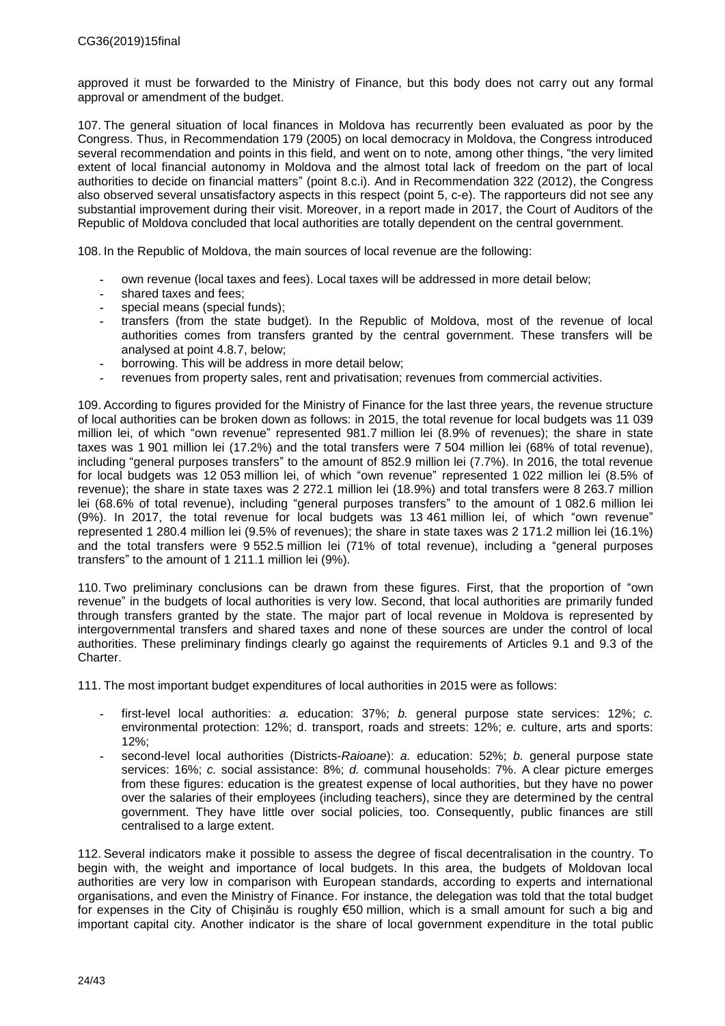approved it must be forwarded to the Ministry of Finance, but this body does not carry out any formal approval or amendment of the budget.

107. The general situation of local finances in Moldova has recurrently been evaluated as poor by the Congress. Thus, in Recommendation 179 (2005) on local democracy in Moldova, the Congress introduced several recommendation and points in this field, and went on to note, among other things, "the very limited extent of local financial autonomy in Moldova and the almost total lack of freedom on the part of local authorities to decide on financial matters" (point 8.c.i). And in Recommendation 322 (2012), the Congress also observed several unsatisfactory aspects in this respect (point 5, c-e). The rapporteurs did not see any substantial improvement during their visit. Moreover, in a report made in 2017, the Court of Auditors of the Republic of Moldova concluded that local authorities are totally dependent on the central government.

108. In the Republic of Moldova, the main sources of local revenue are the following:

- **-** own revenue (local taxes and fees). Local taxes will be addressed in more detail below;
- **-** shared taxes and fees;
- **-** special means (special funds);
- **-** transfers (from the state budget). In the Republic of Moldova, most of the revenue of local authorities comes from transfers granted by the central government. These transfers will be analysed at point 4.8.7, below;
- **-** borrowing. This will be address in more detail below;
- **-** revenues from property sales, rent and privatisation; revenues from commercial activities.

109. According to figures provided for the Ministry of Finance for the last three years, the revenue structure of local authorities can be broken down as follows: in 2015, the total revenue for local budgets was 11 039 million lei, of which "own revenue" represented 981.7 million lei (8.9% of revenues); the share in state taxes was 1 901 million lei (17.2%) and the total transfers were 7 504 million lei (68% of total revenue), including "general purposes transfers" to the amount of 852.9 million lei (7.7%). In 2016, the total revenue for local budgets was 12 053 million lei, of which "own revenue" represented 1 022 million lei (8.5% of revenue); the share in state taxes was 2 272.1 million lei (18.9%) and total transfers were 8 263.7 million lei (68.6% of total revenue), including "general purposes transfers" to the amount of 1 082.6 million lei (9%). In 2017, the total revenue for local budgets was 13 461 million lei, of which "own revenue" represented 1 280.4 million lei (9.5% of revenues); the share in state taxes was 2 171.2 million lei (16.1%) and the total transfers were 9 552.5 million lei (71% of total revenue), including a "general purposes transfers" to the amount of 1 211.1 million lei (9%).

110. Two preliminary conclusions can be drawn from these figures. First, that the proportion of "own revenue" in the budgets of local authorities is very low. Second, that local authorities are primarily funded through transfers granted by the state. The major part of local revenue in Moldova is represented by intergovernmental transfers and shared taxes and none of these sources are under the control of local authorities. These preliminary findings clearly go against the requirements of Articles 9.1 and 9.3 of the Charter.

111. The most important budget expenditures of local authorities in 2015 were as follows:

- **-** first-level local authorities: *a.* education: 37%; *b.* general purpose state services: 12%; *c.* environmental protection: 12%; d. transport, roads and streets: 12%; *e.* culture, arts and sports: 12%;
- **-** second-level local authorities (Districts-*Raioane*): *a.* education: 52%; *b.* general purpose state services: 16%; *c.* social assistance: 8%; *d.* communal households: 7%. A clear picture emerges from these figures: education is the greatest expense of local authorities, but they have no power over the salaries of their employees (including teachers), since they are determined by the central government. They have little over social policies, too. Consequently, public finances are still centralised to a large extent.

112. Several indicators make it possible to assess the degree of fiscal decentralisation in the country. To begin with, the weight and importance of local budgets. In this area, the budgets of Moldovan local authorities are very low in comparison with European standards, according to experts and international organisations, and even the Ministry of Finance. For instance, the delegation was told that the total budget for expenses in the City of Chișinău is roughly €50 million, which is a small amount for such a big and important capital city. Another indicator is the share of local government expenditure in the total public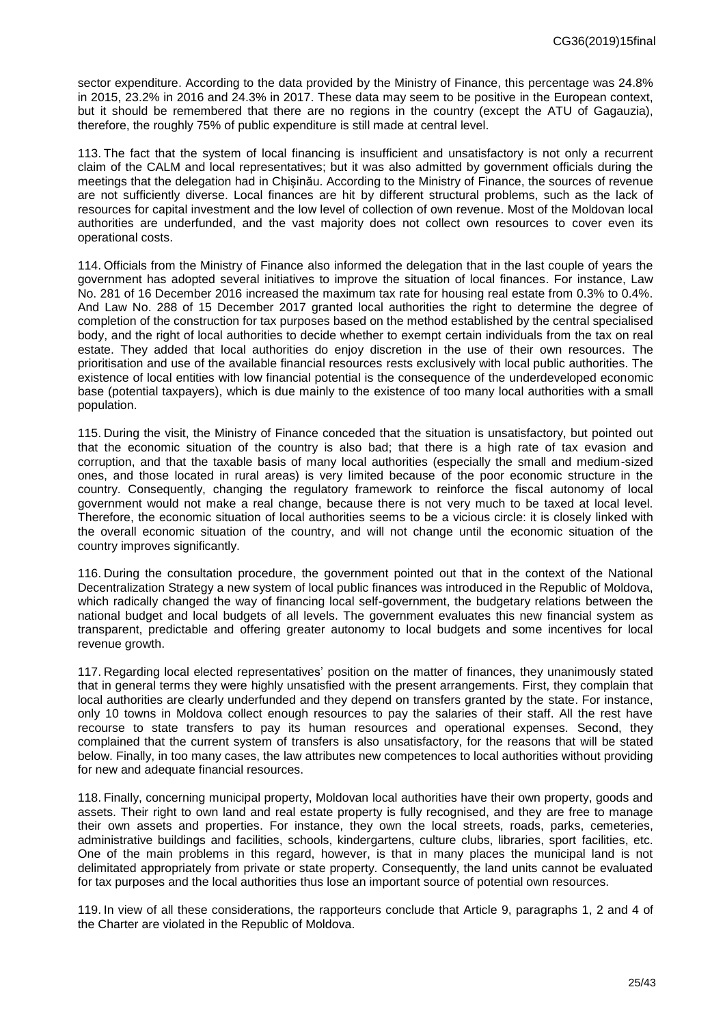sector expenditure. According to the data provided by the Ministry of Finance, this percentage was 24.8% in 2015, 23.2% in 2016 and 24.3% in 2017. These data may seem to be positive in the European context, but it should be remembered that there are no regions in the country (except the ATU of Gagauzia), therefore, the roughly 75% of public expenditure is still made at central level.

113. The fact that the system of local financing is insufficient and unsatisfactory is not only a recurrent claim of the CALM and local representatives; but it was also admitted by government officials during the meetings that the delegation had in Chișinău. According to the Ministry of Finance, the sources of revenue are not sufficiently diverse. Local finances are hit by different structural problems, such as the lack of resources for capital investment and the low level of collection of own revenue. Most of the Moldovan local authorities are underfunded, and the vast majority does not collect own resources to cover even its operational costs.

114. Officials from the Ministry of Finance also informed the delegation that in the last couple of years the government has adopted several initiatives to improve the situation of local finances. For instance, Law No. 281 of 16 December 2016 increased the maximum tax rate for housing real estate from 0.3% to 0.4%. And Law No. 288 of 15 December 2017 granted local authorities the right to determine the degree of completion of the construction for tax purposes based on the method established by the central specialised body, and the right of local authorities to decide whether to exempt certain individuals from the tax on real estate. They added that local authorities do enjoy discretion in the use of their own resources. The prioritisation and use of the available financial resources rests exclusively with local public authorities. The existence of local entities with low financial potential is the consequence of the underdeveloped economic base (potential taxpayers), which is due mainly to the existence of too many local authorities with a small population.

115. During the visit, the Ministry of Finance conceded that the situation is unsatisfactory, but pointed out that the economic situation of the country is also bad; that there is a high rate of tax evasion and corruption, and that the taxable basis of many local authorities (especially the small and medium-sized ones, and those located in rural areas) is very limited because of the poor economic structure in the country. Consequently, changing the regulatory framework to reinforce the fiscal autonomy of local government would not make a real change, because there is not very much to be taxed at local level. Therefore, the economic situation of local authorities seems to be a vicious circle: it is closely linked with the overall economic situation of the country, and will not change until the economic situation of the country improves significantly.

116. During the consultation procedure, the government pointed out that in the context of the National Decentralization Strategy a new system of local public finances was introduced in the Republic of Moldova, which radically changed the way of financing local self-government, the budgetary relations between the national budget and local budgets of all levels. The government evaluates this new financial system as transparent, predictable and offering greater autonomy to local budgets and some incentives for local revenue growth.

117. Regarding local elected representatives' position on the matter of finances, they unanimously stated that in general terms they were highly unsatisfied with the present arrangements. First, they complain that local authorities are clearly underfunded and they depend on transfers granted by the state. For instance, only 10 towns in Moldova collect enough resources to pay the salaries of their staff. All the rest have recourse to state transfers to pay its human resources and operational expenses. Second, they complained that the current system of transfers is also unsatisfactory, for the reasons that will be stated below. Finally, in too many cases, the law attributes new competences to local authorities without providing for new and adequate financial resources.

118. Finally, concerning municipal property, Moldovan local authorities have their own property, goods and assets. Their right to own land and real estate property is fully recognised, and they are free to manage their own assets and properties. For instance, they own the local streets, roads, parks, cemeteries, administrative buildings and facilities, schools, kindergartens, culture clubs, libraries, sport facilities, etc. One of the main problems in this regard, however, is that in many places the municipal land is not delimitated appropriately from private or state property. Consequently, the land units cannot be evaluated for tax purposes and the local authorities thus lose an important source of potential own resources.

119. In view of all these considerations, the rapporteurs conclude that Article 9, paragraphs 1, 2 and 4 of the Charter are violated in the Republic of Moldova.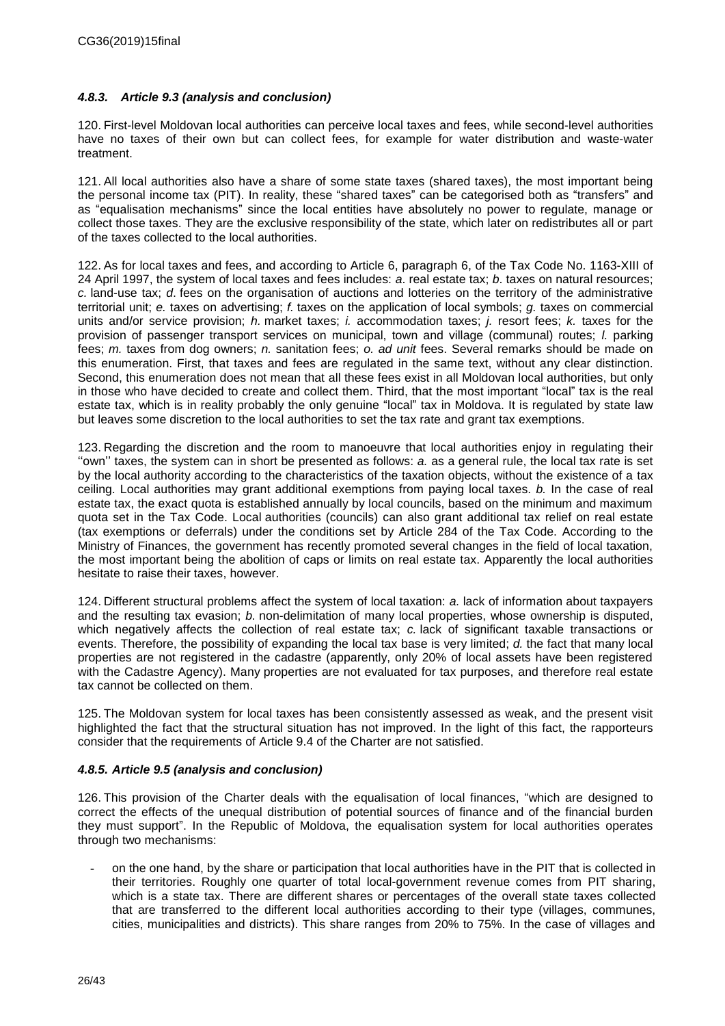### <span id="page-25-0"></span>*4.8.3. Article 9.3 (analysis and conclusion)*

120. First-level Moldovan local authorities can perceive local taxes and fees, while second-level authorities have no taxes of their own but can collect fees, for example for water distribution and waste-water treatment.

121. All local authorities also have a share of some state taxes (shared taxes), the most important being the personal income tax (PIT). In reality, these "shared taxes" can be categorised both as "transfers" and as "equalisation mechanisms" since the local entities have absolutely no power to regulate, manage or collect those taxes. They are the exclusive responsibility of the state, which later on redistributes all or part of the taxes collected to the local authorities.

122. As for local taxes and fees, and according to Article 6, paragraph 6, of the Tax Code No. 1163-XIII of 24 April 1997, the system of local taxes and fees includes: *a*. real estate tax; *b*. taxes on natural resources; *c.* land-use tax; *d*. fees on the organisation of auctions and lotteries on the territory of the administrative territorial unit; *e.* taxes on advertising; *f.* taxes on the application of local symbols; *g.* taxes on commercial units and/or service provision; *h.* market taxes; *i.* accommodation taxes; *j.* resort fees; *k.* taxes for the provision of passenger transport services on municipal, town and village (communal) routes; *l.* parking fees; *m.* taxes from dog owners; *n.* sanitation fees; *o. ad unit* fees. Several remarks should be made on this enumeration. First, that taxes and fees are regulated in the same text, without any clear distinction. Second, this enumeration does not mean that all these fees exist in all Moldovan local authorities, but only in those who have decided to create and collect them. Third, that the most important "local" tax is the real estate tax, which is in reality probably the only genuine "local" tax in Moldova. It is regulated by state law but leaves some discretion to the local authorities to set the tax rate and grant tax exemptions.

123. Regarding the discretion and the room to manoeuvre that local authorities enjoy in regulating their ''own'' taxes, the system can in short be presented as follows: *a.* as a general rule, the local tax rate is set by the local authority according to the characteristics of the taxation objects, without the existence of a tax ceiling. Local authorities may grant additional exemptions from paying local taxes. *b.* In the case of real estate tax, the exact quota is established annually by local councils, based on the minimum and maximum quota set in the Tax Code. Local authorities (councils) can also grant additional tax relief on real estate (tax exemptions or deferrals) under the conditions set by Article 284 of the Tax Code. According to the Ministry of Finances, the government has recently promoted several changes in the field of local taxation, the most important being the abolition of caps or limits on real estate tax. Apparently the local authorities hesitate to raise their taxes, however.

124. Different structural problems affect the system of local taxation: *a.* lack of information about taxpayers and the resulting tax evasion; *b.* non-delimitation of many local properties, whose ownership is disputed, which negatively affects the collection of real estate tax; *c.* lack of significant taxable transactions or events. Therefore, the possibility of expanding the local tax base is very limited; *d.* the fact that many local properties are not registered in the cadastre (apparently, only 20% of local assets have been registered with the Cadastre Agency). Many properties are not evaluated for tax purposes, and therefore real estate tax cannot be collected on them.

125. The Moldovan system for local taxes has been consistently assessed as weak, and the present visit highlighted the fact that the structural situation has not improved. In the light of this fact, the rapporteurs consider that the requirements of Article 9.4 of the Charter are not satisfied.

### <span id="page-25-1"></span>*4.8.5. Article 9.5 (analysis and conclusion)*

126. This provision of the Charter deals with the equalisation of local finances, "which are designed to correct the effects of the unequal distribution of potential sources of finance and of the financial burden they must support". In the Republic of Moldova, the equalisation system for local authorities operates through two mechanisms:

**-** on the one hand, by the share or participation that local authorities have in the PIT that is collected in their territories. Roughly one quarter of total local-government revenue comes from PIT sharing, which is a state tax. There are different shares or percentages of the overall state taxes collected that are transferred to the different local authorities according to their type (villages, communes, cities, municipalities and districts). This share ranges from 20% to 75%. In the case of villages and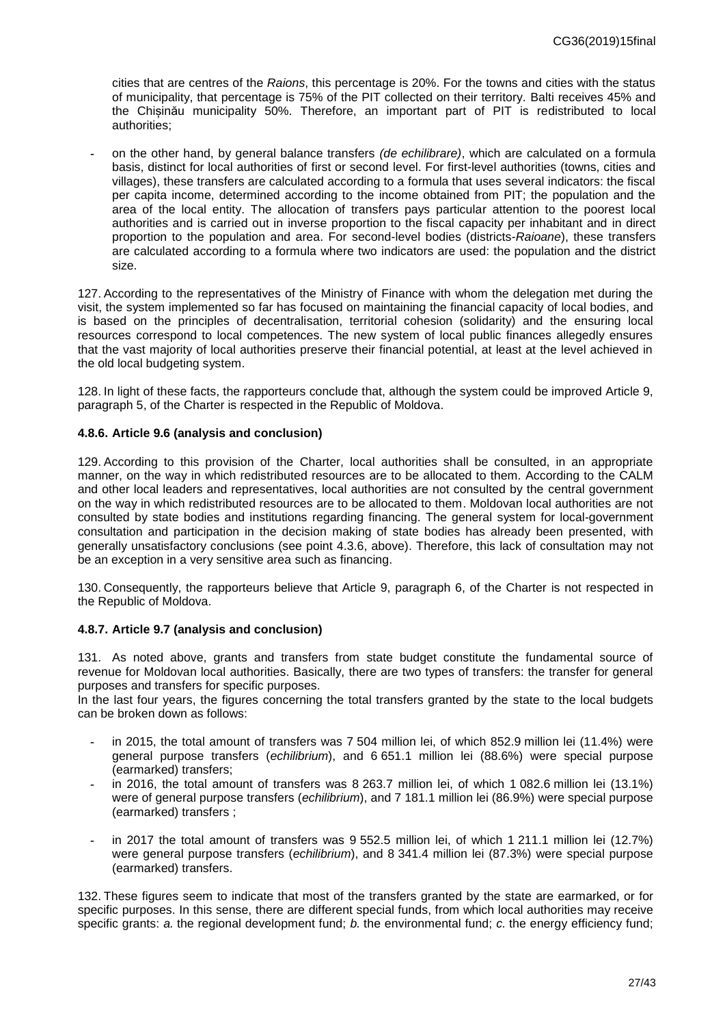cities that are centres of the *Raions*, this percentage is 20%. For the towns and cities with the status of municipality, that percentage is 75% of the PIT collected on their territory. Balti receives 45% and the Chișinău municipality 50%. Therefore, an important part of PIT is redistributed to local authorities;

**-** on the other hand, by general balance transfers *(de echilibrare)*, which are calculated on a formula basis, distinct for local authorities of first or second level. For first-level authorities (towns, cities and villages), these transfers are calculated according to a formula that uses several indicators: the fiscal per capita income, determined according to the income obtained from PIT; the population and the area of the local entity. The allocation of transfers pays particular attention to the poorest local authorities and is carried out in inverse proportion to the fiscal capacity per inhabitant and in direct proportion to the population and area. For second-level bodies (districts-*Raioane*), these transfers are calculated according to a formula where two indicators are used: the population and the district size.

127. According to the representatives of the Ministry of Finance with whom the delegation met during the visit, the system implemented so far has focused on maintaining the financial capacity of local bodies, and is based on the principles of decentralisation, territorial cohesion (solidarity) and the ensuring local resources correspond to local competences. The new system of local public finances allegedly ensures that the vast majority of local authorities preserve their financial potential, at least at the level achieved in the old local budgeting system.

128. In light of these facts, the rapporteurs conclude that, although the system could be improved Article 9, paragraph 5, of the Charter is respected in the Republic of Moldova.

### <span id="page-26-0"></span>**4.8.6. Article 9.6 (analysis and conclusion)**

129. According to this provision of the Charter, local authorities shall be consulted, in an appropriate manner, on the way in which redistributed resources are to be allocated to them. According to the CALM and other local leaders and representatives, local authorities are not consulted by the central government on the way in which redistributed resources are to be allocated to them. Moldovan local authorities are not consulted by state bodies and institutions regarding financing. The general system for local-government consultation and participation in the decision making of state bodies has already been presented, with generally unsatisfactory conclusions (see point 4.3.6, above). Therefore, this lack of consultation may not be an exception in a very sensitive area such as financing.

130. Consequently, the rapporteurs believe that Article 9, paragraph 6, of the Charter is not respected in the Republic of Moldova.

#### <span id="page-26-1"></span>**4.8.7. Article 9.7 (analysis and conclusion)**

131. As noted above, grants and transfers from state budget constitute the fundamental source of revenue for Moldovan local authorities. Basically, there are two types of transfers: the transfer for general purposes and transfers for specific purposes.

In the last four years, the figures concerning the total transfers granted by the state to the local budgets can be broken down as follows:

- **-** in 2015, the total amount of transfers was 7 504 million lei, of which 852.9 million lei (11.4%) were general purpose transfers (*echilibrium*), and 6 651.1 million lei (88.6%) were special purpose (earmarked) transfers;
- **-** in 2016, the total amount of transfers was 8 263.7 million lei, of which 1 082.6 million lei (13.1%) were of general purpose transfers (*echilibrium*), and 7 181.1 million lei (86.9%) were special purpose (earmarked) transfers ;
- **-** in 2017 the total amount of transfers was 9 552.5 million lei, of which 1 211.1 million lei (12.7%) were general purpose transfers (*echilibrium*), and 8 341.4 million lei (87.3%) were special purpose (earmarked) transfers.

132. These figures seem to indicate that most of the transfers granted by the state are earmarked, or for specific purposes. In this sense, there are different special funds, from which local authorities may receive specific grants: *a.* the regional development fund; *b.* the environmental fund; *c.* the energy efficiency fund;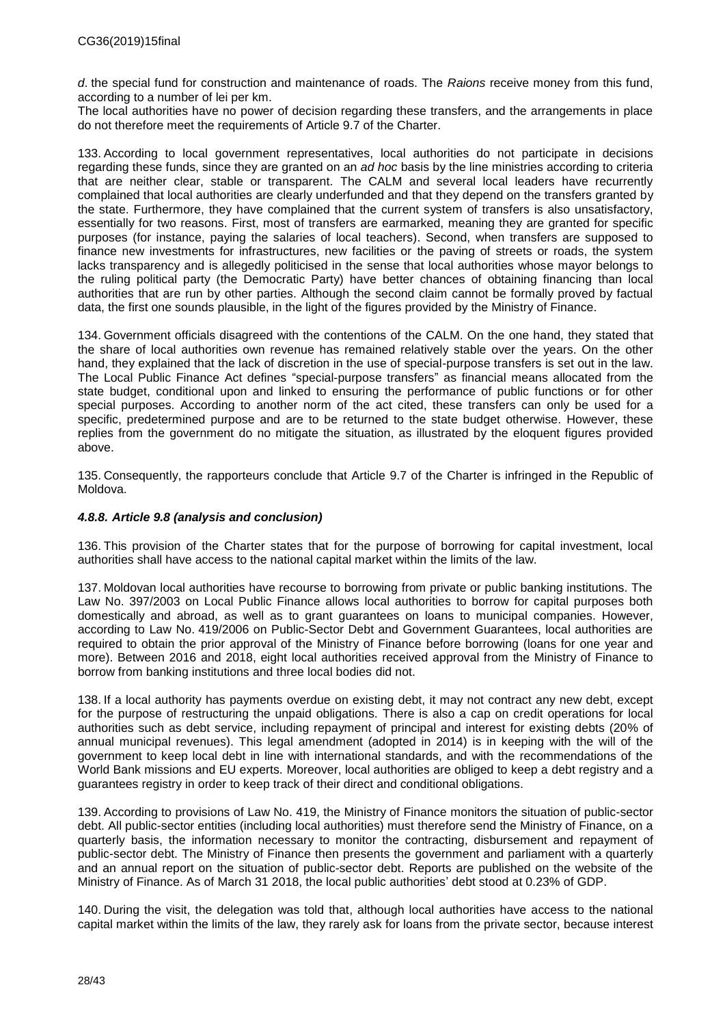*d*. the special fund for construction and maintenance of roads. The *Raions* receive money from this fund, according to a number of lei per km.

The local authorities have no power of decision regarding these transfers, and the arrangements in place do not therefore meet the requirements of Article 9.7 of the Charter.

133. According to local government representatives, local authorities do not participate in decisions regarding these funds, since they are granted on an *ad hoc* basis by the line ministries according to criteria that are neither clear, stable or transparent. The CALM and several local leaders have recurrently complained that local authorities are clearly underfunded and that they depend on the transfers granted by the state. Furthermore, they have complained that the current system of transfers is also unsatisfactory, essentially for two reasons. First, most of transfers are earmarked, meaning they are granted for specific purposes (for instance, paying the salaries of local teachers). Second, when transfers are supposed to finance new investments for infrastructures, new facilities or the paving of streets or roads, the system lacks transparency and is allegedly politicised in the sense that local authorities whose mayor belongs to the ruling political party (the Democratic Party) have better chances of obtaining financing than local authorities that are run by other parties. Although the second claim cannot be formally proved by factual data, the first one sounds plausible, in the light of the figures provided by the Ministry of Finance.

134. Government officials disagreed with the contentions of the CALM. On the one hand, they stated that the share of local authorities own revenue has remained relatively stable over the years. On the other hand, they explained that the lack of discretion in the use of special-purpose transfers is set out in the law. The Local Public Finance Act defines "special-purpose transfers" as financial means allocated from the state budget, conditional upon and linked to ensuring the performance of public functions or for other special purposes. According to another norm of the act cited, these transfers can only be used for a specific, predetermined purpose and are to be returned to the state budget otherwise. However, these replies from the government do no mitigate the situation, as illustrated by the eloquent figures provided above.

135. Consequently, the rapporteurs conclude that Article 9.7 of the Charter is infringed in the Republic of Moldova.

### <span id="page-27-0"></span>*4.8.8. Article 9.8 (analysis and conclusion)*

136. This provision of the Charter states that for the purpose of borrowing for capital investment, local authorities shall have access to the national capital market within the limits of the law.

137. Moldovan local authorities have recourse to borrowing from private or public banking institutions. The Law No. 397/2003 on Local Public Finance allows local authorities to borrow for capital purposes both domestically and abroad, as well as to grant guarantees on loans to municipal companies. However, according to Law No. 419/2006 on Public-Sector Debt and Government Guarantees, local authorities are required to obtain the prior approval of the Ministry of Finance before borrowing (loans for one year and more). Between 2016 and 2018, eight local authorities received approval from the Ministry of Finance to borrow from banking institutions and three local bodies did not.

138. If a local authority has payments overdue on existing debt, it may not contract any new debt, except for the purpose of restructuring the unpaid obligations. There is also a cap on credit operations for local authorities such as debt service, including repayment of principal and interest for existing debts (20% of annual municipal revenues). This legal amendment (adopted in 2014) is in keeping with the will of the government to keep local debt in line with international standards, and with the recommendations of the World Bank missions and EU experts. Moreover, local authorities are obliged to keep a debt registry and a guarantees registry in order to keep track of their direct and conditional obligations.

139. According to provisions of Law No. 419, the Ministry of Finance monitors the situation of public-sector debt. All public-sector entities (including local authorities) must therefore send the Ministry of Finance, on a quarterly basis, the information necessary to monitor the contracting, disbursement and repayment of public-sector debt. The Ministry of Finance then presents the government and parliament with a quarterly and an annual report on the situation of public-sector debt. Reports are published on the website of the Ministry of Finance. As of March 31 2018, the local public authorities' debt stood at 0.23% of GDP.

140. During the visit, the delegation was told that, although local authorities have access to the national capital market within the limits of the law, they rarely ask for loans from the private sector, because interest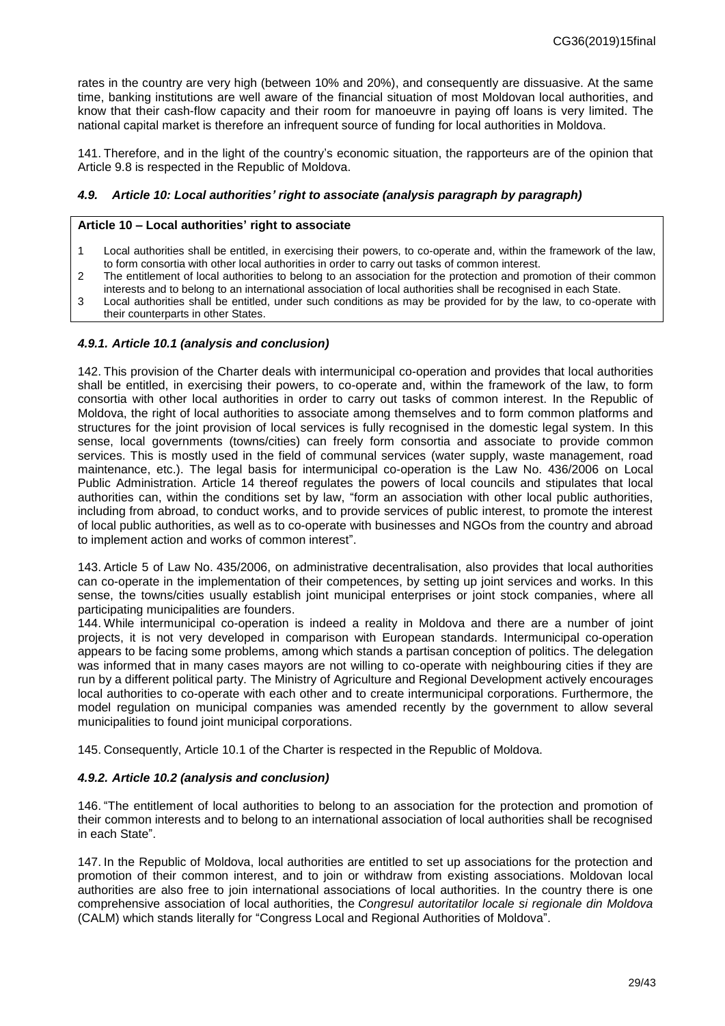rates in the country are very high (between 10% and 20%), and consequently are dissuasive. At the same time, banking institutions are well aware of the financial situation of most Moldovan local authorities, and know that their cash-flow capacity and their room for manoeuvre in paying off loans is very limited. The national capital market is therefore an infrequent source of funding for local authorities in Moldova.

141. Therefore, and in the light of the country's economic situation, the rapporteurs are of the opinion that Article 9.8 is respected in the Republic of Moldova.

### <span id="page-28-0"></span>*4.9. Article 10: Local authorities' right to associate (analysis paragraph by paragraph)*

#### **Article 10 – Local authorities' right to associate**

- 1 Local authorities shall be entitled, in exercising their powers, to co-operate and, within the framework of the law, to form consortia with other local authorities in order to carry out tasks of common interest.
- 2 The entitlement of local authorities to belong to an association for the protection and promotion of their common interests and to belong to an international association of local authorities shall be recognised in each State.
- 3 Local authorities shall be entitled, under such conditions as may be provided for by the law, to co-operate with their counterparts in other States.

#### <span id="page-28-1"></span>*4.9.1. Article 10.1 (analysis and conclusion)*

142. This provision of the Charter deals with intermunicipal co-operation and provides that local authorities shall be entitled, in exercising their powers, to co-operate and, within the framework of the law, to form consortia with other local authorities in order to carry out tasks of common interest. In the Republic of Moldova, the right of local authorities to associate among themselves and to form common platforms and structures for the joint provision of local services is fully recognised in the domestic legal system. In this sense, local governments (towns/cities) can freely form consortia and associate to provide common services. This is mostly used in the field of communal services (water supply, waste management, road maintenance, etc.). The legal basis for intermunicipal co-operation is the Law No. 436/2006 on Local Public Administration. Article 14 thereof regulates the powers of local councils and stipulates that local authorities can, within the conditions set by law, "form an association with other local public authorities, including from abroad, to conduct works, and to provide services of public interest, to promote the interest of local public authorities, as well as to co-operate with businesses and NGOs from the country and abroad to implement action and works of common interest".

143. Article 5 of Law No. 435/2006, on administrative decentralisation, also provides that local authorities can co-operate in the implementation of their competences, by setting up joint services and works. In this sense, the towns/cities usually establish joint municipal enterprises or joint stock companies, where all participating municipalities are founders.

144. While intermunicipal co-operation is indeed a reality in Moldova and there are a number of joint projects, it is not very developed in comparison with European standards. Intermunicipal co-operation appears to be facing some problems, among which stands a partisan conception of politics. The delegation was informed that in many cases mayors are not willing to co-operate with neighbouring cities if they are run by a different political party. The Ministry of Agriculture and Regional Development actively encourages local authorities to co-operate with each other and to create intermunicipal corporations. Furthermore, the model regulation on municipal companies was amended recently by the government to allow several municipalities to found joint municipal corporations.

145. Consequently, Article 10.1 of the Charter is respected in the Republic of Moldova.

#### <span id="page-28-2"></span>*4.9.2. Article 10.2 (analysis and conclusion)*

146. "The entitlement of local authorities to belong to an association for the protection and promotion of their common interests and to belong to an international association of local authorities shall be recognised in each State".

147. In the Republic of Moldova, local authorities are entitled to set up associations for the protection and promotion of their common interest, and to join or withdraw from existing associations. Moldovan local authorities are also free to join international associations of local authorities. In the country there is one comprehensive association of local authorities, the *Congresul autoritatilor locale si regionale din Moldova* (CALM) which stands literally for "Congress Local and Regional Authorities of Moldova".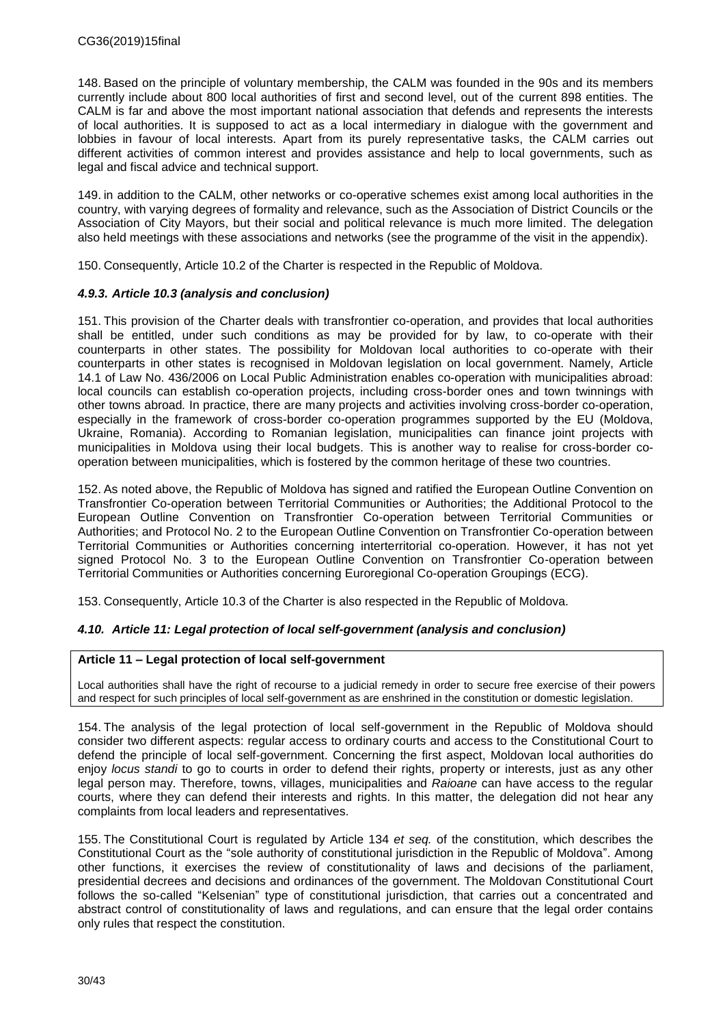148. Based on the principle of voluntary membership, the CALM was founded in the 90s and its members currently include about 800 local authorities of first and second level, out of the current 898 entities. The CALM is far and above the most important national association that defends and represents the interests of local authorities. It is supposed to act as a local intermediary in dialogue with the government and lobbies in favour of local interests. Apart from its purely representative tasks, the CALM carries out different activities of common interest and provides assistance and help to local governments, such as legal and fiscal advice and technical support.

149. in addition to the CALM, other networks or co-operative schemes exist among local authorities in the country, with varying degrees of formality and relevance, such as the Association of District Councils or the Association of City Mayors, but their social and political relevance is much more limited. The delegation also held meetings with these associations and networks (see the programme of the visit in the appendix).

150. Consequently, Article 10.2 of the Charter is respected in the Republic of Moldova.

### <span id="page-29-0"></span>*4.9.3. Article 10.3 (analysis and conclusion)*

151. This provision of the Charter deals with transfrontier co-operation, and provides that local authorities shall be entitled, under such conditions as may be provided for by law, to co-operate with their counterparts in other states. The possibility for Moldovan local authorities to co-operate with their counterparts in other states is recognised in Moldovan legislation on local government. Namely, Article 14.1 of Law No. 436/2006 on Local Public Administration enables co-operation with municipalities abroad: local councils can establish co-operation projects, including cross-border ones and town twinnings with other towns abroad*.* In practice, there are many projects and activities involving cross-border co-operation, especially in the framework of cross-border co-operation programmes supported by the EU (Moldova, Ukraine, Romania). According to Romanian legislation, municipalities can finance joint projects with municipalities in Moldova using their local budgets. This is another way to realise for cross-border cooperation between municipalities, which is fostered by the common heritage of these two countries.

152. As noted above, the Republic of Moldova has signed and ratified the European Outline Convention on Transfrontier Co-operation between Territorial Communities or Authorities; the Additional Protocol to the European Outline Convention on Transfrontier Co-operation between Territorial Communities or Authorities; and Protocol No. 2 to the European Outline Convention on Transfrontier Co-operation between Territorial Communities or Authorities concerning interterritorial co-operation. However, it has not yet signed Protocol No. 3 to the European Outline Convention on Transfrontier Co-operation between Territorial Communities or Authorities concerning Euroregional Co-operation Groupings (ECG).

153. Consequently, Article 10.3 of the Charter is also respected in the Republic of Moldova.

### <span id="page-29-1"></span>*4.10. Article 11: Legal protection of local self-government (analysis and conclusion)*

### **Article 11 – Legal protection of local self-government**

Local authorities shall have the right of recourse to a judicial remedy in order to secure free exercise of their powers and respect for such principles of local self-government as are enshrined in the constitution or domestic legislation.

154. The analysis of the legal protection of local self-government in the Republic of Moldova should consider two different aspects: regular access to ordinary courts and access to the Constitutional Court to defend the principle of local self-government. Concerning the first aspect, Moldovan local authorities do enjoy *locus standi* to go to courts in order to defend their rights, property or interests, just as any other legal person may. Therefore, towns, villages, municipalities and *Raioane* can have access to the regular courts, where they can defend their interests and rights. In this matter, the delegation did not hear any complaints from local leaders and representatives.

155. The Constitutional Court is regulated by Article 134 *et seq.* of the constitution, which describes the Constitutional Court as the "sole authority of constitutional jurisdiction in the Republic of Moldova". Among other functions, it exercises the review of constitutionality of laws and decisions of the parliament, presidential decrees and decisions and ordinances of the government. The Moldovan Constitutional Court follows the so-called "Kelsenian" type of constitutional jurisdiction, that carries out a concentrated and abstract control of constitutionality of laws and regulations, and can ensure that the legal order contains only rules that respect the constitution.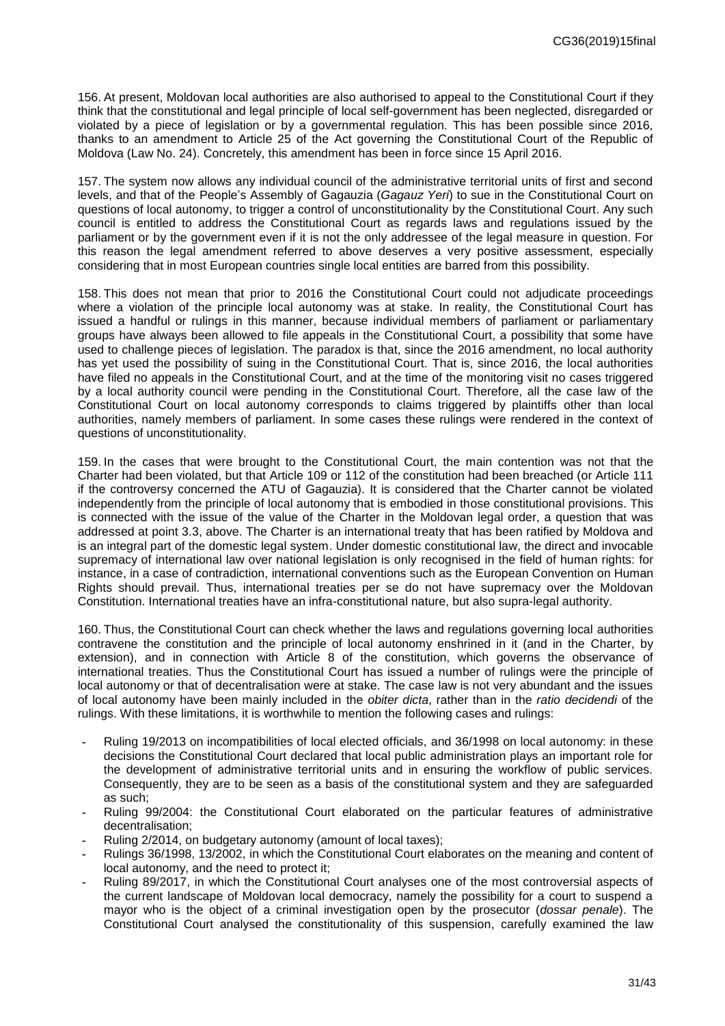156. At present, Moldovan local authorities are also authorised to appeal to the Constitutional Court if they think that the constitutional and legal principle of local self-government has been neglected, disregarded or violated by a piece of legislation or by a governmental regulation. This has been possible since 2016, thanks to an amendment to Article 25 of the Act governing the Constitutional Court of the Republic of Moldova (Law No. 24). Concretely, this amendment has been in force since 15 April 2016.

157. The system now allows any individual council of the administrative territorial units of first and second levels, and that of the People's Assembly of Gagauzia (*Gagauz Yeri*) to sue in the Constitutional Court on questions of local autonomy, to trigger a control of unconstitutionality by the Constitutional Court. Any such council is entitled to address the Constitutional Court as regards laws and regulations issued by the parliament or by the government even if it is not the only addressee of the legal measure in question. For this reason the legal amendment referred to above deserves a very positive assessment, especially considering that in most European countries single local entities are barred from this possibility.

158. This does not mean that prior to 2016 the Constitutional Court could not adjudicate proceedings where a violation of the principle local autonomy was at stake. In reality, the Constitutional Court has issued a handful or rulings in this manner, because individual members of parliament or parliamentary groups have always been allowed to file appeals in the Constitutional Court, a possibility that some have used to challenge pieces of legislation. The paradox is that, since the 2016 amendment, no local authority has yet used the possibility of suing in the Constitutional Court. That is, since 2016, the local authorities have filed no appeals in the Constitutional Court, and at the time of the monitoring visit no cases triggered by a local authority council were pending in the Constitutional Court. Therefore, all the case law of the Constitutional Court on local autonomy corresponds to claims triggered by plaintiffs other than local authorities, namely members of parliament. In some cases these rulings were rendered in the context of questions of unconstitutionality.

159. In the cases that were brought to the Constitutional Court, the main contention was not that the Charter had been violated, but that Article 109 or 112 of the constitution had been breached (or Article 111 if the controversy concerned the ATU of Gagauzia). It is considered that the Charter cannot be violated independently from the principle of local autonomy that is embodied in those constitutional provisions. This is connected with the issue of the value of the Charter in the Moldovan legal order, a question that was addressed at point 3.3, above. The Charter is an international treaty that has been ratified by Moldova and is an integral part of the domestic legal system. Under domestic constitutional law, the direct and invocable supremacy of international law over national legislation is only recognised in the field of human rights: for instance, in a case of contradiction, international conventions such as the European Convention on Human Rights should prevail. Thus, international treaties per se do not have supremacy over the Moldovan Constitution. International treaties have an infra-constitutional nature, but also supra-legal authority.

160. Thus, the Constitutional Court can check whether the laws and regulations governing local authorities contravene the constitution and the principle of local autonomy enshrined in it (and in the Charter, by extension), and in connection with Article 8 of the constitution, which governs the observance of international treaties. Thus the Constitutional Court has issued a number of rulings were the principle of local autonomy or that of decentralisation were at stake. The case law is not very abundant and the issues of local autonomy have been mainly included in the *obiter dicta*, rather than in the *ratio decidendi* of the rulings. With these limitations, it is worthwhile to mention the following cases and rulings:

- **-** Ruling 19/2013 on incompatibilities of local elected officials, and 36/1998 on local autonomy: in these decisions the Constitutional Court declared that local public administration plays an important role for the development of administrative territorial units and in ensuring the workflow of public services. Consequently, they are to be seen as a basis of the constitutional system and they are safeguarded as such;
- **-** Ruling 99/2004: the Constitutional Court elaborated on the particular features of administrative decentralisation;
- **-** Ruling 2/2014, on budgetary autonomy (amount of local taxes);
- **-** Rulings 36/1998, 13/2002, in which the Constitutional Court elaborates on the meaning and content of local autonomy, and the need to protect it;
- **-** Ruling 89/2017, in which the Constitutional Court analyses one of the most controversial aspects of the current landscape of Moldovan local democracy, namely the possibility for a court to suspend a mayor who is the object of a criminal investigation open by the prosecutor (*dossar penale*). The Constitutional Court analysed the constitutionality of this suspension, carefully examined the law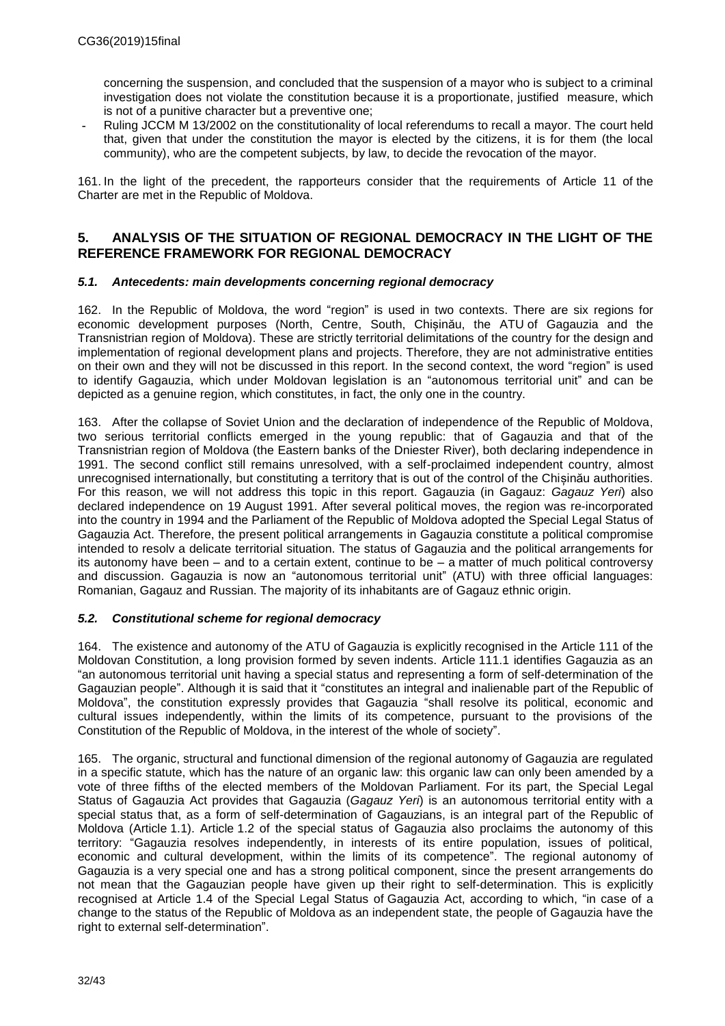concerning the suspension, and concluded that the suspension of a mayor who is subject to a criminal investigation does not violate the constitution because it is a proportionate, justified measure, which is not of a punitive character but a preventive one;

**-** Ruling JCCM M 13/2002 on the constitutionality of local referendums to recall a mayor. The court held that, given that under the constitution the mayor is elected by the citizens, it is for them (the local community), who are the competent subjects, by law, to decide the revocation of the mayor.

161. In the light of the precedent, the rapporteurs consider that the requirements of Article 11 of the Charter are met in the Republic of Moldova.

### <span id="page-31-0"></span>**5. ANALYSIS OF THE SITUATION OF REGIONAL DEMOCRACY IN THE LIGHT OF THE REFERENCE FRAMEWORK FOR REGIONAL DEMOCRACY**

### <span id="page-31-1"></span>*5.1. Antecedents: main developments concerning regional democracy*

162. In the Republic of Moldova, the word "region" is used in two contexts. There are six regions for economic development purposes (North, Centre, South, Chișinău, the ATU of Gagauzia and the Transnistrian region of Moldova). These are strictly territorial delimitations of the country for the design and implementation of regional development plans and projects. Therefore, they are not administrative entities on their own and they will not be discussed in this report. In the second context, the word "region" is used to identify Gagauzia, which under Moldovan legislation is an "autonomous territorial unit" and can be depicted as a genuine region, which constitutes, in fact, the only one in the country.

163. After the collapse of Soviet Union and the declaration of independence of the Republic of Moldova, two serious territorial conflicts emerged in the young republic: that of Gagauzia and that of the Transnistrian region of Moldova (the Eastern banks of the Dniester River), both declaring independence in 1991. The second conflict still remains unresolved, with a self-proclaimed independent country, almost unrecognised internationally, but constituting a territory that is out of the control of the Chișinău authorities. For this reason, we will not address this topic in this report. Gagauzia (in Gagauz: *Gagauz Yeri*) also declared independence on 19 August 1991. After several political moves, the region was re-incorporated into the country in 1994 and the Parliament of the Republic of Moldova adopted the Special Legal Status of Gagauzia Act. Therefore, the present political arrangements in Gagauzia constitute a political compromise intended to resolv a delicate territorial situation. The status of Gagauzia and the political arrangements for its autonomy have been – and to a certain extent, continue to be – a matter of much political controversy and discussion. Gagauzia is now an "autonomous territorial unit" (ATU) with three official languages: Romanian, Gagauz and Russian. The majority of its inhabitants are of Gagauz ethnic origin.

### <span id="page-31-2"></span>*5.2. Constitutional scheme for regional democracy*

164. The existence and autonomy of the ATU of Gagauzia is explicitly recognised in the Article 111 of the Moldovan Constitution, a long provision formed by seven indents. Article 111.1 identifies Gagauzia as an "an autonomous territorial unit having a special status and representing a form of self-determination of the Gagauzian people". Although it is said that it "constitutes an integral and inalienable part of the Republic of Moldova", the constitution expressly provides that Gagauzia "shall resolve its political, economic and cultural issues independently, within the limits of its competence, pursuant to the provisions of the Constitution of the Republic of Moldova, in the interest of the whole of society".

165. The organic, structural and functional dimension of the regional autonomy of Gagauzia are regulated in a specific statute, which has the nature of an organic law: this organic law can only been amended by a vote of three fifths of the elected members of the Moldovan Parliament. For its part, the Special Legal Status of Gagauzia Act provides that Gagauzia (*Gagauz Yeri*) is an autonomous territorial entity with a special status that, as a form of self-determination of Gagauzians, is an integral part of the Republic of Moldova (Article 1.1). Article 1.2 of the special status of Gagauzia also proclaims the autonomy of this territory: "Gagauzia resolves independently, in interests of its entire population, issues of political, economic and cultural development, within the limits of its competence". The regional autonomy of Gagauzia is a very special one and has a strong political component, since the present arrangements do not mean that the Gagauzian people have given up their right to self-determination. This is explicitly recognised at Article 1.4 of the Special Legal Status of Gagauzia Act, according to which, "in case of a change to the status of the Republic of Moldova as an independent state, the people of Gagauzia have the right to external self-determination".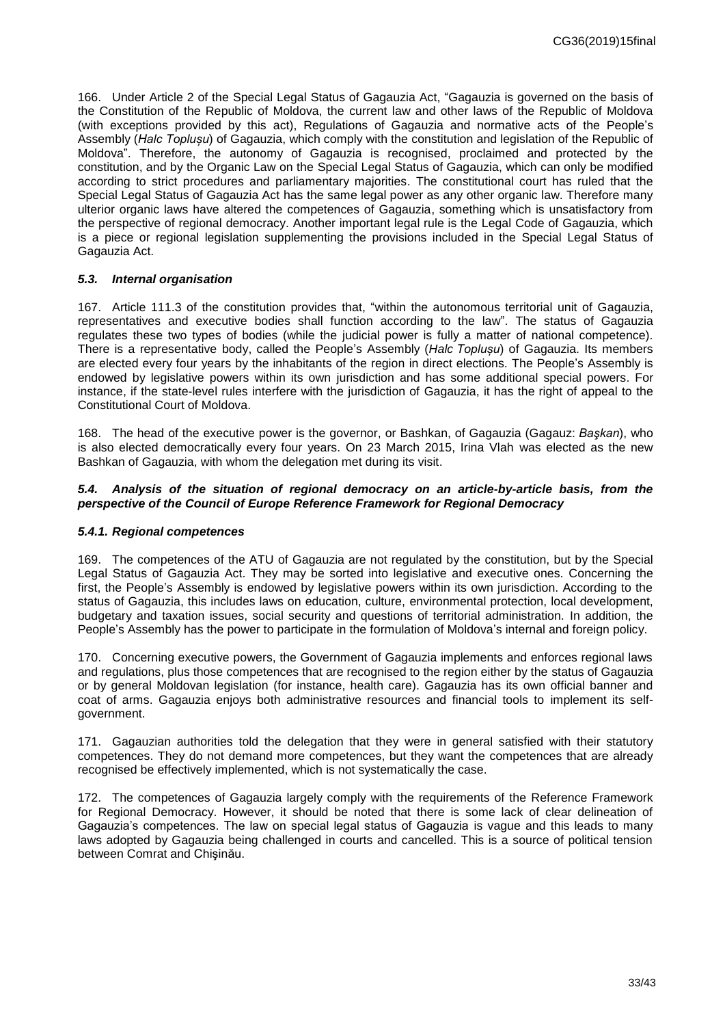166. Under Article 2 of the Special Legal Status of Gagauzia Act, "Gagauzia is governed on the basis of the Constitution of the Republic of Moldova, the current law and other laws of the Republic of Moldova (with exceptions provided by this act), Regulations of Gagauzia and normative acts of the People's Assembly (*Halc Toplușu*) of Gagauzia, which comply with the constitution and legislation of the Republic of Moldova". Therefore, the autonomy of Gagauzia is recognised, proclaimed and protected by the constitution, and by the Organic Law on the Special Legal Status of Gagauzia, which can only be modified according to strict procedures and parliamentary majorities. The constitutional court has ruled that the Special Legal Status of Gagauzia Act has the same legal power as any other organic law. Therefore many ulterior organic laws have altered the competences of Gagauzia, something which is unsatisfactory from the perspective of regional democracy. Another important legal rule is the Legal Code of Gagauzia, which is a piece or regional legislation supplementing the provisions included in the Special Legal Status of Gagauzia Act.

### <span id="page-32-0"></span>*5.3. Internal organisation*

167. Article 111.3 of the constitution provides that, "within the autonomous territorial unit of Gagauzia, representatives and executive bodies shall function according to the law". The status of Gagauzia regulates these two types of bodies (while the judicial power is fully a matter of national competence). There is a representative body, called the People's Assembly (*Halc Toplușu*) of Gagauzia. Its members are elected every four years by the inhabitants of the region in direct elections. The People's Assembly is endowed by legislative powers within its own jurisdiction and has some additional special powers. For instance, if the state-level rules interfere with the jurisdiction of Gagauzia, it has the right of appeal to the Constitutional Court of Moldova.

168. The head of the executive power is the governor, or Bashkan, of Gagauzia (Gagauz: *Başkan*), who is also elected democratically every four years. On 23 March 2015, Irina Vlah was elected as the new Bashkan of Gagauzia, with whom the delegation met during its visit.

#### <span id="page-32-1"></span>*5.4. Analysis of the situation of regional democracy on an article-by-article basis, from the perspective of the Council of Europe Reference Framework for Regional Democracy*

#### <span id="page-32-2"></span>*5.4.1. Regional competences*

169. The competences of the ATU of Gagauzia are not regulated by the constitution, but by the Special Legal Status of Gagauzia Act. They may be sorted into legislative and executive ones. Concerning the first, the People's Assembly is endowed by legislative powers within its own jurisdiction. According to the status of Gagauzia, this includes laws on education, culture, environmental protection, local development, budgetary and taxation issues, social security and questions of territorial administration. In addition, the People's Assembly has the power to participate in the formulation of Moldova's internal and foreign policy.

170. Concerning executive powers, the Government of Gagauzia implements and enforces regional laws and regulations, plus those competences that are recognised to the region either by the status of Gagauzia or by general Moldovan legislation (for instance, health care). Gagauzia has its own official banner and coat of arms. Gagauzia enjoys both administrative resources and financial tools to implement its selfgovernment.

171. Gagauzian authorities told the delegation that they were in general satisfied with their statutory competences. They do not demand more competences, but they want the competences that are already recognised be effectively implemented, which is not systematically the case.

172. The competences of Gagauzia largely comply with the requirements of the Reference Framework for Regional Democracy. However, it should be noted that there is some lack of clear delineation of Gagauzia's competences. The law on special legal status of Gagauzia is vague and this leads to many laws adopted by Gagauzia being challenged in courts and cancelled. This is a source of political tension between Comrat and Chişinău.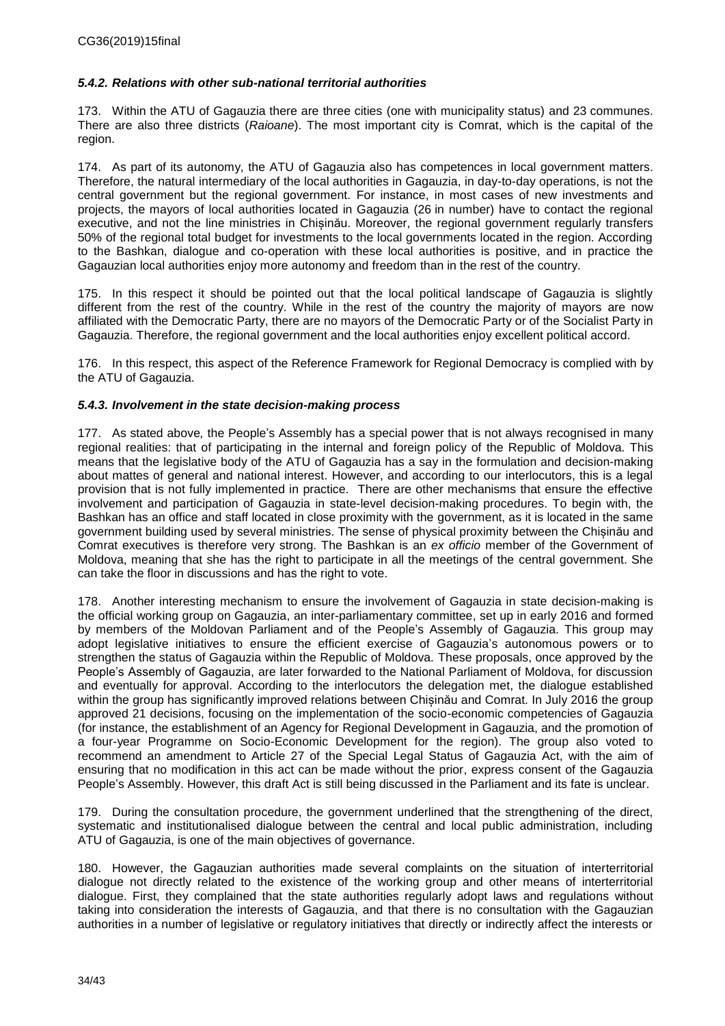### *5.4.2. Relations with other sub-national territorial authorities*

173. Within the ATU of Gagauzia there are three cities (one with municipality status) and 23 communes. There are also three districts (*Raioane*). The most important city is Comrat, which is the capital of the region.

174. As part of its autonomy, the ATU of Gagauzia also has competences in local government matters. Therefore, the natural intermediary of the local authorities in Gagauzia, in day-to-day operations, is not the central government but the regional government. For instance, in most cases of new investments and projects, the mayors of local authorities located in Gagauzia (26 in number) have to contact the regional executive, and not the line ministries in Chișinău. Moreover, the regional government regularly transfers 50% of the regional total budget for investments to the local governments located in the region. According to the Bashkan, dialogue and co-operation with these local authorities is positive, and in practice the Gagauzian local authorities enjoy more autonomy and freedom than in the rest of the country.

175. In this respect it should be pointed out that the local political landscape of Gagauzia is slightly different from the rest of the country. While in the rest of the country the majority of mayors are now affiliated with the Democratic Party, there are no mayors of the Democratic Party or of the Socialist Party in Gagauzia. Therefore, the regional government and the local authorities enjoy excellent political accord.

176. In this respect, this aspect of the Reference Framework for Regional Democracy is complied with by the ATU of Gagauzia.

### <span id="page-33-0"></span>*5.4.3. Involvement in the state decision-making process*

177. As stated above*,* the People's Assembly has a special power that is not always recognised in many regional realities: that of participating in the internal and foreign policy of the Republic of Moldova. This means that the legislative body of the ATU of Gagauzia has a say in the formulation and decision-making about mattes of general and national interest. However, and according to our interlocutors, this is a legal provision that is not fully implemented in practice. There are other mechanisms that ensure the effective involvement and participation of Gagauzia in state-level decision-making procedures. To begin with, the Bashkan has an office and staff located in close proximity with the government, as it is located in the same government building used by several ministries. The sense of physical proximity between the Chișinău and Comrat executives is therefore very strong. The Bashkan is an *ex officio* member of the Government of Moldova, meaning that she has the right to participate in all the meetings of the central government. She can take the floor in discussions and has the right to vote.

178. Another interesting mechanism to ensure the involvement of Gagauzia in state decision-making is the official working group on Gagauzia, an inter-parliamentary committee, set up in early 2016 and formed by members of the Moldovan Parliament and of the People's Assembly of Gagauzia. This group may adopt legislative initiatives to ensure the efficient exercise of Gagauzia's autonomous powers or to strengthen the status of Gagauzia within the Republic of Moldova. These proposals, once approved by the People's Assembly of Gagauzia, are later forwarded to the National Parliament of Moldova, for discussion and eventually for approval. According to the interlocutors the delegation met, the dialogue established within the group has significantly improved relations between Chișinău and Comrat. In July 2016 the group approved 21 decisions, focusing on the implementation of the socio-economic competencies of Gagauzia (for instance, the establishment of an Agency for Regional Development in Gagauzia, and the promotion of a four-year Programme on Socio-Economic Development for the region). The group also voted to recommend an amendment to Article 27 of the Special Legal Status of Gagauzia Act, with the aim of ensuring that no modification in this act can be made without the prior, express consent of the Gagauzia People's Assembly. However, this draft Act is still being discussed in the Parliament and its fate is unclear.

179. During the consultation procedure, the government underlined that the strengthening of the direct, systematic and institutionalised dialogue between the central and local public administration, including ATU of Gagauzia, is one of the main objectives of governance.

180. However, the Gagauzian authorities made several complaints on the situation of interterritorial dialogue not directly related to the existence of the working group and other means of interterritorial dialogue. First, they complained that the state authorities regularly adopt laws and regulations without taking into consideration the interests of Gagauzia, and that there is no consultation with the Gagauzian authorities in a number of legislative or regulatory initiatives that directly or indirectly affect the interests or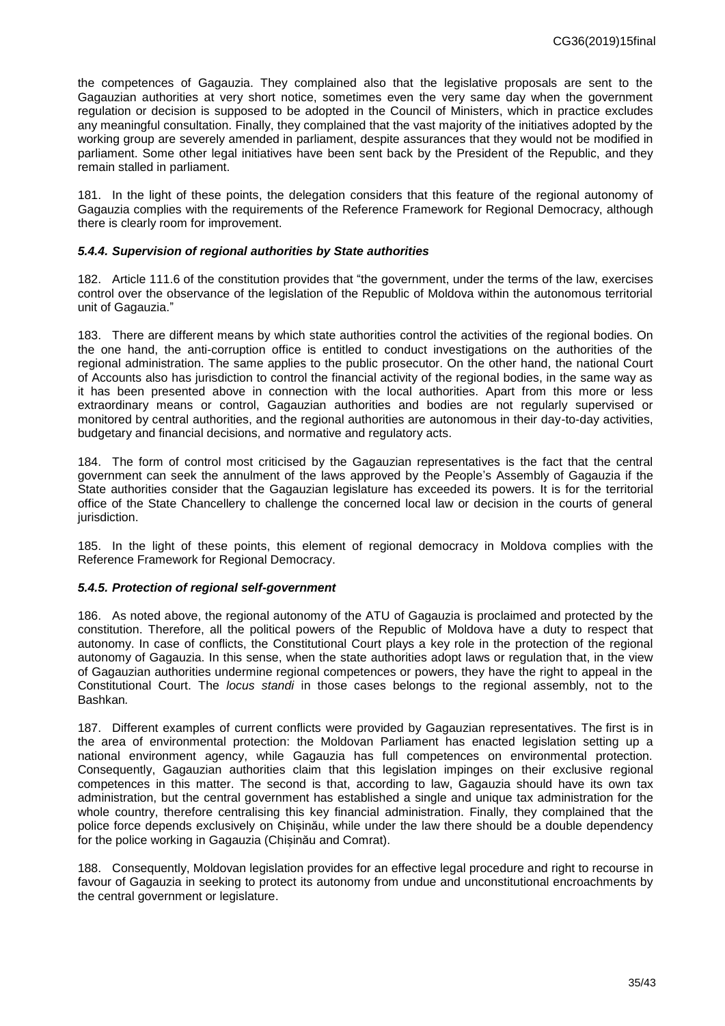the competences of Gagauzia. They complained also that the legislative proposals are sent to the Gagauzian authorities at very short notice, sometimes even the very same day when the government regulation or decision is supposed to be adopted in the Council of Ministers, which in practice excludes any meaningful consultation. Finally, they complained that the vast majority of the initiatives adopted by the working group are severely amended in parliament, despite assurances that they would not be modified in parliament. Some other legal initiatives have been sent back by the President of the Republic, and they remain stalled in parliament.

181. In the light of these points, the delegation considers that this feature of the regional autonomy of Gagauzia complies with the requirements of the Reference Framework for Regional Democracy, although there is clearly room for improvement.

#### *5.4.4. Supervision of regional authorities by State authorities*

182. Article 111.6 of the constitution provides that "the government, under the terms of the law, exercises control over the observance of the legislation of the Republic of Moldova within the autonomous territorial unit of Gagauzia."

183. There are different means by which state authorities control the activities of the regional bodies. On the one hand, the anti-corruption office is entitled to conduct investigations on the authorities of the regional administration. The same applies to the public prosecutor. On the other hand, the national Court of Accounts also has jurisdiction to control the financial activity of the regional bodies, in the same way as it has been presented above in connection with the local authorities. Apart from this more or less extraordinary means or control, Gagauzian authorities and bodies are not regularly supervised or monitored by central authorities, and the regional authorities are autonomous in their day-to-day activities, budgetary and financial decisions, and normative and regulatory acts.

184. The form of control most criticised by the Gagauzian representatives is the fact that the central government can seek the annulment of the laws approved by the People's Assembly of Gagauzia if the State authorities consider that the Gagauzian legislature has exceeded its powers. It is for the territorial office of the State Chancellery to challenge the concerned local law or decision in the courts of general jurisdiction.

185. In the light of these points, this element of regional democracy in Moldova complies with the Reference Framework for Regional Democracy.

#### <span id="page-34-0"></span>*5.4.5. Protection of regional self-government*

186. As noted above, the regional autonomy of the ATU of Gagauzia is proclaimed and protected by the constitution. Therefore, all the political powers of the Republic of Moldova have a duty to respect that autonomy. In case of conflicts, the Constitutional Court plays a key role in the protection of the regional autonomy of Gagauzia. In this sense, when the state authorities adopt laws or regulation that, in the view of Gagauzian authorities undermine regional competences or powers, they have the right to appeal in the Constitutional Court. The *locus standi* in those cases belongs to the regional assembly, not to the Bashkan*.*

187. Different examples of current conflicts were provided by Gagauzian representatives. The first is in the area of environmental protection: the Moldovan Parliament has enacted legislation setting up a national environment agency, while Gagauzia has full competences on environmental protection. Consequently, Gagauzian authorities claim that this legislation impinges on their exclusive regional competences in this matter. The second is that, according to law, Gagauzia should have its own tax administration, but the central government has established a single and unique tax administration for the whole country, therefore centralising this key financial administration. Finally, they complained that the police force depends exclusively on Chișinău, while under the law there should be a double dependency for the police working in Gagauzia (Chișinău and Comrat).

188. Consequently, Moldovan legislation provides for an effective legal procedure and right to recourse in favour of Gagauzia in seeking to protect its autonomy from undue and unconstitutional encroachments by the central government or legislature.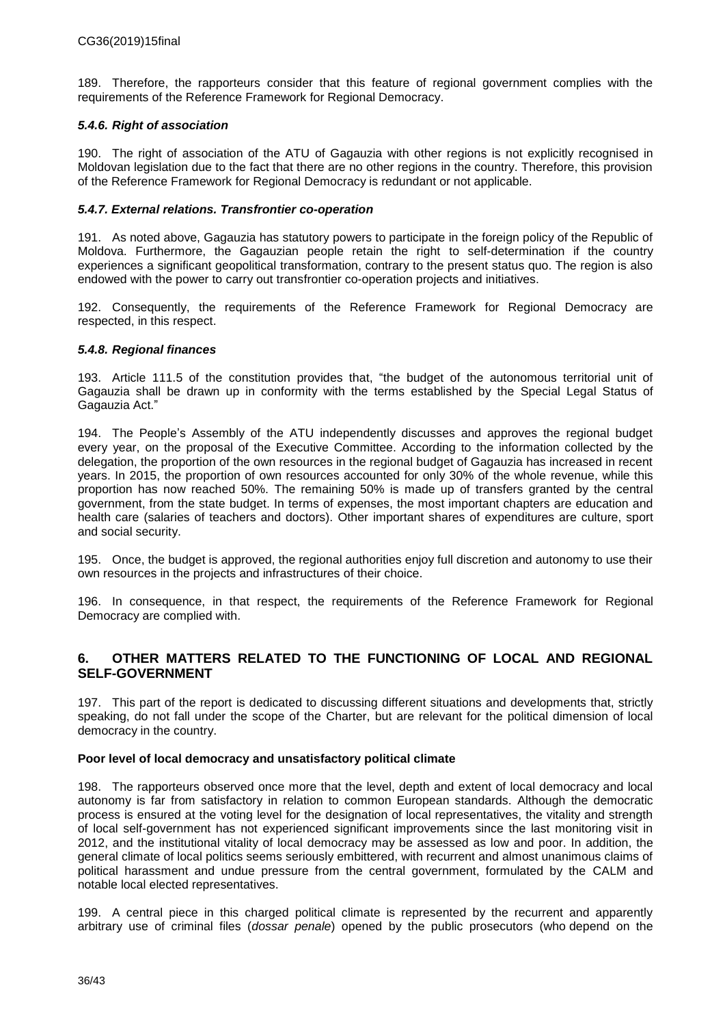189. Therefore, the rapporteurs consider that this feature of regional government complies with the requirements of the Reference Framework for Regional Democracy.

### *5.4.6. Right of association*

190. The right of association of the ATU of Gagauzia with other regions is not explicitly recognised in Moldovan legislation due to the fact that there are no other regions in the country. Therefore, this provision of the Reference Framework for Regional Democracy is redundant or not applicable.

### <span id="page-35-0"></span>*5.4.7. External relations. Transfrontier co-operation*

191. As noted above, Gagauzia has statutory powers to participate in the foreign policy of the Republic of Moldova. Furthermore, the Gagauzian people retain the right to self-determination if the country experiences a significant geopolitical transformation, contrary to the present status quo. The region is also endowed with the power to carry out transfrontier co-operation projects and initiatives.

192. Consequently, the requirements of the Reference Framework for Regional Democracy are respected, in this respect.

### <span id="page-35-1"></span>*5.4.8. Regional finances*

193. Article 111.5 of the constitution provides that, "the budget of the autonomous territorial unit of Gagauzia shall be drawn up in conformity with the terms established by the Special Legal Status of Gagauzia Act."

194. The People's Assembly of the ATU independently discusses and approves the regional budget every year, on the proposal of the Executive Committee. According to the information collected by the delegation, the proportion of the own resources in the regional budget of Gagauzia has increased in recent years. In 2015, the proportion of own resources accounted for only 30% of the whole revenue, while this proportion has now reached 50%. The remaining 50% is made up of transfers granted by the central government, from the state budget. In terms of expenses, the most important chapters are education and health care (salaries of teachers and doctors). Other important shares of expenditures are culture, sport and social security.

195. Once, the budget is approved, the regional authorities enjoy full discretion and autonomy to use their own resources in the projects and infrastructures of their choice.

196. In consequence, in that respect, the requirements of the Reference Framework for Regional Democracy are complied with.

### <span id="page-35-2"></span>**6. OTHER MATTERS RELATED TO THE FUNCTIONING OF LOCAL AND REGIONAL SELF-GOVERNMENT**

197. This part of the report is dedicated to discussing different situations and developments that, strictly speaking, do not fall under the scope of the Charter, but are relevant for the political dimension of local democracy in the country.

#### **Poor level of local democracy and unsatisfactory political climate**

198. The rapporteurs observed once more that the level, depth and extent of local democracy and local autonomy is far from satisfactory in relation to common European standards. Although the democratic process is ensured at the voting level for the designation of local representatives, the vitality and strength of local self-government has not experienced significant improvements since the last monitoring visit in 2012, and the institutional vitality of local democracy may be assessed as low and poor. In addition, the general climate of local politics seems seriously embittered, with recurrent and almost unanimous claims of political harassment and undue pressure from the central government, formulated by the CALM and notable local elected representatives.

199. A central piece in this charged political climate is represented by the recurrent and apparently arbitrary use of criminal files (*dossar penale*) opened by the public prosecutors (who depend on the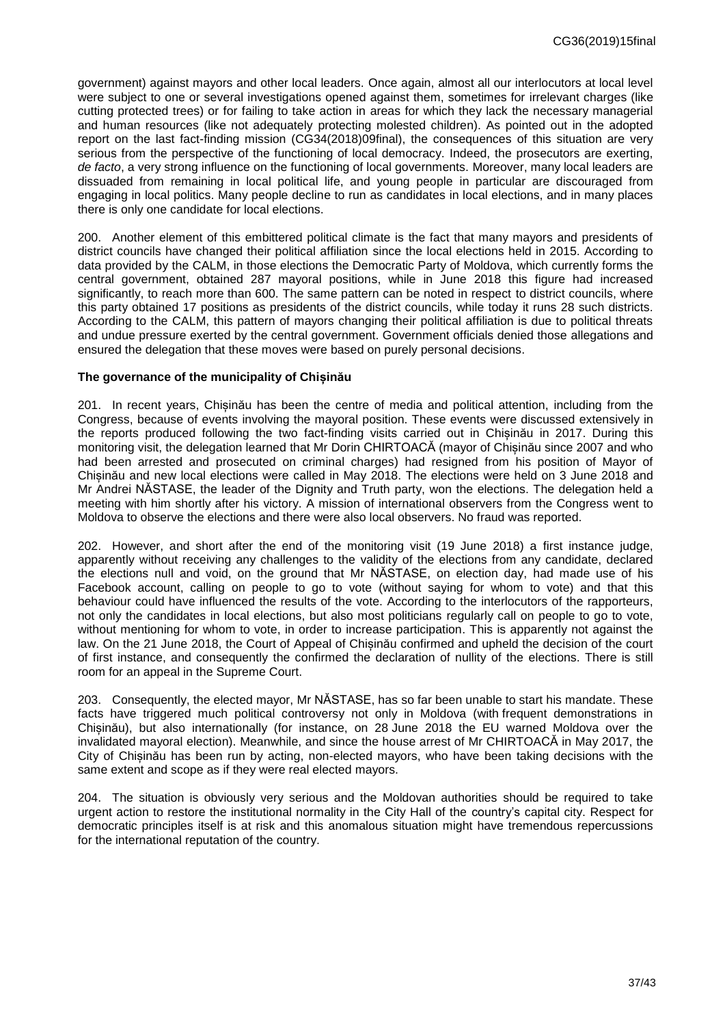government) against mayors and other local leaders. Once again, almost all our interlocutors at local level were subject to one or several investigations opened against them, sometimes for irrelevant charges (like cutting protected trees) or for failing to take action in areas for which they lack the necessary managerial and human resources (like not adequately protecting molested children). As pointed out in the adopted report on the last fact-finding mission (CG34(2018)09final), the consequences of this situation are very serious from the perspective of the functioning of local democracy. Indeed, the prosecutors are exerting, *de facto*, a very strong influence on the functioning of local governments. Moreover, many local leaders are dissuaded from remaining in local political life, and young people in particular are discouraged from engaging in local politics. Many people decline to run as candidates in local elections, and in many places there is only one candidate for local elections.

200. Another element of this embittered political climate is the fact that many mayors and presidents of district councils have changed their political affiliation since the local elections held in 2015. According to data provided by the CALM, in those elections the Democratic Party of Moldova, which currently forms the central government, obtained 287 mayoral positions, while in June 2018 this figure had increased significantly, to reach more than 600. The same pattern can be noted in respect to district councils, where this party obtained 17 positions as presidents of the district councils, while today it runs 28 such districts. According to the CALM, this pattern of mayors changing their political affiliation is due to political threats and undue pressure exerted by the central government. Government officials denied those allegations and ensured the delegation that these moves were based on purely personal decisions.

### **The governance of the municipality of Chișinău**

201. In recent years, Chișinău has been the centre of media and political attention, including from the Congress, because of events involving the mayoral position. These events were discussed extensively in the reports produced following the two fact-finding visits carried out in Chișinău in 2017. During this monitoring visit, the delegation learned that Mr Dorin CHIRTOACĂ (mayor of Chișinău since 2007 and who had been arrested and prosecuted on criminal charges) had resigned from his position of Mayor of Chișinău and new local elections were called in May 2018. The elections were held on 3 June 2018 and Mr Andrei NĂSTASE, the leader of the Dignity and Truth party, won the elections. The delegation held a meeting with him shortly after his victory. A mission of international observers from the Congress went to Moldova to observe the elections and there were also local observers. No fraud was reported.

202. However, and short after the end of the monitoring visit (19 June 2018) a first instance judge, apparently without receiving any challenges to the validity of the elections from any candidate, declared the elections null and void, on the ground that Mr NĂSTASE, on election day, had made use of his Facebook account, calling on people to go to vote (without saying for whom to vote) and that this behaviour could have influenced the results of the vote. According to the interlocutors of the rapporteurs, not only the candidates in local elections, but also most politicians regularly call on people to go to vote, without mentioning for whom to vote, in order to increase participation. This is apparently not against the law. On the 21 June 2018, the Court of Appeal of Chișinău confirmed and upheld the decision of the court of first instance, and consequently the confirmed the declaration of nullity of the elections. There is still room for an appeal in the Supreme Court.

203. Consequently, the elected mayor, Mr NĂSTASE, has so far been unable to start his mandate. These facts have triggered much political controversy not only in Moldova (with frequent demonstrations in Chișinău), but also internationally (for instance, on 28 June 2018 the EU warned Moldova over the invalidated mayoral election). Meanwhile, and since the house arrest of Mr CHIRTOACĂ in May 2017, the City of Chișinău has been run by acting, non-elected mayors, who have been taking decisions with the same extent and scope as if they were real elected mayors.

204. The situation is obviously very serious and the Moldovan authorities should be required to take urgent action to restore the institutional normality in the City Hall of the country's capital city. Respect for democratic principles itself is at risk and this anomalous situation might have tremendous repercussions for the international reputation of the country.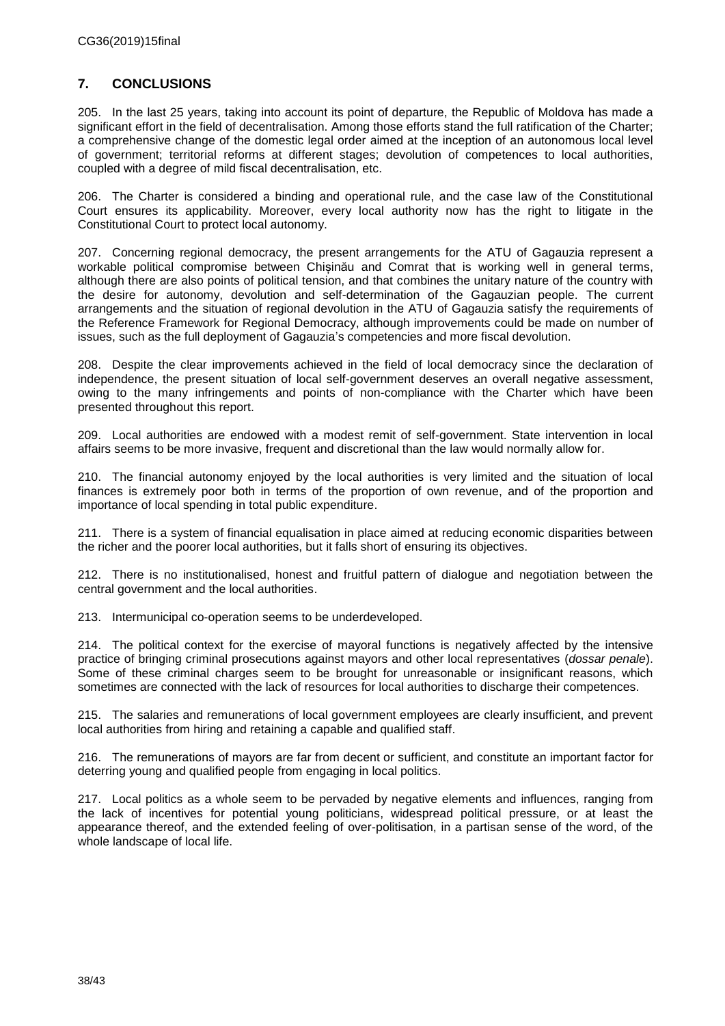# <span id="page-37-0"></span>**7. CONCLUSIONS**

205. In the last 25 years, taking into account its point of departure, the Republic of Moldova has made a significant effort in the field of decentralisation. Among those efforts stand the full ratification of the Charter; a comprehensive change of the domestic legal order aimed at the inception of an autonomous local level of government; territorial reforms at different stages; devolution of competences to local authorities, coupled with a degree of mild fiscal decentralisation, etc.

206. The Charter is considered a binding and operational rule, and the case law of the Constitutional Court ensures its applicability. Moreover, every local authority now has the right to litigate in the Constitutional Court to protect local autonomy.

207. Concerning regional democracy, the present arrangements for the ATU of Gagauzia represent a workable political compromise between Chișinău and Comrat that is working well in general terms, although there are also points of political tension, and that combines the unitary nature of the country with the desire for autonomy, devolution and self-determination of the Gagauzian people. The current arrangements and the situation of regional devolution in the ATU of Gagauzia satisfy the requirements of the Reference Framework for Regional Democracy, although improvements could be made on number of issues, such as the full deployment of Gagauzia's competencies and more fiscal devolution.

208. Despite the clear improvements achieved in the field of local democracy since the declaration of independence, the present situation of local self-government deserves an overall negative assessment, owing to the many infringements and points of non-compliance with the Charter which have been presented throughout this report.

209. Local authorities are endowed with a modest remit of self-government. State intervention in local affairs seems to be more invasive, frequent and discretional than the law would normally allow for.

210. The financial autonomy enjoyed by the local authorities is very limited and the situation of local finances is extremely poor both in terms of the proportion of own revenue, and of the proportion and importance of local spending in total public expenditure.

211. There is a system of financial equalisation in place aimed at reducing economic disparities between the richer and the poorer local authorities, but it falls short of ensuring its objectives.

212. There is no institutionalised, honest and fruitful pattern of dialogue and negotiation between the central government and the local authorities.

213. Intermunicipal co-operation seems to be underdeveloped.

214. The political context for the exercise of mayoral functions is negatively affected by the intensive practice of bringing criminal prosecutions against mayors and other local representatives (*dossar penale*). Some of these criminal charges seem to be brought for unreasonable or insignificant reasons, which sometimes are connected with the lack of resources for local authorities to discharge their competences.

215. The salaries and remunerations of local government employees are clearly insufficient, and prevent local authorities from hiring and retaining a capable and qualified staff.

216. The remunerations of mayors are far from decent or sufficient, and constitute an important factor for deterring young and qualified people from engaging in local politics.

217. Local politics as a whole seem to be pervaded by negative elements and influences, ranging from the lack of incentives for potential young politicians, widespread political pressure, or at least the appearance thereof, and the extended feeling of over-politisation, in a partisan sense of the word, of the whole landscape of local life.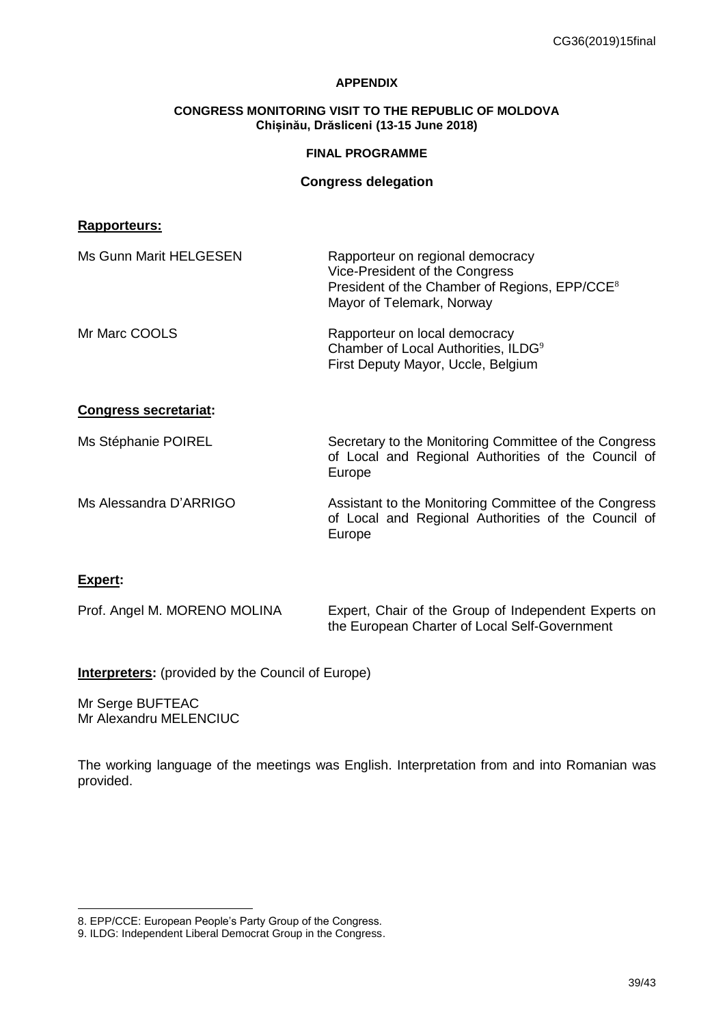### **APPENDIX**

### **CONGRESS MONITORING VISIT TO THE REPUBLIC OF MOLDOVA Chișinău, Drăsliceni (13-15 June 2018)**

### **FINAL PROGRAMME**

### **Congress delegation**

### **Rapporteurs:**

| Ms Gunn Marit HELGESEN       | Rapporteur on regional democracy<br>Vice-President of the Congress<br>President of the Chamber of Regions, EPP/CCE <sup>8</sup><br>Mayor of Telemark, Norway |
|------------------------------|--------------------------------------------------------------------------------------------------------------------------------------------------------------|
| Mr Marc COOLS                | Rapporteur on local democracy<br>Chamber of Local Authorities, ILDG <sup>9</sup><br>First Deputy Mayor, Uccle, Belgium                                       |
| <b>Congress secretariat:</b> |                                                                                                                                                              |
| Ms Stéphanie POIREL          | Secretary to the Monitoring Committee of the Congress<br>of Local and Regional Authorities of the Council of<br>Europe                                       |
| Ms Alessandra D'ARRIGO       | Assistant to the Monitoring Committee of the Congress<br>of Local and Regional Authorities of the Council of<br>Europe                                       |
| Expert:                      |                                                                                                                                                              |
| Prof. Angel M. MORENO MOLINA | Expert, Chair of the Group of Independent Experts on                                                                                                         |

**Interpreters:** (provided by the Council of Europe)

Mr Serge BUFTEAC Mr Alexandru MELENCIUC

l

The working language of the meetings was English. Interpretation from and into Romanian was provided.

the European Charter of Local Self-Government

<sup>8.</sup> EPP/CCE: European People's Party Group of the Congress.

<sup>9.</sup> ILDG: Independent Liberal Democrat Group in the Congress.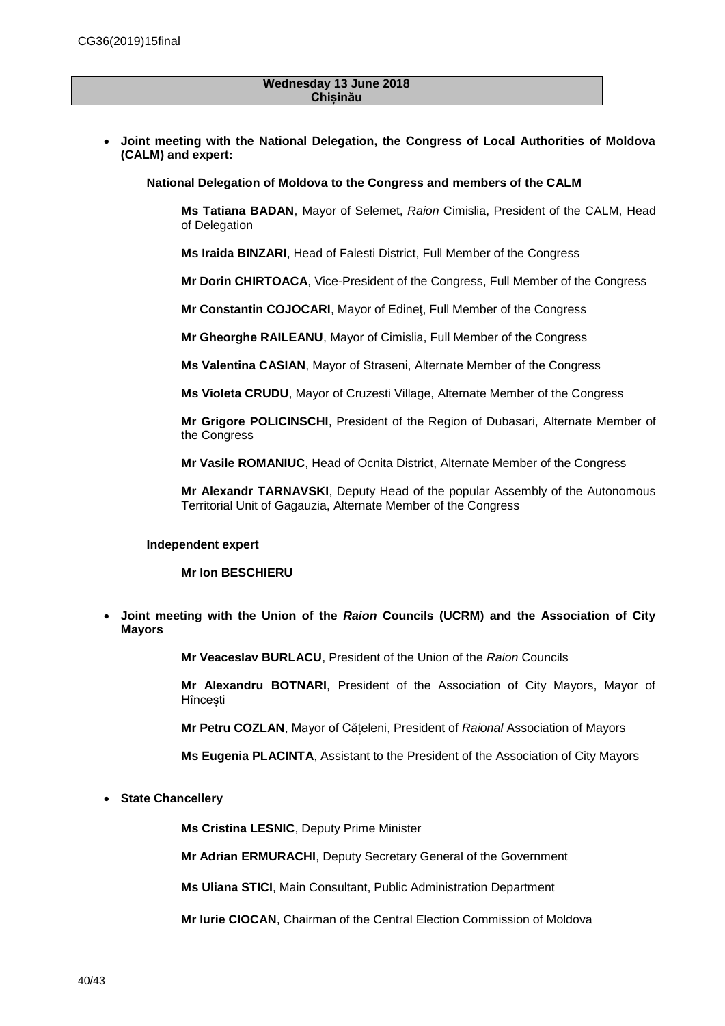#### **Wednesday 13 June 2018 Chișinău**

 **Joint meeting with the National Delegation, the Congress of Local Authorities of Moldova (CALM) and expert:**

**National Delegation of Moldova to the Congress and members of the CALM**

**Ms Tatiana BADAN**, Mayor of Selemet, *Raion* Cimislia, President of the CALM, Head of Delegation

**Ms Iraida BINZARI**, Head of Falesti District, Full Member of the Congress

**Mr Dorin CHIRTOACA**, Vice-President of the Congress, Full Member of the Congress

**Mr Constantin COJOCARI**, Mayor of Edineţ, Full Member of the Congress

**Mr Gheorghe RAILEANU**, Mayor of Cimislia, Full Member of the Congress

**Ms Valentina CASIAN**, Mayor of Straseni, Alternate Member of the Congress

**Ms Violeta CRUDU**, Mayor of Cruzesti Village, Alternate Member of the Congress

**Mr Grigore POLICINSCHI**, President of the Region of Dubasari, Alternate Member of the Congress

**Mr Vasile ROMANIUC**, Head of Ocnita District, Alternate Member of the Congress

**Mr Alexandr TARNAVSKI**, Deputy Head of the popular Assembly of the Autonomous Territorial Unit of Gagauzia, Alternate Member of the Congress

#### **Independent expert**

#### **Mr Ion BESCHIERU**

 **Joint meeting with the Union of the** *Raion* **Councils (UCRM) and the Association of City Mayors**

**Mr Veaceslav BURLACU**, President of the Union of the *Raion* Councils

**Mr Alexandru BOTNARI**, President of the Association of City Mayors, Mayor of Hîncești

**Mr Petru COZLAN**, Mayor of Cățeleni, President of *Raional* Association of Mayors

**Ms Eugenia PLACINTA**, Assistant to the President of the Association of City Mayors

**State Chancellery**

**Ms Cristina LESNIC**, Deputy Prime Minister

**Mr Adrian ERMURACHI**, Deputy Secretary General of the Government

**Ms Uliana STICI**, Main Consultant, Public Administration Department

**Mr Iurie CIOCAN**, Chairman of the Central Election Commission of Moldova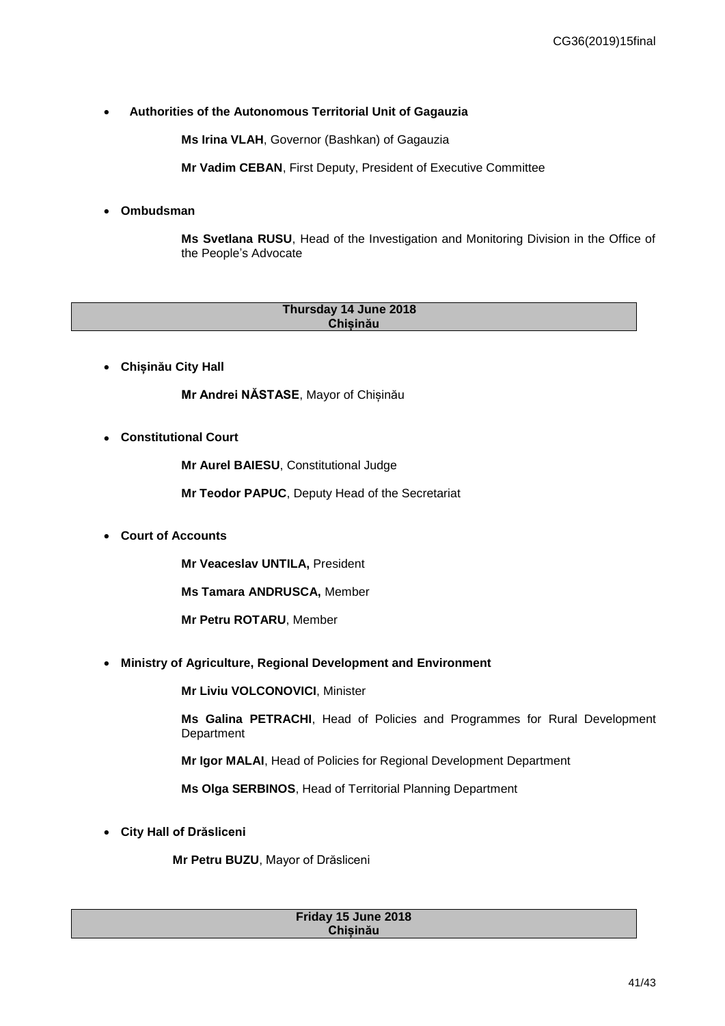### **Authorities of the Autonomous Territorial Unit of Gagauzia**

**Ms Irina VLAH**, Governor (Bashkan) of Gagauzia

**Mr Vadim CEBAN**, First Deputy, President of Executive Committee

### **Ombudsman**

**Ms Svetlana RUSU**, Head of the Investigation and Monitoring Division in the Office of the People's Advocate

| Thursday 14 June 2018 |  |
|-----------------------|--|
|                       |  |
| Chisinău              |  |
|                       |  |
|                       |  |

**Chișinău City Hall** 

**Mr Andrei NĂSTASE**, Mayor of Chișinău

**Constitutional Court**

**Mr Aurel BAIESU**, Constitutional Judge

**Mr Teodor PAPUC**, Deputy Head of the Secretariat

**Court of Accounts**

**Mr Veaceslav UNTILA,** President

**Ms Tamara ANDRUSCA,** Member

**Mr Petru ROTARU**, Member

**Ministry of Agriculture, Regional Development and Environment**

**Mr Liviu VOLCONOVICI**, Minister

**Ms Galina PETRACHI**, Head of Policies and Programmes for Rural Development Department

**Mr Igor MALAI**, Head of Policies for Regional Development Department

**Ms Olga SERBINOS**, Head of Territorial Planning Department

**City Hall of Drăsliceni**

**Mr Petru BUZU**, Mayor of Drăsliceni

#### **Friday 15 June 2018 Chișinău**